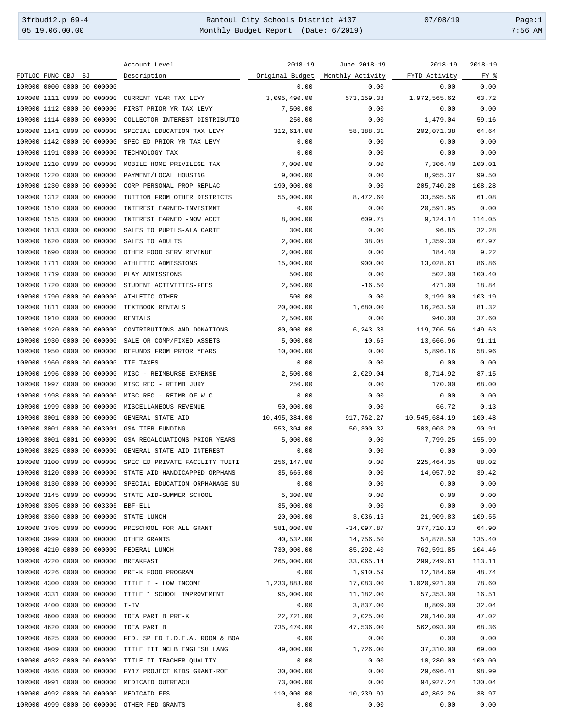3frbud12.p 69-4 Rantoul City Schools District #137 07/08/19 Page:1 Monthly Budget Report (Date: 6/2019)

|                                                     | Account Level                                             | $2018 - 19$     | June 2018-19     | $2018 - 19$         | $2018 - 19$ |
|-----------------------------------------------------|-----------------------------------------------------------|-----------------|------------------|---------------------|-------------|
| FDTLOC FUNC OBJ<br>SJ                               | Description                                               | Original Budget | Monthly Activity | FYTD Activity       | FY %        |
| 10R000 0000 0000 00 000000                          |                                                           | 0.00            | 0.00             | 0.00                | 0.00        |
| 10R000 1111 0000 00 000000                          | CURRENT YEAR TAX LEVY                                     | 3,095,490.00    | 573,159.38       | 1,972,565.62        | 63.72       |
| 10R000 1112 0000 00 000000                          | FIRST PRIOR YR TAX LEVY                                   | 7,500.00        | 0.00             | 0.00                | 0.00        |
| 10R000 1114 0000 00 000000                          | COLLECTOR INTEREST DISTRIBUTIO                            | 250.00          | 0.00             | 1,479.04            | 59.16       |
| 10R000 1141 0000 00 000000                          | SPECIAL EDUCATION TAX LEVY                                | 312,614.00      | 58,388.31        | 202,071.38          | 64.64       |
| 10R000 1142 0000 00 000000                          | SPEC ED PRIOR YR TAX LEVY                                 | 0.00            | 0.00             | 0.00                | 0.00        |
| 10R000 1191 0000 00 000000                          | TECHNOLOGY TAX                                            | 0.00            | 0.00             | 0.00                | 0.00        |
| 10R000 1210 0000 00 000000                          | MOBILE HOME PRIVILEGE TAX                                 | 7,000.00        | 0.00             | 7,306.40            | 100.01      |
| 10R000 1220 0000 00 000000                          | PAYMENT/LOCAL HOUSING                                     | 9,000.00        | 0.00             | 8,955.37            | 99.50       |
| 10R000 1230 0000 00 000000                          | CORP PERSONAL PROP REPLAC                                 | 190,000.00      | 0.00             | 205,740.28          | 108.28      |
| 10R000 1312 0000 00 000000                          | TUITION FROM OTHER DISTRICTS                              | 55,000.00       | 8,472.60         | 33,595.56           | 61.08       |
| 10R000 1510 0000 00 000000                          | INTEREST EARNED-INVESTMNT                                 | 0.00            | 0.00             | 20,591.95           | 0.00        |
| 10R000 1515 0000 00 000000                          | INTEREST EARNED -NOW ACCT                                 | 8,000.00        | 609.75           | 9,124.14            | 114.05      |
| 10R000 1613 0000 00 000000                          | SALES TO PUPILS-ALA CARTE                                 | 300.00          | 0.00             | 96.85               | 32.28       |
| 10R000 1620 0000 00 000000                          | SALES TO ADULTS                                           | 2,000.00        | 38.05            | 1,359.30            | 67.97       |
| 10R000 1690 0000 00 000000                          | OTHER FOOD SERV REVENUE                                   | 2,000.00        | 0.00             |                     | 9.22        |
|                                                     |                                                           |                 |                  | 184.40<br>13,028.61 |             |
| 10R000 1711 0000 00 000000                          | ATHLETIC ADMISSIONS                                       | 15,000.00       | 900.00           |                     | 86.86       |
| 10R000 1719 0000 00 000000                          | PLAY ADMISSIONS                                           | 500.00          | 0.00             | 502.00              | 100.40      |
| 10R000 1720 0000 00 000000                          | STUDENT ACTIVITIES-FEES                                   | 2,500.00        | $-16.50$         | 471.00              | 18.84       |
| 10R000 1790 0000 00 000000                          | ATHLETIC OTHER                                            | 500.00          | 0.00             | 3,199.00            | 103.19      |
| 10R000 1811 0000 00 000000                          | TEXTBOOK RENTALS                                          | 20,000.00       | 1,680.00         | 16,263.50           | 81.32       |
| 10R000 1910 0000 00 000000                          | <b>RENTALS</b>                                            | 2,500.00        | 0.00             | 940.00              | 37.60       |
| 10R000 1920 0000 00 000000                          | CONTRIBUTIONS AND DONATIONS                               | 80,000.00       | 6,243.33         | 119,706.56          | 149.63      |
| 10R000 1930 0000 00 000000                          | SALE OR COMP/FIXED ASSETS                                 | 5,000.00        | 10.65            | 13,666.96           | 91.11       |
| 10R000 1950 0000 00 000000                          | REFUNDS FROM PRIOR YEARS                                  | 10,000.00       | 0.00             | 5,896.16            | 58.96       |
| 10R000 1960 0000 00 000000                          | TIF TAXES                                                 | 0.00            | 0.00             | 0.00                | 0.00        |
| 10R000 1996 0000 00 000000                          | MISC - REIMBURSE EXPENSE                                  | 2,500.00        | 2,029.04         | 8,714.92            | 87.15       |
| 10R000 1997 0000 00 000000                          | MISC REC - REIMB JURY                                     | 250.00          | 0.00             | 170.00              | 68.00       |
| 10R000 1998 0000 00 000000                          | MISC REC - REIMB OF W.C.                                  | 0.00            | 0.00             | 0.00                | 0.00        |
| 10R000 1999 0000 00 000000                          | MISCELLANEOUS REVENUE                                     | 50,000.00       | 0.00             | 66.72               | 0.13        |
| 10R000 3001 0000 00 000000                          | GENERAL STATE AID                                         | 10,495,384.00   | 917,762.27       | 10,545,684.19       | 100.48      |
| 10R000 3001 0000 00 003001                          | GSA TIER FUNDING                                          | 553,304.00      | 50,300.32        | 503,003.20          | 90.91       |
| 10R000 3001 0001 00 000000                          | GSA RECALCUATIONS PRIOR YEARS                             | 5,000.00        | 0.00             | 7,799.25            | 155.99      |
| 10R000 3025 0000 00 000000                          | GENERAL STATE AID INTEREST                                | 0.00            | 0.00             | 0.00                | 0.00        |
| 10R000 3100 0000 00 000000                          | SPEC ED PRIVATE FACILITY TUITI                            | 256,147.00      | 0.00             | 225, 464.35         | 88.02       |
|                                                     | 10R000 3120 0000 00 000000 STATE AID-HANDICAPPED ORPHANS  | 35,665.00       | 0.00             | 14,057.92           | 39.42       |
|                                                     | 10R000 3130 0000 00 000000 SPECIAL EDUCATION ORPHANAGE SU | 0.00            | 0.00             | 0.00                | 0.00        |
| 10R000 3145 0000 00 000000 STATE AID-SUMMER SCHOOL  |                                                           | 5,300.00        | 0.00             | 0.00                | 0.00        |
| 10R000 3305 0000 00 003305 EBF-ELL                  |                                                           | 35,000.00       | 0.00             | 0.00                | 0.00        |
| 10R000 3360 0000 00 000000 STATE LUNCH              |                                                           | 20,000.00       | 3,036.16         | 21,909.83           | 109.55      |
|                                                     | 10R000 3705 0000 00 000000 PRESCHOOL FOR ALL GRANT        | 581,000.00      | $-34,097.87$     | 377,710.13          | 64.90       |
| 10R000 3999 0000 00 000000 OTHER GRANTS             |                                                           | 40,532.00       | 14,756.50        | 54,878.50           | 135.40      |
| 10R000 4210 0000 00 000000 FEDERAL LUNCH            |                                                           | 730,000.00      | 85, 292.40       | 762,591.85          | 104.46      |
| 10R000 4220 0000 00 000000 BREAKFAST                |                                                           | 265,000.00      | 33,065.14        | 299,749.61          | 113.11      |
| 10R000 4226 0000 00 000000 PRE-K FOOD PROGRAM       |                                                           | 0.00            | 1,910.59         | 12,184.69           | 48.74       |
| 10R000 4300 0000 00 000000 TITLE I - LOW INCOME     |                                                           | 1,233,883.00    | 17,083.00        | 1,020,921.00        | 78.60       |
|                                                     | 10R000 4331 0000 00 000000 TITLE 1 SCHOOL IMPROVEMENT     | 95,000.00       | 11,182.00        | 57, 353.00          | 16.51       |
| 10R000 4400 0000 00 000000 T-IV                     |                                                           | 0.00            | 3,837.00         | 8,809.00            | 32.04       |
| 10R000 4600 0000 00 000000 IDEA PART B PRE-K        |                                                           | 22,721.00       | 2,025.00         | 20,140.00           | 47.02       |
| 10R000 4620 0000 00 000000 IDEA PART B              |                                                           | 735,470.00      | 47,536.00        | 562,093.00          | 68.36       |
|                                                     | 10R000 4625 0000 00 000000 FED. SP ED I.D.E.A. ROOM & BOA | 0.00            | 0.00             | 0.00                | 0.00        |
|                                                     | 10R000 4909 0000 00 000000 TITLE III NCLB ENGLISH LANG    | 49,000.00       | 1,726.00         | 37,310.00           | 69.00       |
| 10R000 4932 0000 00 000000 TITLE II TEACHER QUALITY |                                                           | 0.00            | 0.00             | 10,280.00           | 100.00      |
|                                                     | 10R000 4936 0000 00 000000 FY17 PROJECT KIDS GRANT-ROE    | 30,000.00       | 0.00             | 29,696.41           | 98.99       |
| 10R000 4991 0000 00 000000 MEDICAID OUTREACH        |                                                           | 73,000.00       | 0.00             | 94, 927. 24         | 130.04      |
| 10R000 4992 0000 00 000000 MEDICAID FFS             |                                                           | 110,000.00      | 10,239.99        | 42,862.26           | 38.97       |
| 10R000 4999 0000 00 000000 OTHER FED GRANTS         |                                                           | 0.00            | 0.00             | 0.00                | 0.00        |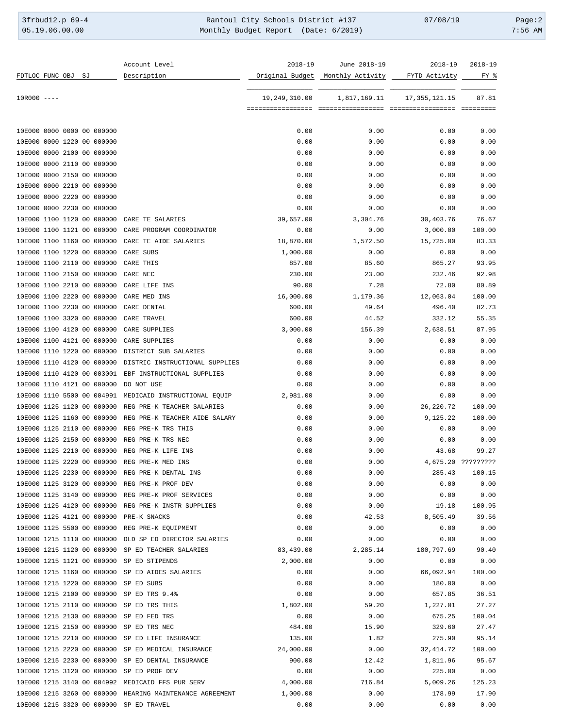| 3frbud12.p 69-4 | Rantoul City Schools District #137   | 07/08/19 | Page:2    |
|-----------------|--------------------------------------|----------|-----------|
| 05.19.06.00.00  | Monthly Budget Report (Date: 6/2019) |          | $7:56$ AM |

|                 |  |    |                            | Account Level                                            | 2018-19         | June 2018-19     | $2018 - 19$     | $2018 - 19$        |
|-----------------|--|----|----------------------------|----------------------------------------------------------|-----------------|------------------|-----------------|--------------------|
| FDTLOC FUNC OBJ |  | SJ |                            | Description                                              | Original Budget | Monthly Activity | FYTD Activity   | FY %               |
| $10R000$ ----   |  |    |                            |                                                          | 19,249,310.00   | 1,817,169.11     | 17, 355, 121.15 | 87.81              |
|                 |  |    |                            |                                                          |                 |                  |                 |                    |
|                 |  |    | 10E000 0000 0000 00 000000 |                                                          | 0.00            | 0.00             | 0.00            | 0.00               |
|                 |  |    | 10E000 0000 1220 00 000000 |                                                          | 0.00            | 0.00             | 0.00            | 0.00               |
|                 |  |    | 10E000 0000 2100 00 000000 |                                                          | 0.00            | 0.00             | 0.00            | 0.00               |
|                 |  |    | 10E000 0000 2110 00 000000 |                                                          | 0.00            | 0.00             | 0.00            | 0.00               |
|                 |  |    | 10E000 0000 2150 00 000000 |                                                          | 0.00            | 0.00             | 0.00            | 0.00               |
|                 |  |    | 10E000 0000 2210 00 000000 |                                                          | 0.00            | 0.00             | 0.00            | 0.00               |
|                 |  |    | 10E000 0000 2220 00 000000 |                                                          | 0.00            | 0.00             | 0.00            | 0.00               |
|                 |  |    | 10E000 0000 2230 00 000000 |                                                          | 0.00            | 0.00             | 0.00            | 0.00               |
|                 |  |    | 10E000 1100 1120 00 000000 | CARE TE SALARIES                                         | 39,657.00       | 3,304.76         | 30,403.76       | 76.67              |
|                 |  |    | 10E000 1100 1121 00 000000 | CARE PROGRAM COORDINATOR                                 | 0.00            | 0.00             | 3,000.00        | 100.00             |
|                 |  |    | 10E000 1100 1160 00 000000 | CARE TE AIDE SALARIES                                    | 18,870.00       | 1,572.50         | 15,725.00       | 83.33              |
|                 |  |    | 10E000 1100 1220 00 000000 | CARE SUBS                                                | 1,000.00        | 0.00             | 0.00            | 0.00               |
|                 |  |    | 10E000 1100 2110 00 000000 | CARE THIS                                                | 857.00          | 85.60            | 865.27          | 93.95              |
|                 |  |    | 10E000 1100 2150 00 000000 | CARE NEC                                                 | 230.00          | 23.00            | 232.46          | 92.98              |
|                 |  |    | 10E000 1100 2210 00 000000 | CARE LIFE INS                                            | 90.00           | 7.28             | 72.80           | 80.89              |
|                 |  |    | 10E000 1100 2220 00 000000 | CARE MED INS                                             | 16,000.00       | 1,179.36         | 12,063.04       | 100.00             |
|                 |  |    | 10E000 1100 2230 00 000000 | CARE DENTAL                                              | 600.00          | 49.64            | 496.40          | 82.73              |
|                 |  |    | 10E000 1100 3320 00 000000 | CARE TRAVEL                                              | 600.00          | 44.52            | 332.12          | 55.35              |
|                 |  |    | 10E000 1100 4120 00 000000 | CARE SUPPLIES                                            | 3,000.00        | 156.39           | 2,638.51        | 87.95              |
|                 |  |    | 10E000 1100 4121 00 000000 | CARE SUPPLIES                                            | 0.00            | 0.00             | 0.00            | 0.00               |
|                 |  |    | 10E000 1110 1220 00 000000 | DISTRICT SUB SALARIES                                    | 0.00            | 0.00             | 0.00            | 0.00               |
|                 |  |    | 10E000 1110 4120 00 000000 | DISTRIC INSTRUCTIONAL SUPPLIES                           | 0.00            | 0.00             | 0.00            | 0.00               |
|                 |  |    | 10E000 1110 4120 00 003001 | EBF INSTRUCTIONAL SUPPLIES                               | 0.00            | 0.00             | 0.00            | 0.00               |
|                 |  |    | 10E000 1110 4121 00 000000 | DO NOT USE                                               | 0.00            | 0.00             | 0.00            | 0.00               |
|                 |  |    | 10E000 1110 5500 00 004991 | MEDICAID INSTRUCTIONAL EQUIP                             | 2,981.00        | 0.00             | 0.00            | 0.00               |
|                 |  |    | 10E000 1125 1120 00 000000 | REG PRE-K TEACHER SALARIES                               | 0.00            | 0.00             | 26, 220. 72     | 100.00             |
|                 |  |    | 10E000 1125 1160 00 000000 | REG PRE-K TEACHER AIDE SALARY                            | 0.00            | 0.00             | 9,125.22        | 100.00             |
|                 |  |    | 10E000 1125 2110 00 000000 | REG PRE-K TRS THIS                                       | 0.00            | 0.00             | 0.00            | 0.00               |
|                 |  |    | 10E000 1125 2150 00 000000 | REG PRE-K TRS NEC                                        | 0.00            | 0.00             | 0.00            | 0.00               |
|                 |  |    | 10E000 1125 2210 00 000000 | REG PRE-K LIFE INS                                       | 0.00            | 0.00             |                 | 99.27              |
|                 |  |    | 10E000 1125 2220 00 000000 | REG PRE-K MED INS                                        | 0.00            | 0.00             | 43.68           | 4,675.20 ????????? |
|                 |  |    |                            |                                                          | 0.00            |                  |                 |                    |
|                 |  |    | 10E000 1125 2230 00 000000 | REG PRE-K DENTAL INS                                     |                 | 0.00             | 285.43          | 100.15             |
|                 |  |    | 10E000 1125 3120 00 000000 | REG PRE-K PROF DEV                                       | 0.00            | 0.00             | 0.00            | 0.00               |
|                 |  |    |                            | 10E000 1125 3140 00 000000 REG PRE-K PROF SERVICES       | 0.00            | 0.00             | 0.00            | 0.00               |
|                 |  |    | 10E000 1125 4120 00 000000 | REG PRE-K INSTR SUPPLIES                                 | 0.00            | 0.00             | 19.18           | 100.95             |
|                 |  |    | 10E000 1125 4121 00 000000 | PRE-K SNACKS                                             | 0.00            | 42.53            | 8,505.49        | 39.56              |
|                 |  |    | 10E000 1125 5500 00 000000 | REG PRE-K EOUIPMENT                                      | 0.00            | 0.00             | 0.00            | 0.00               |
|                 |  |    | 10E000 1215 1110 00 000000 | OLD SP ED DIRECTOR SALARIES                              | 0.00            | 0.00             | 0.00            | 0.00               |
|                 |  |    | 10E000 1215 1120 00 000000 | SP ED TEACHER SALARIES                                   | 83,439.00       | 2,285.14         | 180,797.69      | 90.40              |
|                 |  |    | 10E000 1215 1121 00 000000 | SP ED STIPENDS                                           | 2,000.00        | 0.00             | 0.00            | 0.00               |
|                 |  |    | 10E000 1215 1160 00 000000 | SP ED AIDES SALARIES                                     | 0.00            | 0.00             | 66,092.94       | 100.00             |
|                 |  |    | 10E000 1215 1220 00 000000 | SP ED SUBS                                               | 0.00            | 0.00             | 180.00          | 0.00               |
|                 |  |    |                            | 10E000 1215 2100 00 000000 SP ED TRS 9.4%                | 0.00            | 0.00             | 657.85          | 36.51              |
|                 |  |    | 10E000 1215 2110 00 000000 | SP ED TRS THIS                                           | 1,802.00        | 59.20            | 1,227.01        | 27.27              |
|                 |  |    | 10E000 1215 2130 00 000000 | SP ED FED TRS                                            | 0.00            | 0.00             | 675.25          | 100.04             |
|                 |  |    | 10E000 1215 2150 00 000000 | SP ED TRS NEC                                            | 484.00          | 15.90            | 329.60          | 27.47              |
|                 |  |    | 10E000 1215 2210 00 000000 | SP ED LIFE INSURANCE                                     | 135.00          | 1.82             | 275.90          | 95.14              |
|                 |  |    | 10E000 1215 2220 00 000000 | SP ED MEDICAL INSURANCE                                  | 24,000.00       | 0.00             | 32, 414.72      | 100.00             |
|                 |  |    | 10E000 1215 2230 00 000000 | SP ED DENTAL INSURANCE                                   | 900.00          | 12.42            | 1,811.96        | 95.67              |
|                 |  |    | 10E000 1215 3120 00 000000 | SP ED PROF DEV                                           | 0.00            | 0.00             | 225.00          | 0.00               |
|                 |  |    |                            | 10E000 1215 3140 00 004992 MEDICAID FFS PUR SERV         | 4,000.00        | 716.84           | 5,009.26        | 125.23             |
|                 |  |    |                            | 10E000 1215 3260 00 000000 HEARING MAINTENANCE AGREEMENT | 1,000.00        | 0.00             | 178.99          | 17.90              |
|                 |  |    |                            | 10E000 1215 3320 00 000000 SP ED TRAVEL                  | 0.00            | 0.00             | 0.00            | 0.00               |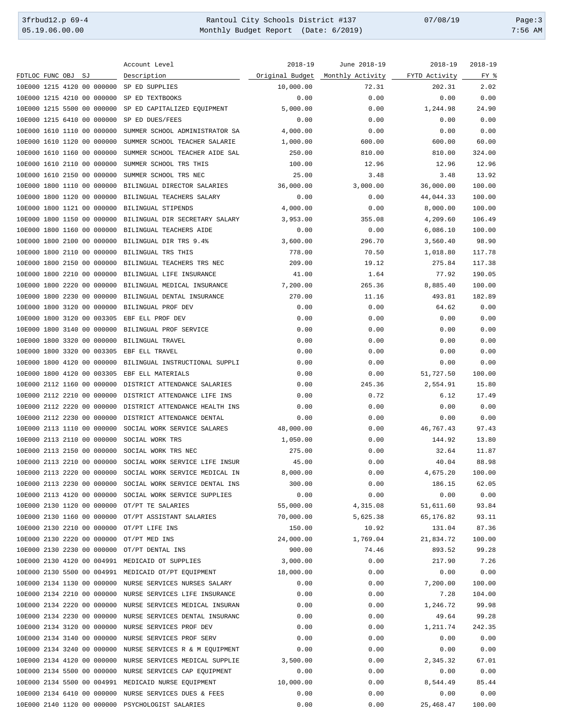3frbud12.p 69-4 Rantoul City Schools District #137 07/08/19 Page:3 Monthly Budget Report (Date: 6/2019)

|                                                     | Account Level                                                                               | 2018-19   | June 2018-19                     | 2018-19       | $2018 - 19$ |
|-----------------------------------------------------|---------------------------------------------------------------------------------------------|-----------|----------------------------------|---------------|-------------|
| FDTLOC FUNC OBJ<br>SJ                               | Description                                                                                 |           | Original Budget Monthly Activity | FYTD Activity | FY %        |
| 10E000 1215 4120 00 000000                          | SP ED SUPPLIES                                                                              | 10,000.00 | 72.31                            | 202.31        | 2.02        |
| 10E000 1215 4210 00 000000                          | SP ED TEXTBOOKS                                                                             | 0.00      | 0.00                             | 0.00          | 0.00        |
| 10E000 1215 5500 00 000000                          | SP ED CAPITALIZED EQUIPMENT                                                                 | 5,000.00  | 0.00                             | 1,244.98      | 24.90       |
| 10E000 1215 6410 00 000000                          | SP ED DUES/FEES                                                                             | 0.00      | 0.00                             | 0.00          | 0.00        |
| 10E000 1610 1110 00 000000                          | SUMMER SCHOOL ADMINISTRATOR SA                                                              | 4,000.00  | 0.00                             | 0.00          | 0.00        |
| 10E000 1610 1120 00 000000                          | SUMMER SCHOOL TEACHER SALARIE                                                               | 1,000.00  | 600.00                           | 600.00        | 60.00       |
| 10E000 1610 1160 00 000000                          | SUMMER SCHOOL TEACHER AIDE SAL                                                              | 250.00    | 810.00                           | 810.00        | 324.00      |
| 10E000 1610 2110 00 000000                          | SUMMER SCHOOL TRS THIS                                                                      | 100.00    | 12.96                            | 12.96         | 12.96       |
| 10E000 1610 2150 00 000000                          | SUMMER SCHOOL TRS NEC                                                                       | 25.00     | 3.48                             | 3.48          | 13.92       |
| 10E000 1800 1110 00 000000                          | BILINGUAL DIRECTOR SALARIES                                                                 | 36,000.00 | 3,000.00                         | 36,000.00     | 100.00      |
| 10E000 1800 1120 00 000000                          | BILINGUAL TEACHERS SALARY                                                                   | 0.00      | 0.00                             | 44,044.33     | 100.00      |
| 10E000 1800 1121 00 000000                          | BILINGUAL STIPENDS                                                                          | 4,000.00  |                                  | 8,000.00      | 100.00      |
|                                                     |                                                                                             |           | 0.00                             |               |             |
| 10E000 1800 1150 00 000000                          | BILINGUAL DIR SECRETARY SALARY                                                              | 3,953.00  | 355.08                           | 4,209.60      | 106.49      |
| 10E000 1800 1160 00 000000                          | BILINGUAL TEACHERS AIDE                                                                     | 0.00      | 0.00                             | 6,086.10      | 100.00      |
| 10E000 1800 2100 00 000000                          | BILINGUAL DIR TRS 9.4%                                                                      | 3,600.00  | 296.70                           | 3,560.40      | 98.90       |
| 10E000 1800 2110 00 000000                          | BILINGUAL TRS THIS                                                                          | 778.00    | 70.50                            | 1,018.80      | 117.78      |
| 10E000 1800 2150 00 000000                          | BILINGUAL TEACHERS TRS NEC                                                                  | 209.00    | 19.12                            | 275.84        | 117.38      |
| 10E000 1800 2210 00 000000                          | BILINGUAL LIFE INSURANCE                                                                    | 41.00     | 1.64                             | 77.92         | 190.05      |
| 10E000 1800 2220 00 000000                          | BILINGUAL MEDICAL INSURANCE                                                                 | 7,200.00  | 265.36                           | 8,885.40      | 100.00      |
| 10E000 1800 2230 00 000000                          | BILINGUAL DENTAL INSURANCE                                                                  | 270.00    | 11.16                            | 493.81        | 182.89      |
| 10E000 1800 3120 00 000000                          | BILINGUAL PROF DEV                                                                          | 0.00      | 0.00                             | 64.62         | 0.00        |
| 10E000 1800 3120 00 003305                          | EBF ELL PROF DEV                                                                            | 0.00      | 0.00                             | 0.00          | 0.00        |
| 10E000 1800 3140 00 000000                          | BILINGUAL PROF SERVICE                                                                      | 0.00      | 0.00                             | 0.00          | 0.00        |
| 10E000 1800 3320 00 000000                          | BILINGUAL TRAVEL                                                                            | 0.00      | 0.00                             | 0.00          | 0.00        |
| 10E000 1800 3320 00 003305                          | EBF ELL TRAVEL                                                                              | 0.00      | 0.00                             | 0.00          | 0.00        |
| 10E000 1800 4120 00 000000                          | BILINGUAL INSTRUCTIONAL SUPPLI                                                              | 0.00      | 0.00                             | 0.00          | 0.00        |
| 10E000 1800 4120 00 003305                          | EBF ELL MATERIALS                                                                           | 0.00      | 0.00                             | 51,727.50     | 100.00      |
| 10E000 2112 1160 00 000000                          | DISTRICT ATTENDANCE SALARIES                                                                | 0.00      | 245.36                           | 2,554.91      | 15.80       |
| 10E000 2112 2210 00 000000                          | DISTRICT ATTENDANCE LIFE INS                                                                | 0.00      | 0.72                             | 6.12          | 17.49       |
| 10E000 2112 2220 00 000000                          | DISTRICT ATTENDANCE HEALTH INS                                                              | 0.00      | 0.00                             | 0.00          | 0.00        |
| 10E000 2112 2230 00 000000                          | DISTRICT ATTENDANCE DENTAL                                                                  | 0.00      | 0.00                             | 0.00          | 0.00        |
| 10E000 2113 1110 00 000000                          | SOCIAL WORK SERVICE SALARES                                                                 | 48,000.00 | 0.00                             | 46,767.43     | 97.43       |
| 10E000 2113 2110 00 000000                          | SOCIAL WORK TRS                                                                             | 1,050.00  | 0.00                             | 144.92        | 13.80       |
| 10E000 2113 2150 00 000000                          | SOCIAL WORK TRS NEC                                                                         | 275.00    | 0.00                             | 32.64         | 11.87       |
| 10E000 2113 2210 00 000000                          |                                                                                             | 45.00     |                                  | 40.04         | 88.98       |
|                                                     | SOCIAL WORK SERVICE LIFE INSUR<br>10E000 2113 2220 00 000000 SOCIAL WORK SERVICE MEDICAL IN | 8,000.00  | 0.00                             | 4,675.20      |             |
|                                                     |                                                                                             |           | 0.00                             |               | 100.00      |
|                                                     | 10E000 2113 2230 00 000000 SOCIAL WORK SERVICE DENTAL INS                                   | 300.00    | 0.00                             | 186.15        | 62.05       |
|                                                     | 10E000 2113 4120 00 000000 SOCIAL WORK SERVICE SUPPLIES                                     | 0.00      | 0.00                             | 0.00          | 0.00        |
| 10E000 2130 1120 00 000000 OT/PT TE SALARIES        |                                                                                             | 55,000.00 | 4,315.08                         | 51,611.60     | 93.84       |
| 10E000 2130 1160 00 000000 OT/PT ASSISTANT SALARIES |                                                                                             | 70,000.00 | 5,625.38                         | 65,176.82     | 93.11       |
| 10E000 2130 2210 00 000000                          | OT/PT LIFE INS                                                                              | 150.00    | 10.92                            | 131.04        | 87.36       |
| 10E000 2130 2220 00 000000                          | OT/PT MED INS                                                                               | 24,000.00 | 1,769.04                         | 21,834.72     | 100.00      |
| 10E000 2130 2230 00 000000                          | OT/PT DENTAL INS                                                                            | 900.00    | 74.46                            | 893.52        | 99.28       |
| 10E000 2130 4120 00 004991 MEDICAID OT SUPPLIES     |                                                                                             | 3,000.00  | 0.00                             | 217.90        | 7.26        |
|                                                     | 10E000 2130 5500 00 004991 MEDICAID OT/PT EQUIPMENT                                         | 18,000.00 | 0.00                             | 0.00          | 0.00        |
| 10E000 2134 1130 00 000000                          | NURSE SERVICES NURSES SALARY                                                                | 0.00      | 0.00                             | 7,200.00      | 100.00      |
| 10E000 2134 2210 00 000000                          | NURSE SERVICES LIFE INSURANCE                                                               | 0.00      | 0.00                             | 7.28          | 104.00      |
| 10E000 2134 2220 00 000000                          | NURSE SERVICES MEDICAL INSURAN                                                              | 0.00      | 0.00                             | 1,246.72      | 99.98       |
| 10E000 2134 2230 00 000000                          | NURSE SERVICES DENTAL INSURANC                                                              | 0.00      | 0.00                             | 49.64         | 99.28       |
| 10E000 2134 3120 00 000000                          | NURSE SERVICES PROF DEV                                                                     | 0.00      | 0.00                             | 1,211.74      | 242.35      |
| 10E000 2134 3140 00 000000                          | NURSE SERVICES PROF SERV                                                                    | 0.00      | 0.00                             | 0.00          | 0.00        |
| 10E000 2134 3240 00 000000                          | NURSE SERVICES R & M EQUIPMENT                                                              | 0.00      | 0.00                             | 0.00          | 0.00        |
| 10E000 2134 4120 00 000000                          | NURSE SERVICES MEDICAL SUPPLIE                                                              | 3,500.00  | 0.00                             | 2,345.32      | 67.01       |
| 10E000 2134 5500 00 000000                          | NURSE SERVICES CAP EQUIPMENT                                                                | 0.00      | 0.00                             | 0.00          | 0.00        |
| 10E000 2134 5500 00 004991 MEDICAID NURSE EQUIPMENT |                                                                                             | 10,000.00 | 0.00                             | 8,544.49      | 85.44       |
|                                                     | 10E000 2134 6410 00 000000 NURSE SERVICES DUES & FEES                                       | 0.00      | 0.00                             | 0.00          | 0.00        |
| 10E000 2140 1120 00 000000 PSYCHOLOGIST SALARIES    |                                                                                             | 0.00      | 0.00                             | 25,468.47     | 100.00      |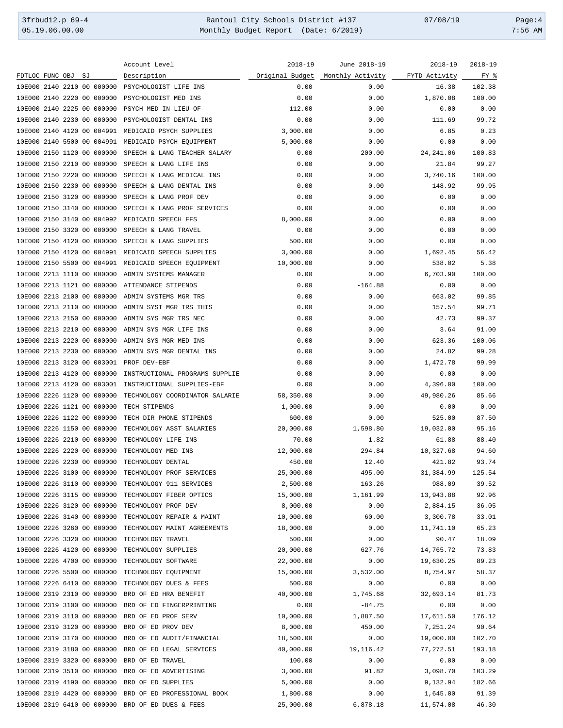3frbud12.p 69-4 Rantoul City Schools District #137 07/08/19 Page:4 Monthly Budget Report (Date: 6/2019)

|                                                    | Account Level                  | $2018 - 19$     | June 2018-19     | $2018 - 19$   | $2018 - 19$ |
|----------------------------------------------------|--------------------------------|-----------------|------------------|---------------|-------------|
| FDTLOC FUNC OBJ<br>SJ                              | Description                    | Original Budget | Monthly Activity | FYTD Activity | FY %        |
| 10E000 2140 2210 00 000000                         | PSYCHOLOGIST LIFE INS          | 0.00            | 0.00             | 16.38         | 102.38      |
| 10E000 2140 2220 00 000000                         | PSYCHOLOGIST MED INS           | 0.00            | 0.00             | 1,870.08      | 100.00      |
| 10E000 2140 2225 00 000000                         | PSYCH MED IN LIEU OF           | 112.00          | 0.00             | 0.00          | 0.00        |
|                                                    |                                |                 |                  |               |             |
| 10E000 2140 2230 00 000000                         | PSYCHOLOGIST DENTAL INS        | 0.00            | 0.00             | 111.69        | 99.72       |
| 10E000 2140 4120 00 004991                         | MEDICAID PSYCH SUPPLIES        | 3,000.00        | 0.00             | 6.85          | 0.23        |
| 10E000 2140 5500 00 004991                         | MEDICAID PSYCH EQUIPMENT       | 5,000.00        | 0.00             | 0.00          | 0.00        |
| 10E000 2150 1120 00 000000                         | SPEECH & LANG TEACHER SALARY   | 0.00            | 200.00           | 24, 241.06    | 100.83      |
| 10E000 2150 2210 00 000000                         | SPEECH & LANG LIFE INS         | 0.00            | 0.00             | 21.84         | 99.27       |
| 10E000 2150 2220 00 000000                         | SPEECH & LANG MEDICAL INS      | 0.00            | 0.00             | 3,740.16      | 100.00      |
| 10E000 2150 2230 00 000000                         | SPEECH & LANG DENTAL INS       | 0.00            | 0.00             | 148.92        | 99.95       |
| 10E000 2150 3120 00 000000                         | SPEECH & LANG PROF DEV         | 0.00            | 0.00             | 0.00          | 0.00        |
| 10E000 2150 3140 00 000000                         | SPEECH & LANG PROF SERVICES    | 0.00            | 0.00             | 0.00          | 0.00        |
| 10E000 2150 3140 00 004992                         | MEDICAID SPEECH FFS            | 8,000.00        | 0.00             | 0.00          | 0.00        |
|                                                    |                                |                 |                  |               |             |
| 10E000 2150 3320 00 000000                         | SPEECH & LANG TRAVEL           | 0.00            | 0.00             | 0.00          | 0.00        |
| 10E000 2150 4120 00 000000                         | SPEECH & LANG SUPPLIES         | 500.00          | 0.00             | 0.00          | 0.00        |
| 10E000 2150 4120 00 004991                         | MEDICAID SPEECH SUPPLIES       | 3,000.00        | 0.00             | 1,692.45      | 56.42       |
| 10E000 2150 5500 00 004991                         | MEDICAID SPEECH EQUIPMENT      | 10,000.00       | 0.00             | 538.02        | 5.38        |
| 10E000 2213 1110 00 000000                         | ADMIN SYSTEMS MANAGER          | 0.00            | 0.00             | 6,703.90      | 100.00      |
| 10E000 2213 1121 00 000000                         | ATTENDANCE STIPENDS            | 0.00            | $-164.88$        | 0.00          | 0.00        |
| 10E000 2213 2100 00 000000                         | ADMIN SYSTEMS MGR TRS          | 0.00            | 0.00             | 663.02        | 99.85       |
| 10E000 2213 2110 00 000000                         | ADMIN SYST MGR TRS THIS        | 0.00            | 0.00             | 157.54        | 99.71       |
| 10E000 2213 2150 00 000000                         | ADMIN SYS MGR TRS NEC          | 0.00            | 0.00             | 42.73         | 99.37       |
| 10E000 2213 2210 00 000000                         | ADMIN SYS MGR LIFE INS         | 0.00            | 0.00             | 3.64          | 91.00       |
| 10E000 2213 2220 00 000000                         | ADMIN SYS MGR MED INS          | 0.00            | 0.00             | 623.36        | 100.06      |
|                                                    |                                |                 |                  |               |             |
| 10E000 2213 2230 00 000000                         | ADMIN SYS MGR DENTAL INS       | 0.00            | 0.00             | 24.82         | 99.28       |
| 10E000 2213 3120 00 003001                         | PROF DEV-EBF                   | 0.00            | 0.00             | 1,472.78      | 99.99       |
| 10E000 2213 4120 00 000000                         | INSTRUCTIONAL PROGRAMS SUPPLIE | 0.00            | 0.00             | 0.00          | 0.00        |
| 10E000 2213 4120 00 003001                         | INSTRUCTIONAL SUPPLIES-EBF     | 0.00            | 0.00             | 4,396.00      | 100.00      |
| 10E000 2226 1120 00 000000                         | TECHNOLOGY COORDINATOR SALARIE | 58,350.00       | 0.00             | 49,980.26     | 85.66       |
| 10E000 2226 1121 00 000000                         | TECH STIPENDS                  | 1,000.00        | 0.00             | 0.00          | 0.00        |
| 10E000 2226 1122 00 000000                         | TECH DIR PHONE STIPENDS        | 600.00          | 0.00             | 525.00        | 87.50       |
| 10E000 2226 1150 00 000000                         | TECHNOLOGY ASST SALARIES       | 20,000.00       | 1,598.80         | 19,032.00     | 95.16       |
| 10E000 2226 2210 00 000000                         | TECHNOLOGY LIFE INS            | 70.00           | 1.82             | 61.88         | 88.40       |
| 10E000 2226 2220 00 000000                         | TECHNOLOGY MED INS             | 12,000.00       | 294.84           | 10,327.68     | 94.60       |
| 10E000 2226 2230 00 000000                         | TECHNOLOGY DENTAL              | 450.00          | 12.40            | 421.82        | 93.74       |
| 10E000 2226 3100 00 000000                         | TECHNOLOGY PROF SERVICES       | 25,000.00       | 495.00           | 31,384.99     | 125.54      |
|                                                    |                                |                 |                  |               |             |
| 10E000 2226 3110 00 000000 TECHNOLOGY 911 SERVICES |                                | 2,500.00        | 163.26           | 988.09        | 39.52       |
| 10E000 2226 3115 00 000000 TECHNOLOGY FIBER OPTICS |                                | 15,000.00       | 1,161.99         | 13,943.88     | 92.96       |
| 10E000 2226 3120 00 000000 TECHNOLOGY PROF DEV     |                                | 8,000.00        | 0.00             | 2,884.15      | 36.05       |
| 10E000 2226 3140 00 000000                         | TECHNOLOGY REPAIR & MAINT      | 10,000.00       | 60.00            | 3,300.78      | 33.01       |
| 10E000 2226 3260 00 000000                         | TECHNOLOGY MAINT AGREEMENTS    | 18,000.00       | 0.00             | 11,741.10     | 65.23       |
| 10E000 2226 3320 00 000000                         | TECHNOLOGY TRAVEL              | 500.00          | 0.00             | 90.47         | 18.09       |
| 10E000 2226 4120 00 000000                         | TECHNOLOGY SUPPLIES            | 20,000.00       | 627.76           | 14,765.72     | 73.83       |
| 10E000 2226 4700 00 000000                         | TECHNOLOGY SOFTWARE            | 22,000.00       | 0.00             | 19,630.25     | 89.23       |
| 10E000 2226 5500 00 000000                         | TECHNOLOGY EQUIPMENT           | 15,000.00       | 3,532.00         | 8,754.97      | 58.37       |
| 10E000 2226 6410 00 000000                         | TECHNOLOGY DUES & FEES         | 500.00          | 0.00             | 0.00          | 0.00        |
| 10E000 2319 2310 00 000000                         | BRD OF ED HRA BENEFIT          | 40,000.00       | 1,745.68         | 32,693.14     | 81.73       |
|                                                    |                                |                 |                  |               |             |
| 10E000 2319 3100 00 000000                         | BRD OF ED FINGERPRINTING       | 0.00            | $-84.75$         | 0.00          | 0.00        |
| 10E000 2319 3110 00 000000                         | BRD OF ED PROF SERV            | 10,000.00       | 1,887.50         | 17,611.50     | 176.12      |
| 10E000 2319 3120 00 000000                         | BRD OF ED PROV DEV             | 8,000.00        | 450.00           | 7,251.24      | 90.64       |
| 10E000 2319 3170 00 000000                         | BRD OF ED AUDIT/FINANCIAL      | 18,500.00       | 0.00             | 19,000.00     | 102.70      |
| 10E000 2319 3180 00 000000                         | BRD OF ED LEGAL SERVICES       | 40,000.00       | 19,116.42        | 77, 272.51    | 193.18      |
| 10E000 2319 3320 00 000000                         | BRD OF ED TRAVEL               | 100.00          | 0.00             | 0.00          | 0.00        |
| 10E000 2319 3510 00 000000                         | BRD OF ED ADVERTISING          | 3,000.00        | 91.82            | 3,098.70      | 103.29      |
| 10E000 2319 4190 00 000000                         | BRD OF ED SUPPLIES             | 5,000.00        | 0.00             | 9,132.94      | 182.66      |
| 10E000 2319 4420 00 000000                         | BRD OF ED PROFESSIONAL BOOK    | 1,800.00        | 0.00             | 1,645.00      | 91.39       |
| 10E000 2319 6410 00 000000 BRD OF ED DUES & FEES   |                                | 25,000.00       | 6,878.18         | 11,574.08     | 46.30       |
|                                                    |                                |                 |                  |               |             |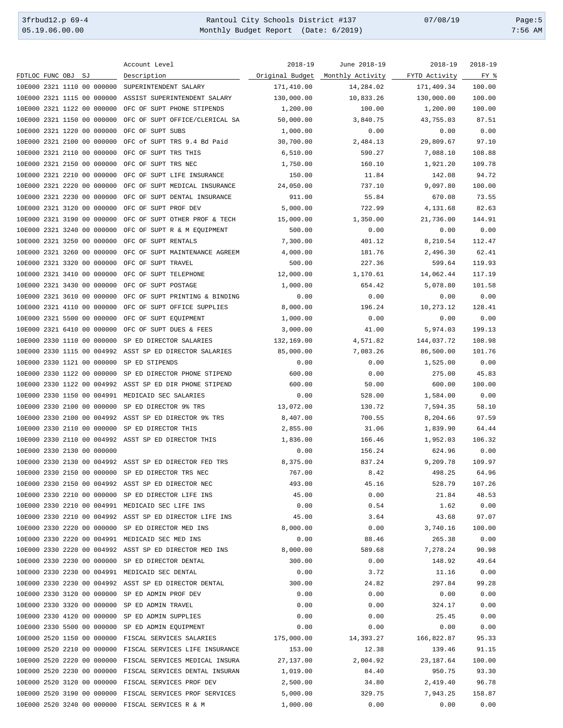3frbud12.p 69-4 Rantoul City Schools District #137 07/08/19 Page:5 Monthly Budget Report (Date: 6/2019)

|                                                     | Account Level                                             | $2018 - 19$     | June 2018-19     | $2018 - 19$   | $2018 - 19$ |
|-----------------------------------------------------|-----------------------------------------------------------|-----------------|------------------|---------------|-------------|
| FDTLOC FUNC OBJ<br>SJ                               | Description                                               | Original Budget | Monthly Activity | FYTD Activity | FY %        |
| 10E000 2321 1110 00 000000                          | SUPERINTENDENT SALARY                                     | 171,410.00      | 14,284.02        | 171,409.34    | 100.00      |
| 10E000 2321 1115 00 000000                          | ASSIST SUPERINTENDENT SALARY                              | 130,000.00      | 10,833.26        | 130,000.00    | 100.00      |
| 10E000 2321 1122 00 000000                          | OFC OF SUPT PHONE STIPENDS                                | 1,200.00        | 100.00           | 1,200.00      | 100.00      |
| 10E000 2321 1150 00 000000                          | OFC OF SUPT OFFICE/CLERICAL SA                            | 50,000.00       | 3,840.75         | 43,755.03     | 87.51       |
| 10E000 2321 1220 00 000000                          | OFC OF SUPT SUBS                                          | 1,000.00        | 0.00             | 0.00          | 0.00        |
| 10E000 2321 2100 00 000000                          | OFC of SUPT TRS 9.4 Bd Paid                               | 30,700.00       | 2,484.13         | 29,809.67     | 97.10       |
| 10E000 2321 2110 00 000000                          | OFC OF SUPT TRS THIS                                      | 6,510.00        | 590.27           | 7,088.10      | 108.88      |
| 10E000 2321 2150 00 000000                          | OFC OF SUPT TRS NEC                                       | 1,750.00        | 160.10           | 1,921.20      | 109.78      |
|                                                     |                                                           |                 |                  |               | 94.72       |
| 10E000 2321 2210 00 000000                          | OFC OF SUPT LIFE INSURANCE                                | 150.00          | 11.84            | 142.08        |             |
| 10E000 2321 2220 00 000000                          | OFC OF SUPT MEDICAL INSURANCE                             | 24,050.00       | 737.10           | 9,097.80      | 100.00      |
| 10E000 2321 2230 00 000000                          | OFC OF SUPT DENTAL INSURANCE                              | 911.00          | 55.84            | 670.08        | 73.55       |
| 10E000 2321 3120 00 000000                          | OFC OF SUPT PROF DEV                                      | 5,000.00        | 722.99           | 4,131.68      | 82.63       |
| 10E000 2321 3190 00 000000                          | OFC OF SUPT OTHER PROF & TECH                             | 15,000.00       | 1,350.00         | 21,736.00     | 144.91      |
| 10E000 2321 3240 00 000000                          | OFC OF SUPT R & M EQUIPMENT                               | 500.00          | 0.00             | 0.00          | 0.00        |
| 10E000 2321 3250 00 000000                          | OFC OF SUPT RENTALS                                       | 7,300.00        | 401.12           | 8,210.54      | 112.47      |
| 10E000 2321 3260 00 000000                          | OFC OF SUPT MAINTENANCE AGREEM                            | 4,000.00        | 181.76           | 2,496.30      | 62.41       |
| 10E000 2321 3320 00 000000                          | OFC OF SUPT TRAVEL                                        | 500.00          | 227.36           | 599.64        | 119.93      |
| 10E000 2321 3410 00 000000                          | OFC OF SUPT TELEPHONE                                     | 12,000.00       | 1,170.61         | 14,062.44     | 117.19      |
| 10E000 2321 3430 00 000000                          | OFC OF SUPT POSTAGE                                       | 1,000.00        | 654.42           | 5,078.80      | 101.58      |
| 10E000 2321 3610 00 000000                          | OFC OF SUPT PRINTING & BINDING                            | 0.00            | 0.00             | 0.00          | 0.00        |
| 10E000 2321 4110 00 000000                          | OFC OF SUPT OFFICE SUPPLIES                               | 8,000.00        | 196.24           | 10,273.12     | 128.41      |
| 10E000 2321 5500 00 000000                          | OFC OF SUPT EQUIPMENT                                     | 1,000.00        | 0.00             | 0.00          | 0.00        |
| 10E000 2321 6410 00 000000                          | OFC OF SUPT DUES & FEES                                   | 3,000.00        | 41.00            | 5,974.03      | 199.13      |
| 10E000 2330 1110 00 000000                          | SP ED DIRECTOR SALARIES                                   | 132,169.00      | 4,571.82         | 144,037.72    | 108.98      |
| 10E000 2330 1115 00 004992                          | ASST SP ED DIRECTOR SALARIES                              | 85,000.00       | 7,083.26         | 86,500.00     | 101.76      |
| 10E000 2330 1121 00 000000                          | SP ED STIPENDS                                            | 0.00            | 0.00             | 1,525.00      | 0.00        |
| 10E000 2330 1122 00 000000                          | SP ED DIRECTOR PHONE STIPEND                              | 600.00          |                  |               | 45.83       |
|                                                     |                                                           |                 | 0.00             | 275.00        |             |
| 10E000 2330 1122 00 004992                          | ASST SP ED DIR PHONE STIPEND                              | 600.00          | 50.00            | 600.00        | 100.00      |
| 10E000 2330 1150 00 004991                          | MEDICAID SEC SALARIES                                     | 0.00            | 528.00           | 1,584.00      | 0.00        |
| 10E000 2330 2100 00 000000                          | SP ED DIRECTOR 9% TRS                                     | 13,072.00       | 130.72           | 7,594.35      | 58.10       |
| 10E000 2330 2100 00 004992                          | ASST SP ED DIRECTOR 9% TRS                                | 8,407.00        | 700.55           | 8,204.66      | 97.59       |
| 10E000 2330 2110 00 000000 SP ED DIRECTOR THIS      |                                                           | 2,855.00        | 31.06            | 1,839.90      | 64.44       |
| 10E000 2330 2110 00 004992 ASST SP ED DIRECTOR THIS |                                                           | 1,836.00        | 166.46           | 1,952.03      | 106.32      |
| 10E000 2330 2130 00 000000                          |                                                           | 0.00            | 156.24           | 624.96        | 0.00        |
|                                                     | 10E000 2330 2130 00 004992 ASST SP ED DIRECTOR FED TRS    | 8,375.00        | 837.24           | 9,209.78      | 109.97      |
| 10E000 2330 2150 00 000000 SP ED DIRECTOR TRS NEC   |                                                           | 767.00          | 8.42             | 498.25        | 64.96       |
| 10E000 2330 2150 00 004992 ASST SP ED DIRECTOR NEC  |                                                           | 493.00          | 45.16            | 528.79        | 107.26      |
| 10E000 2330 2210 00 000000 SP ED DIRECTOR LIFE INS  |                                                           | 45.00           | 0.00             | 21.84         | 48.53       |
| 10E000 2330 2210 00 004991 MEDICAID SEC LIFE INS    |                                                           | 0.00            | 0.54             | 1.62          | 0.00        |
|                                                     | 10E000 2330 2210 00 004992 ASST SP ED DIRECTOR LIFE INS   | 45.00           | 3.64             | 43.68         | 97.07       |
| 10E000 2330 2220 00 000000 SP ED DIRECTOR MED INS   |                                                           | 8,000.00        | 0.00             | 3,740.16      | 100.00      |
| 10E000 2330 2220 00 004991 MEDICAID SEC MED INS     |                                                           | 0.00            | 88.46            | 265.38        | 0.00        |
|                                                     | 10E000 2330 2220 00 004992 ASST SP ED DIRECTOR MED INS    | 8,000.00        | 589.68           | 7,278.24      | 90.98       |
| 10E000 2330 2230 00 000000 SP ED DIRECTOR DENTAL    |                                                           | 300.00          | 0.00             | 148.92        | 49.64       |
| 10E000 2330 2230 00 004991 MEDICAID SEC DENTAL      |                                                           | 0.00            | 3.72             | 11.16         | 0.00        |
|                                                     | 10E000 2330 2230 00 004992 ASST SP ED DIRECTOR DENTAL     | 300.00          | 24.82            | 297.84        | 99.28       |
| 10E000 2330 3120 00 000000 SP ED ADMIN PROF DEV     |                                                           | 0.00            | 0.00             | 0.00          | 0.00        |
| 10E000 2330 3320 00 000000 SP ED ADMIN TRAVEL       |                                                           | 0.00            | 0.00             | 324.17        | 0.00        |
| 10E000 2330 4120 00 000000 SP ED ADMIN SUPPLIES     |                                                           | 0.00            | 0.00             | 25.45         | 0.00        |
| 10E000 2330 5500 00 000000 SP ED ADMIN EQUIPMENT    |                                                           | 0.00            | 0.00             | 0.00          | 0.00        |
|                                                     |                                                           |                 |                  |               |             |
|                                                     | 10E000 2520 1150 00 000000 FISCAL SERVICES SALARIES       | 175,000.00      | 14,393.27        | 166,822.87    | 95.33       |
|                                                     | 10E000 2520 2210 00 000000 FISCAL SERVICES LIFE INSURANCE | 153.00          | 12.38            | 139.46        | 91.15       |
|                                                     | 10E000 2520 2220 00 000000 FISCAL SERVICES MEDICAL INSURA | 27,137.00       | 2,004.92         | 23,187.64     | 100.00      |
|                                                     | 10E000 2520 2230 00 000000 FISCAL SERVICES DENTAL INSURAN | 1,019.00        | 84.40            | 950.75        | 93.30       |
| 10E000 2520 3120 00 000000 FISCAL SERVICES PROF DEV |                                                           | 2,500.00        | 34.80            | 2,419.40      | 96.78       |
|                                                     | 10E000 2520 3190 00 000000 FISCAL SERVICES PROF SERVICES  | 5,000.00        | 329.75           | 7,943.25      | 158.87      |
| 10E000 2520 3240 00 000000 FISCAL SERVICES R & M    |                                                           | 1,000.00        | 0.00             | 0.00          | 0.00        |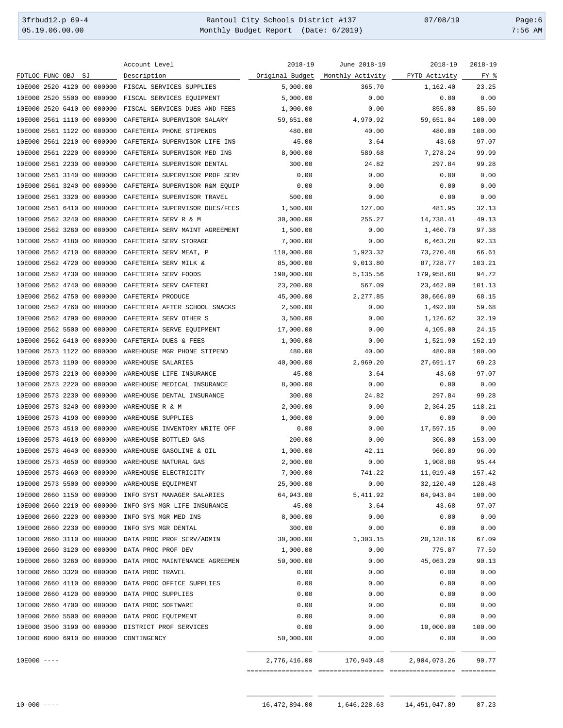3frbud12.p 69-4 Rantoul City Schools District #137 07/08/19 Page:6 Monthly Budget Report (Date: 6/2019)

|                                                     | Account Level                                             | $2018 - 19$     | June 2018-19                         | $2018 - 19$      | $2018 - 19$ |
|-----------------------------------------------------|-----------------------------------------------------------|-----------------|--------------------------------------|------------------|-------------|
| FDTLOC FUNC OBJ<br>SJ                               | Description                                               | Original Budget | Monthly Activity                     | FYTD Activity    | FY %        |
| 10E000 2520 4120 00 000000 FISCAL SERVICES SUPPLIES |                                                           | 5,000.00        | 365.70                               | 1,162.40         | 23.25       |
| 10E000 2520 5500 00 000000                          | FISCAL SERVICES EQUIPMENT                                 | 5,000.00        | 0.00                                 | 0.00             | 0.00        |
| 10E000 2520 6410 00 000000                          | FISCAL SERVICES DUES AND FEES                             | 1,000.00        | 0.00                                 | 855.00           | 85.50       |
| 10E000 2561 1110 00 000000                          | CAFETERIA SUPERVISOR SALARY                               | 59,651.00       | 4,970.92                             | 59,651.04        | 100.00      |
| 10E000 2561 1122 00 000000                          | CAFETERIA PHONE STIPENDS                                  | 480.00          | 40.00                                | 480.00           | 100.00      |
| 10E000 2561 2210 00 000000                          | CAFETERIA SUPERVISOR LIFE INS                             | 45.00           | 3.64                                 | 43.68            | 97.07       |
| 10E000 2561 2220 00 000000                          | CAFETERIA SUPERVISOR MED INS                              | 8,000.00        | 589.68                               | 7,278.24         | 99.99       |
| 10E000 2561 2230 00 000000                          | CAFETERIA SUPERVISOR DENTAL                               | 300.00          | 24.82                                | 297.84           | 99.28       |
| 10E000 2561 3140 00 000000                          | CAFETERIA SUPERVISOR PROF SERV                            | 0.00            | 0.00                                 | 0.00             | 0.00        |
| 10E000 2561 3240 00 000000                          | CAFETERIA SUPERVISOR R&M EQUIP                            | 0.00            | 0.00                                 | 0.00             | 0.00        |
| 10E000 2561 3320 00 000000                          | CAFETERIA SUPERVISOR TRAVEL                               | 500.00          | 0.00                                 | 0.00             | 0.00        |
| 10E000 2561 6410 00 000000                          | CAFETERIA SUPERVISOR DUES/FEES                            | 1,500.00        | 127.00                               | 481.95           | 32.13       |
| 10E000 2562 3240 00 000000                          | CAFETERIA SERV R & M                                      | 30,000.00       | 255.27                               | 14,738.41        | 49.13       |
| 10E000 2562 3260 00 000000                          | CAFETERIA SERV MAINT AGREEMENT                            | 1,500.00        | 0.00                                 | 1,460.70         | 97.38       |
| 10E000 2562 4180 00 000000                          | CAFETERIA SERV STORAGE                                    | 7,000.00        | 0.00                                 | 6,463.28         | 92.33       |
| 10E000 2562 4710 00 000000                          | CAFETERIA SERV MEAT, P                                    | 110,000.00      | 1,923.32                             | 73,270.48        | 66.61       |
| 10E000 2562 4720 00 000000                          | CAFETERIA SERV MILK &                                     | 85,000.00       | 9,013.80                             | 87,728.77        | 103.21      |
| 10E000 2562 4730 00 000000                          | CAFETERIA SERV FOODS                                      | 190,000.00      | 5,135.56                             | 179,958.68       | 94.72       |
| 10E000 2562 4740 00 000000                          | CAFETERIA SERV CAFTERI                                    | 23,200.00       | 567.09                               | 23,462.09        | 101.13      |
| 10E000 2562 4750 00 000000                          | CAFETERIA PRODUCE                                         | 45,000.00       | 2,277.85                             | 30,666.89        | 68.15       |
| 10E000 2562 4760 00 000000                          | CAFETERIA AFTER SCHOOL SNACKS                             | 2,500.00        | 0.00                                 | 1,492.00         | 59.68       |
| 10E000 2562 4790 00 000000                          | CAFETERIA SERV OTHER S                                    | 3,500.00        | 0.00                                 | 1,126.62         | 32.19       |
| 10E000 2562 5500 00 000000                          | CAFETERIA SERVE EQUIPMENT                                 | 17,000.00       | 0.00                                 | 4,105.00         | 24.15       |
| 10E000 2562 6410 00 000000                          | CAFETERIA DUES & FEES                                     | 1,000.00        | 0.00                                 | 1,521.90         | 152.19      |
| 10E000 2573 1122 00 000000                          | WAREHOUSE MGR PHONE STIPEND                               | 480.00          | 40.00                                | 480.00           | 100.00      |
| 10E000 2573 1190 00 000000                          | WAREHOUSE SALARIES                                        | 40,000.00       | 2,969.20                             | 27,691.17        | 69.23       |
| 10E000 2573 2210 00 000000                          | WAREHOUSE LIFE INSURANCE                                  | 45.00           | 3.64                                 | 43.68            | 97.07       |
| 10E000 2573 2220 00 000000                          | WAREHOUSE MEDICAL INSURANCE                               | 8,000.00        | 0.00                                 | 0.00             | 0.00        |
| 10E000 2573 2230 00 000000                          | WAREHOUSE DENTAL INSURANCE                                | 300.00          | 24.82                                | 297.84           | 99.28       |
| 10E000 2573 3240 00 000000                          | WAREHOUSE R & M                                           | 2,000.00        | 0.00                                 | 2,364.25         | 118.21      |
| 10E000 2573 4190 00 000000                          | WAREHOUSE SUPPLIES                                        | 1,000.00        | 0.00                                 | 0.00             | 0.00        |
| 10E000 2573 4510 00 000000                          | WAREHOUSE INVENTORY WRITE OFF                             | 0.00            | 0.00                                 | 17,597.15        | 0.00        |
| 10E000 2573 4610 00 000000                          | WAREHOUSE BOTTLED GAS                                     | 200.00          | 0.00                                 | 306.00           | 153.00      |
| 10E000 2573 4640 00 000000                          | WAREHOUSE GASOLINE & OIL                                  | 1,000.00        | 42.11                                | 960.89           | 96.09       |
| 10E000 2573 4650 00 000000                          | WAREHOUSE NATURAL GAS                                     | 2,000.00        | 0.00                                 | 1,908.88         | 95.44       |
| 10E000 2573 4660 00 000000 WAREHOUSE ELECTRICITY    |                                                           | 7,000.00        | 741.22                               | 11,019.40 157.42 |             |
| 10E000 2573 5500 00 000000 WAREHOUSE EQUIPMENT      |                                                           | 25,000.00       | 0.00                                 | 32,120.40        | 128.48      |
|                                                     | 10E000 2660 1150 00 000000 INFO SYST MANAGER SALARIES     | 64,943.00       | 5,411.92                             | 64,943.04        | 100.00      |
|                                                     | 10E000 2660 2210 00 000000 INFO SYS MGR LIFE INSURANCE    | 45.00           | 3.64                                 | 43.68            | 97.07       |
| 10E000 2660 2220 00 000000 INFO SYS MGR MED INS     |                                                           | 8,000.00        | 0.00                                 | 0.00             | 0.00        |
| 10E000 2660 2230 00 000000 INFO SYS MGR DENTAL      |                                                           | 300.00          | 0.00                                 | 0.00             | 0.00        |
|                                                     | 10E000 2660 3110 00 000000 DATA PROC PROF SERV/ADMIN      | 30,000.00       | 1,303.15                             | 20,128.16        | 67.09       |
| 10E000 2660 3120 00 000000 DATA PROC PROF DEV       |                                                           | 1,000.00        | 0.00                                 | 775.87           | 77.59       |
|                                                     | 10E000 2660 3260 00 000000 DATA PROC MAINTENANCE AGREEMEN | 50,000.00       | 0.00                                 | 45,063.20        | 90.13       |
| 10E000 2660 3320 00 000000 DATA PROC TRAVEL         |                                                           | 0.00            | 0.00                                 | 0.00             | 0.00        |
|                                                     | 10E000 2660 4110 00 000000 DATA PROC OFFICE SUPPLIES      | 0.00            | 0.00                                 | 0.00             | 0.00        |
| 10E000 2660 4120 00 000000 DATA PROC SUPPLIES       |                                                           | 0.00            | 0.00                                 | 0.00             | 0.00        |
| 10E000 2660 4700 00 000000 DATA PROC SOFTWARE       |                                                           | 0.00            | 0.00                                 | 0.00             | 0.00        |
| 10E000 2660 5500 00 000000 DATA PROC EQUIPMENT      |                                                           | 0.00            | 0.00                                 | 0.00             | 0.00        |
| 10E000 3500 3190 00 000000 DISTRICT PROF SERVICES   |                                                           | 0.00            | 0.00                                 | 10,000.00        | 100.00      |
| 10E000 6000 6910 00 000000 CONTINGENCY              |                                                           | 50,000.00       | 0.00                                 | 0.00             | 0.00        |
| $10E000$ ----                                       |                                                           |                 | 2,776,416.00 170,940.48 2,904,073.26 |                  | 90.77       |
|                                                     |                                                           |                 |                                      |                  |             |

\_\_\_\_\_\_\_\_\_\_\_\_\_\_\_\_\_ \_\_\_\_\_\_\_\_\_\_\_\_\_\_\_\_\_ \_\_\_\_\_\_\_\_\_\_\_\_\_\_\_\_\_ \_\_\_\_\_\_\_\_\_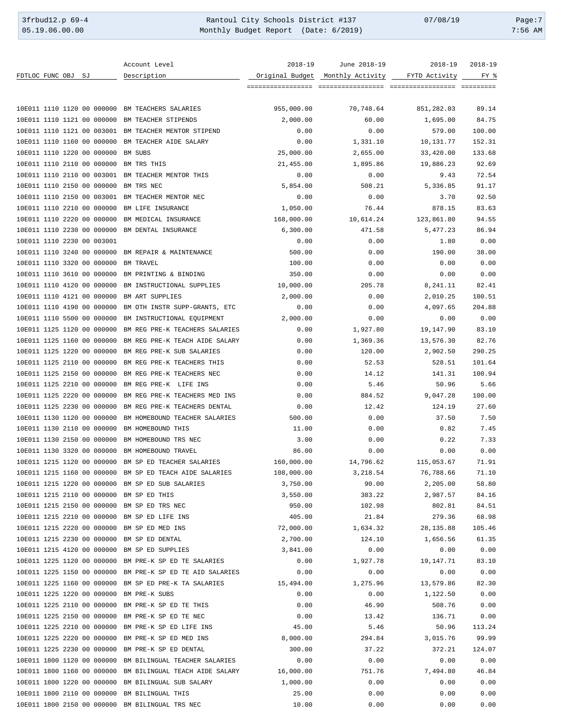3frbud12.p 69-4 Rantoul City Schools District #137 07/08/19 Page:7 Monthly Budget Report (Date: 6/2019)

|                                                    | Account Level                                             | $2018 - 19$     | June 2018-19     | $2018 - 19$   | $2018 - 19$ |
|----------------------------------------------------|-----------------------------------------------------------|-----------------|------------------|---------------|-------------|
| FDTLOC FUNC OBJ SJ                                 | Description                                               | Original Budget | Monthly Activity | FYTD Activity | FY %        |
|                                                    |                                                           |                 |                  |               |             |
|                                                    |                                                           |                 |                  |               |             |
| 10E011 1110 1120 00 000000 BM TEACHERS SALARIES    |                                                           | 955,000.00      | 70,748.64        | 851,282.03    | 89.14       |
| 10E011 1110 1121 00 000000 BM TEACHER STIPENDS     |                                                           | 2,000.00        | 60.00            | 1,695.00      | 84.75       |
|                                                    | 10E011 1110 1121 00 003001 BM TEACHER MENTOR STIPEND      | 0.00            | 0.00             | 579.00        | 100.00      |
| 10E011 1110 1160 00 000000 BM TEACHER AIDE SALARY  |                                                           | 0.00            | 1,331.10         | 10,131.77     | 152.31      |
| 10E011 1110 1220 00 000000 BM SUBS                 |                                                           | 25,000.00       | 2,655.00         | 33,420.00     | 133.68      |
| 10E011 1110 2110 00 000000 BM TRS THIS             |                                                           | 21,455.00       | 1,895.86         | 19,886.23     | 92.69       |
| 10E011 1110 2110 00 003001 BM TEACHER MENTOR THIS  |                                                           | 0.00            | 0.00             | 9.43          | 72.54       |
| 10E011 1110 2150 00 000000 BM TRS NEC              |                                                           | 5,854.00        | 508.21           | 5,336.85      | 91.17       |
| 10E011 1110 2150 00 003001 BM TEACHER MENTOR NEC   |                                                           | 0.00            | 0.00             | 3.70          | 92.50       |
| 10E011 1110 2210 00 000000 BM LIFE INSURANCE       |                                                           | 1,050.00        | 76.44            | 878.15        | 83.63       |
| 10E011 1110 2220 00 000000 BM MEDICAL INSURANCE    |                                                           | 168,000.00      | 10,614.24        | 123,861.80    | 94.55       |
| 10E011 1110 2230 00 000000 BM DENTAL INSURANCE     |                                                           | 6,300.00        | 471.58           | 5,477.23      | 86.94       |
| 10E011 1110 2230 00 003001                         |                                                           |                 |                  |               |             |
|                                                    |                                                           | 0.00            | 0.00             | 1.80          | 0.00        |
| 10E011 1110 3240 00 000000 BM REPAIR & MAINTENANCE |                                                           | 500.00          | 0.00             | 190.00        | 38.00       |
| 10E011 1110 3320 00 000000                         | <b>BM TRAVEL</b>                                          | 100.00          | 0.00             | 0.00          | 0.00        |
| 10E011 1110 3610 00 000000                         | BM PRINTING & BINDING                                     | 350.00          | 0.00             | 0.00          | 0.00        |
| 10E011 1110 4120 00 000000                         | BM INSTRUCTIONAL SUPPLIES                                 | 10,000.00       | 205.78           | 8,241.11      | 82.41       |
| 10E011 1110 4121 00 000000                         | BM ART SUPPLIES                                           | 2,000.00        | 0.00             | 2,010.25      | 100.51      |
| 10E011 1110 4190 00 000000                         | BM OTH INSTR SUPP-GRANTS, ETC                             | 0.00            | 0.00             | 4,097.65      | 204.88      |
|                                                    | 10E011 1110 5500 00 000000 BM INSTRUCTIONAL EQUIPMENT     | 2,000.00        | 0.00             | 0.00          | 0.00        |
|                                                    | 10E011 1125 1120 00 000000 BM REG PRE-K TEACHERS SALARIES | 0.00            | 1,927.80         | 19,147.90     | 83.10       |
|                                                    | 10E011 1125 1160 00 000000 BM REG PRE-K TEACH AIDE SALARY | 0.00            | 1,369.36         | 13,576.30     | 82.76       |
|                                                    | 10E011 1125 1220 00 000000 BM REG PRE-K SUB SALARIES      | 0.00            | 120.00           | 2,902.50      | 290.25      |
| 10E011 1125 2110 00 000000                         | BM REG PRE-K TEACHERS THIS                                | 0.00            | 52.53            | 528.51        | 101.64      |
| 10E011 1125 2150 00 000000                         | BM REG PRE-K TEACHERS NEC                                 | 0.00            | 14.12            | 141.31        | 100.94      |
| 10E011 1125 2210 00 000000                         | BM REG PRE-K LIFE INS                                     | 0.00            | 5.46             | 50.96         | 5.66        |
| 10E011 1125 2220 00 000000                         | BM REG PRE-K TEACHERS MED INS                             | 0.00            | 884.52           | 9,047.28      | 100.00      |
|                                                    | 10E011 1125 2230 00 000000 BM REG PRE-K TEACHERS DENTAL   | 0.00            | 12.42            | 124.19        | 27.60       |
|                                                    | 10E011 1130 1120 00 000000 BM HOMEBOUND TEACHER SALARIES  | 500.00          | 0.00             | 37.50         | 7.50        |
| 10E011 1130 2110 00 000000 BM HOMEBOUND THIS       |                                                           | 11.00           | 0.00             | 0.82          | 7.45        |
| 10E011 1130 2150 00 000000 BM HOMEBOUND TRS NEC    |                                                           | 3.00            | 0.00             | 0.22          | 7.33        |
| 10E011 1130 3320 00 000000 BM HOMEBOUND TRAVEL     |                                                           | 86.00           | 0.00             | 0.00          | 0.00        |
|                                                    | 10E011 1215 1120 00 000000 BM SP ED TEACHER SALARIES      | 160,000.00      | 14,796.62        |               |             |
|                                                    |                                                           |                 |                  | 115,053.67    | 71.91       |
|                                                    | 10E011 1215 1160 00 000000 BM SP ED TEACH AIDE SALARIES   | 108,000.00      | 3,218.54         | 76,788.66     | 71.10       |
| 10E011 1215 1220 00 000000 BM SP ED SUB SALARIES   |                                                           | 3,750.00        | 90.00            | 2,205.00      | 58.80       |
| 10E011 1215 2110 00 000000 BM SP ED THIS           |                                                           | 3,550.00        | 383.22           | 2,987.57      | 84.16       |
| 10E011 1215 2150 00 000000 BM SP ED TRS NEC        |                                                           | 950.00          | 102.98           | 802.81        | 84.51       |
| 10E011 1215 2210 00 000000 BM SP ED LIFE INS       |                                                           | 405.00          | 21.84            | 279.36        | 68.98       |
| 10E011 1215 2220 00 000000 BM SP ED MED INS        |                                                           | 72,000.00       | 1,634.32         | 28, 135.88    | 105.46      |
| 10E011 1215 2230 00 000000 BM SP ED DENTAL         |                                                           | 2,700.00        | 124.10           | 1,656.56      | 61.35       |
| 10E011 1215 4120 00 000000 BM SP ED SUPPLIES       |                                                           | 3,841.00        | 0.00             | 0.00          | 0.00        |
|                                                    | 10E011 1225 1120 00 000000 BM PRE-K SP ED TE SALARIES     | 0.00            | 1,927.78         | 19,147.71     | 83.10       |
|                                                    | 10E011 1225 1150 00 000000 BM PRE-K SP ED TE AID SALARIES | 0.00            | 0.00             | 0.00          | 0.00        |
|                                                    | 10E011 1225 1160 00 000000 BM SP ED PRE-K TA SALARIES     | 15,494.00       | 1,275.96         | 13,579.86     | 82.30       |
| 10E011 1225 1220 00 000000 BM PRE-K SUBS           |                                                           | 0.00            | 0.00             | 1,122.50      | 0.00        |
| 10E011 1225 2110 00 000000 BM PRE-K SP ED TE THIS  |                                                           | 0.00            | 46.90            | 508.76        | 0.00        |
| 10E011 1225 2150 00 000000 BM PRE-K SP ED TE NEC   |                                                           | 0.00            | 13.42            | 136.71        | 0.00        |
| 10E011 1225 2210 00 000000 BM PRE-K SP ED LIFE INS |                                                           | 45.00           | 5.46             | 50.96         | 113.24      |
| 10E011 1225 2220 00 000000 BM PRE-K SP ED MED INS  |                                                           | 8,000.00        | 294.84           | 3,015.76      | 99.99       |
| 10E011 1225 2230 00 000000 BM PRE-K SP ED DENTAL   |                                                           | 300.00          | 37.22            | 372.21        | 124.07      |
|                                                    | 10E011 1800 1120 00 000000 BM BILINGUAL TEACHER SALARIES  | 0.00            | 0.00             | 0.00          | 0.00        |
|                                                    | 10E011 1800 1160 00 000000 BM BILINGUAL TEACH AIDE SALARY | 16,000.00       | 751.76           | 7,494.80      | 46.84       |
| 10E011 1800 1220 00 000000 BM BILINGUAL SUB SALARY |                                                           | 1,000.00        | 0.00             | 0.00          | 0.00        |
| 10E011 1800 2110 00 000000 BM BILINGUAL THIS       |                                                           | 25.00           | 0.00             | 0.00          | 0.00        |
| 10E011 1800 2150 00 000000 BM BILINGUAL TRS NEC    |                                                           | 10.00           | 0.00             | 0.00          | 0.00        |
|                                                    |                                                           |                 |                  |               |             |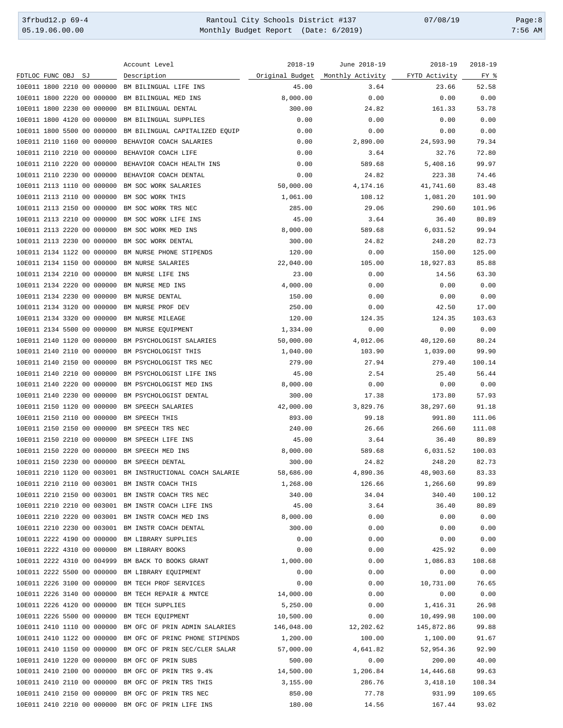3frbud12.p 69-4 Rantoul City Schools District #137 07/08/19 Page:8 Monthly Budget Report (Date: 6/2019)

|                                                    | Account Level                                             | $2018 - 19$ | June 2018-19                                   | $2018 - 19$ | $2018 - 19$ |
|----------------------------------------------------|-----------------------------------------------------------|-------------|------------------------------------------------|-------------|-------------|
| FDTLOC FUNC OBJ<br>SJ                              | Description                                               |             | Original Budget Monthly Activity FYTD Activity |             | FY %        |
| 10E011 1800 2210 00 000000                         | BM BILINGUAL LIFE INS                                     | 45.00       | 3.64                                           | 23.66       | 52.58       |
| 10E011 1800 2220 00 000000                         | BM BILINGUAL MED INS                                      | 8,000.00    | 0.00                                           | 0.00        | 0.00        |
| 10E011 1800 2230 00 000000                         | BM BILINGUAL DENTAL                                       | 300.00      | 24.82                                          | 161.33      | 53.78       |
| 10E011 1800 4120 00 000000                         | BM BILINGUAL SUPPLIES                                     | 0.00        | 0.00                                           | 0.00        | 0.00        |
| 10E011 1800 5500 00 000000                         | BM BILINGUAL CAPITALIZED EQUIP                            | 0.00        | 0.00                                           | 0.00        | 0.00        |
|                                                    |                                                           | 0.00        | 2,890.00                                       |             | 79.34       |
| 10E011 2110 1160 00 000000                         | BEHAVIOR COACH SALARIES                                   |             |                                                | 24,593.90   |             |
| 10E011 2110 2210 00 000000                         | BEHAVIOR COACH LIFE                                       | 0.00        | 3.64                                           | 32.76       | 72.80       |
| 10E011 2110 2220 00 000000                         | BEHAVIOR COACH HEALTH INS                                 | 0.00        | 589.68                                         | 5,408.16    | 99.97       |
| 10E011 2110 2230 00 000000                         | BEHAVIOR COACH DENTAL                                     | 0.00        | 24.82                                          | 223.38      | 74.46       |
| 10E011 2113 1110 00 000000                         | BM SOC WORK SALARIES                                      | 50,000.00   | 4,174.16                                       | 41,741.60   | 83.48       |
| 10E011 2113 2110 00 000000                         | BM SOC WORK THIS                                          | 1,061.00    | 108.12                                         | 1,081.20    | 101.90      |
| 10E011 2113 2150 00 000000                         | BM SOC WORK TRS NEC                                       | 285.00      | 29.06                                          | 290.60      | 101.96      |
| 10E011 2113 2210 00 000000                         | BM SOC WORK LIFE INS                                      | 45.00       | 3.64                                           | 36.40       | 80.89       |
| 10E011 2113 2220 00 000000                         | BM SOC WORK MED INS                                       | 8,000.00    | 589.68                                         | 6,031.52    | 99.94       |
| 10E011 2113 2230 00 000000                         | BM SOC WORK DENTAL                                        | 300.00      | 24.82                                          | 248.20      | 82.73       |
| 10E011 2134 1122 00 000000                         | BM NURSE PHONE STIPENDS                                   | 120.00      | 0.00                                           | 150.00      | 125.00      |
| 10E011 2134 1150 00 000000                         | BM NURSE SALARIES                                         | 22,040.00   | 105.00                                         | 18,927.83   | 85.88       |
| 10E011 2134 2210 00 000000                         | BM NURSE LIFE INS                                         | 23.00       | 0.00                                           | 14.56       | 63.30       |
| 10E011 2134 2220 00 000000                         | BM NURSE MED INS                                          | 4,000.00    | 0.00                                           | 0.00        | 0.00        |
|                                                    |                                                           |             |                                                |             |             |
| 10E011 2134 2230 00 000000                         | BM NURSE DENTAL                                           | 150.00      | 0.00                                           | 0.00        | 0.00        |
| 10E011 2134 3120 00 000000                         | BM NURSE PROF DEV                                         | 250.00      | 0.00                                           | 42.50       | 17.00       |
| 10E011 2134 3320 00 000000                         | BM NURSE MILEAGE                                          | 120.00      | 124.35                                         | 124.35      | 103.63      |
| 10E011 2134 5500 00 000000                         | BM NURSE EQUIPMENT                                        | 1,334.00    | 0.00                                           | 0.00        | 0.00        |
| 10E011 2140 1120 00 000000                         | BM PSYCHOLOGIST SALARIES                                  | 50,000.00   | 4,012.06                                       | 40,120.60   | 80.24       |
| 10E011 2140 2110 00 000000                         | BM PSYCHOLOGIST THIS                                      | 1,040.00    | 103.90                                         | 1,039.00    | 99.90       |
| 10E011 2140 2150 00 000000                         | BM PSYCHOLOGIST TRS NEC                                   | 279.00      | 27.94                                          | 279.40      | 100.14      |
| 10E011 2140 2210 00 000000                         | BM PSYCHOLOGIST LIFE INS                                  | 45.00       | 2.54                                           | 25.40       | 56.44       |
| 10E011 2140 2220 00 000000                         | BM PSYCHOLOGIST MED INS                                   | 8,000.00    | 0.00                                           | 0.00        | 0.00        |
| 10E011 2140 2230 00 000000                         | BM PSYCHOLOGIST DENTAL                                    | 300.00      | 17.38                                          | 173.80      | 57.93       |
| 10E011 2150 1120 00 000000                         | BM SPEECH SALARIES                                        | 42,000.00   | 3,829.76                                       | 38,297.60   | 91.18       |
| 10E011 2150 2110 00 000000                         | BM SPEECH THIS                                            | 893.00      | 99.18                                          | 991.80      | 111.06      |
|                                                    |                                                           | 240.00      |                                                | 266.60      |             |
| 10E011 2150 2150 00 000000                         | BM SPEECH TRS NEC                                         |             | 26.66                                          |             | 111.08      |
| 10E011 2150 2210 00 000000                         | BM SPEECH LIFE INS                                        | 45.00       | 3.64                                           | 36.40       | 80.89       |
| 10E011 2150 2220 00 000000                         | BM SPEECH MED INS                                         | 8,000.00    | 589.68                                         | 6,031.52    | 100.03      |
| 10E011 2150 2230 00 000000                         | BM SPEECH DENTAL                                          | 300.00      | 24.82                                          | 248.20      | 82.73       |
|                                                    | 10E011 2210 1120 00 003001 BM INSTRUCTIONAL COACH SALARIE | 58,686.00   | 4,890.36                                       | 48,903.60   | 83.33       |
| 10E011 2210 2110 00 003001 BM INSTR COACH THIS     |                                                           | 1,268.00    | 126.66                                         | 1,266.60    | 99.89       |
| 10E011 2210 2150 00 003001 BM INSTR COACH TRS NEC  |                                                           | 340.00      | 34.04                                          | 340.40      | 100.12      |
| 10E011 2210 2210 00 003001 BM INSTR COACH LIFE INS |                                                           | 45.00       | 3.64                                           | 36.40       | 80.89       |
| 10E011 2210 2220 00 003001 BM INSTR COACH MED INS  |                                                           | 8,000.00    | 0.00                                           | 0.00        | 0.00        |
| 10E011 2210 2230 00 003001 BM INSTR COACH DENTAL   |                                                           | 300.00      | 0.00                                           | 0.00        | 0.00        |
| 10E011 2222 4190 00 000000 BM LIBRARY SUPPLIES     |                                                           | 0.00        | 0.00                                           | 0.00        | 0.00        |
| 10E011 2222 4310 00 000000 BM LIBRARY BOOKS        |                                                           | 0.00        | 0.00                                           | 425.92      | 0.00        |
| 10E011 2222 4310 00 004999 BM BACK TO BOOKS GRANT  |                                                           | 1,000.00    | 0.00                                           | 1,086.83    | 108.68      |
|                                                    |                                                           | 0.00        | 0.00                                           |             | 0.00        |
| 10E011 2222 5500 00 000000 BM LIBRARY EQUIPMENT    |                                                           |             |                                                | 0.00        |             |
| 10E011 2226 3100 00 000000 BM TECH PROF SERVICES   |                                                           | 0.00        | 0.00                                           | 10,731.00   | 76.65       |
| 10E011 2226 3140 00 000000 BM TECH REPAIR & MNTCE  |                                                           | 14,000.00   | 0.00                                           | 0.00        | 0.00        |
| 10E011 2226 4120 00 000000 BM TECH SUPPLIES        |                                                           | 5,250.00    | 0.00                                           | 1,416.31    | 26.98       |
| 10E011 2226 5500 00 000000 BM TECH EQUIPMENT       |                                                           | 10,500.00   | 0.00                                           | 10,499.98   | 100.00      |
|                                                    | 10E011 2410 1110 00 000000 BM OFC OF PRIN ADMIN SALARIES  | 146,048.00  | 12,202.62                                      | 145,872.86  | 99.88       |
|                                                    | 10E011 2410 1122 00 000000 BM OFC OF PRINC PHONE STIPENDS | 1,200.00    | 100.00                                         | 1,100.00    | 91.67       |
|                                                    | 10E011 2410 1150 00 000000 BM OFC OF PRIN SEC/CLER SALAR  | 57,000.00   | 4,641.82                                       | 52,954.36   | 92.90       |
| 10E011 2410 1220 00 000000 BM OFC OF PRIN SUBS     |                                                           | 500.00      | 0.00                                           | 200.00      | 40.00       |
| 10E011 2410 2100 00 000000 BM OFC OF PRIN TRS 9.4% |                                                           | 14,500.00   | 1,206.84                                       | 14,446.68   | 99.63       |
| 10E011 2410 2110 00 000000 BM OFC OF PRIN TRS THIS |                                                           | 3,155.00    | 286.76                                         | 3,418.10    | 108.34      |
| 10E011 2410 2150 00 000000 BM OFC OF PRIN TRS NEC  |                                                           | 850.00      | 77.78                                          | 931.99      | 109.65      |
| 10E011 2410 2210 00 000000 BM OFC OF PRIN LIFE INS |                                                           | 180.00      | 14.56                                          | 167.44      | 93.02       |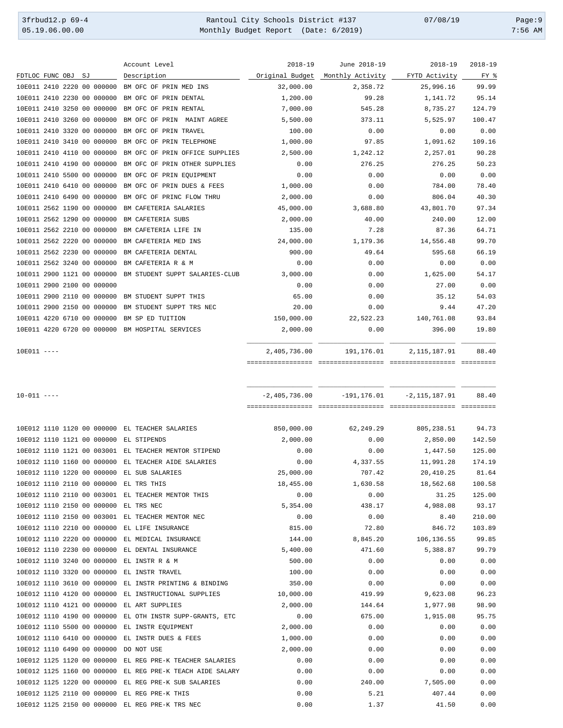3frbud12.p 69-4 <br>
35.19.06.00.00 Rantoul City Schools District #137 07/08/19 Page:9<br>
Monthly Budget Report (Date: 6/2019) 07:56 AM Monthly Budget Report (Date: 6/2019) 7:56 AM

| :56 | AM |
|-----|----|

|                                                 | Account Level                  | 2018-19         | June 2018-19                   | $2018 - 19$       | $2018 - 19$ |
|-------------------------------------------------|--------------------------------|-----------------|--------------------------------|-------------------|-------------|
| FDTLOC FUNC OBJ<br>SJ                           | Description                    | Original Budget | Monthly Activity FYTD Activity |                   | FY %        |
| 10E011 2410 2220 00 000000                      | BM OFC OF PRIN MED INS         | 32,000.00       | 2,358.72                       | 25,996.16         | 99.99       |
| 10E011 2410 2230 00 000000                      | BM OFC OF PRIN DENTAL          | 1,200.00        | 99.28                          | 1,141.72          | 95.14       |
| 10E011 2410 3250 00 000000                      | BM OFC OF PRIN RENTAL          | 7,000.00        | 545.28                         | 8,735.27          | 124.79      |
| 10E011 2410 3260 00 000000                      | BM OFC OF PRIN MAINT AGREE     | 5,500.00        | 373.11                         | 5,525.97          | 100.47      |
| 10E011 2410 3320 00 000000                      | BM OFC OF PRIN TRAVEL          | 100.00          | 0.00                           | 0.00              | 0.00        |
| 10E011 2410 3410 00 000000                      | BM OFC OF PRIN TELEPHONE       | 1,000.00        | 97.85                          | 1,091.62          | 109.16      |
| 10E011 2410 4110 00 000000                      | BM OFC OF PRIN OFFICE SUPPLIES | 2,500.00        | 1,242.12                       | 2,257.01          | 90.28       |
| 10E011 2410 4190 00 000000                      | BM OFC OF PRIN OTHER SUPPLIES  | 0.00            | 276.25                         | 276.25            | 50.23       |
| 10E011 2410 5500 00 000000                      | BM OFC OF PRIN EQUIPMENT       | 0.00            | 0.00                           | 0.00              | 0.00        |
| 10E011 2410 6410 00 000000                      | BM OFC OF PRIN DUES & FEES     | 1,000.00        | 0.00                           | 784.00            | 78.40       |
| 10E011 2410 6490 00 000000                      | BM OFC OF PRINC FLOW THRU      | 2,000.00        | 0.00                           | 806.04            | 40.30       |
| 10E011 2562 1190 00 000000                      | BM CAFETERIA SALARIES          | 45,000.00       | 3,688.80                       | 43,801.70         | 97.34       |
| 10E011 2562 1290 00 000000                      | BM CAFETERIA SUBS              | 2,000.00        | 40.00                          | 240.00            | 12.00       |
| 10E011 2562 2210 00 000000                      | BM CAFETERIA LIFE IN           | 135.00          | 7.28                           | 87.36             | 64.71       |
| 10E011 2562 2220 00 000000                      | BM CAFETERIA MED INS           | 24,000.00       | 1,179.36                       | 14,556.48         | 99.70       |
| 10E011 2562 2230 00 000000                      | BM CAFETERIA DENTAL            | 900.00          | 49.64                          | 595.68            | 66.19       |
| 10E011 2562 3240 00 000000                      | BM CAFETERIA R & M             | 0.00            | 0.00                           | 0.00              | 0.00        |
| 10E011 2900 1121 00 000000                      | BM STUDENT SUPPT SALARIES-CLUB | 3,000.00        | 0.00                           | 1,625.00          | 54.17       |
| 10E011 2900 2100 00 000000                      |                                | 0.00            | 0.00                           | 27.00             | 0.00        |
| 10E011 2900 2110 00 000000                      | BM STUDENT SUPPT THIS          | 65.00           | 0.00                           | 35.12             | 54.03       |
| 10E011 2900 2150 00 000000                      | BM STUDENT SUPPT TRS NEC       | 20.00           | 0.00                           | 9.44              | 47.20       |
| 10E011 4220 6710 00 000000                      | BM SP ED TUITION               | 150,000.00      | 22,522.23                      | 140,761.08        | 93.84       |
| 10E011 4220 6720 00 000000 BM HOSPITAL SERVICES |                                | 2,000.00        | 0.00                           | 396.00            | 19.80       |
| $10E011$ ----                                   |                                | 2,405,736.00    | 191,176.01                     | 2,115,187.91      | 88.40       |
|                                                 |                                |                 |                                |                   |             |
| $10 - 011$ ----                                 |                                | $-2,405,736.00$ | $-191, 176.01$                 | $-2, 115, 187.91$ | 88.40       |
|                                                 |                                |                 |                                |                   |             |

|  |  |                            | 10E012 1110 1120 00 000000 EL TEACHER SALARIES            | 850,000.00 | 62, 249.29 | 805, 238.51 | 94.73  |
|--|--|----------------------------|-----------------------------------------------------------|------------|------------|-------------|--------|
|  |  |                            | 10E012 1110 1121 00 000000 EL STIPENDS                    | 2,000.00   | 0.00       | 2,850.00    | 142.50 |
|  |  |                            | 10E012 1110 1121 00 003001 EL TEACHER MENTOR STIPEND      | 0.00       | 0.00       | 1,447.50    | 125.00 |
|  |  |                            | 10E012 1110 1160 00 000000 EL TEACHER AIDE SALARIES       | 0.00       | 4,337.55   | 11,991.28   | 174.19 |
|  |  |                            | 10E012 1110 1220 00 000000 EL SUB SALARIES                | 25,000.00  | 707.42     | 20,410.25   | 81.64  |
|  |  |                            | 10E012 1110 2110 00 000000 EL TRS THIS                    | 18,455.00  | 1,630.58   | 18,562.68   | 100.58 |
|  |  |                            | 10E012 1110 2110 00 003001 EL TEACHER MENTOR THIS         | 0.00       | 0.00       | 31.25       | 125.00 |
|  |  |                            | 10E012 1110 2150 00 000000 EL TRS NEC                     | 5,354.00   | 438.17     | 4,988.08    | 93.17  |
|  |  |                            | 10E012 1110 2150 00 003001 EL TEACHER MENTOR NEC          | 0.00       | 0.00       | 8.40        | 210.00 |
|  |  |                            | 10E012 1110 2210 00 000000 EL LIFE INSURANCE              | 815.00     | 72.80      | 846.72      | 103.89 |
|  |  | 10E012 1110 2220 00 000000 | EL MEDICAL INSURANCE                                      | 144.00     | 8,845.20   | 106, 136.55 | 99.85  |
|  |  |                            | 10E012 1110 2230 00 000000 EL DENTAL INSURANCE            | 5,400.00   | 471.60     | 5,388.87    | 99.79  |
|  |  | 10E012 1110 3240 00 000000 | EL INSTR R & M                                            | 500.00     | 0.00       | 0.00        | 0.00   |
|  |  | 10E012 1110 3320 00 000000 | EL INSTR TRAVEL                                           | 100.00     | 0.00       | 0.00        | 0.00   |
|  |  | 10E012 1110 3610 00 000000 | EL INSTR PRINTING & BINDING                               | 350.00     | 0.00       | 0.00        | 0.00   |
|  |  | 10E012 1110 4120 00 000000 | EL INSTRUCTIONAL SUPPLIES                                 | 10,000.00  | 419.99     | 9,623.08    | 96.23  |
|  |  | 10E012 1110 4121 00 000000 | EL ART SUPPLIES                                           | 2,000.00   | 144.64     | 1,977.98    | 98.90  |
|  |  |                            | 10E012 1110 4190 00 000000 EL OTH INSTR SUPP-GRANTS, ETC  | 0.00       | 675.00     | 1,915.08    | 95.75  |
|  |  |                            | 10E012 1110 5500 00 000000 EL INSTR EQUIPMENT             | 2,000.00   | 0.00       | 0.00        | 0.00   |
|  |  | 10E012 1110 6410 00 000000 | EL INSTR DUES & FEES                                      | 1,000.00   | 0.00       | 0.00        | 0.00   |
|  |  | 10E012 1110 6490 00 000000 | DO NOT USE                                                | 2,000.00   | 0.00       | 0.00        | 0.00   |
|  |  | 10E012 1125 1120 00 000000 | EL REG PRE-K TEACHER SALARIES                             | 0.00       | 0.00       | 0.00        | 0.00   |
|  |  |                            | 10E012 1125 1160 00 000000 EL REG PRE-K TEACH AIDE SALARY | 0.00       | 0.00       | 0.00        | 0.00   |
|  |  |                            | 10E012 1125 1220 00 000000 EL REG PRE-K SUB SALARIES      | 0.00       | 240.00     | 7,505.00    | 0.00   |
|  |  |                            | 10E012 1125 2110 00 000000 EL REG PRE-K THIS              | 0.00       | 5.21       | 407.44      | 0.00   |
|  |  |                            | 10E012 1125 2150 00 000000 EL REG PRE-K TRS NEC           | 0.00       | 1.37       | 41.50       | 0.00   |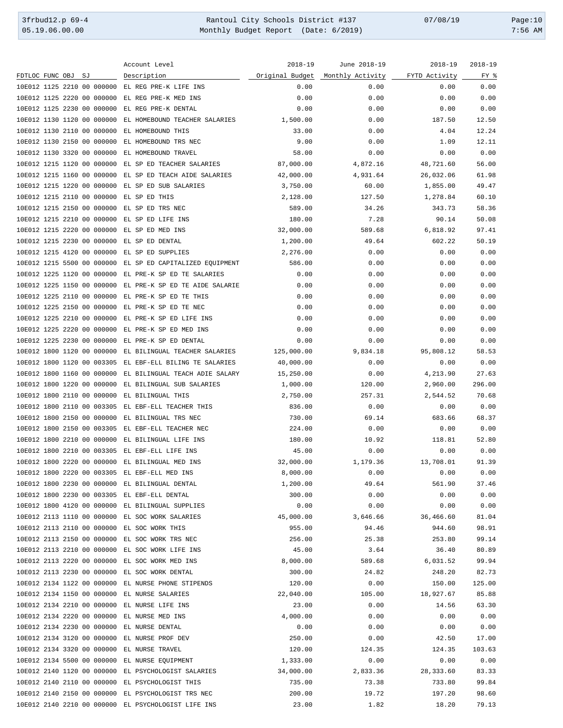3frbud12.p 69-4 Rantoul City Schools District #137 07/08/19 Page:10 Monthly Budget Report (Date: 6/2019)

|                                                     | Account Level                                                 | $2018 - 19$ | June 2018-19                                   | $2018 - 19$ | $2018 - 19$ |
|-----------------------------------------------------|---------------------------------------------------------------|-------------|------------------------------------------------|-------------|-------------|
| FDTLOC FUNC OBJ<br>SJ                               | Description                                                   |             | Original Budget Monthly Activity FYTD Activity |             | FY %        |
| 10E012 1125 2210 00 000000                          | EL REG PRE-K LIFE INS                                         | 0.00        | 0.00                                           | 0.00        | 0.00        |
| 10E012 1125 2220 00 000000                          | EL REG PRE-K MED INS                                          | 0.00        | 0.00                                           | 0.00        | 0.00        |
| 10E012 1125 2230 00 000000                          | EL REG PRE-K DENTAL                                           | 0.00        | 0.00                                           | 0.00        | 0.00        |
| 10E012 1130 1120 00 000000                          | EL HOMEBOUND TEACHER SALARIES                                 | 1,500.00    | 0.00                                           | 187.50      | 12.50       |
| 10E012 1130 2110 00 000000                          | EL HOMEBOUND THIS                                             | 33.00       | 0.00                                           | 4.04        | 12.24       |
|                                                     |                                                               |             | 0.00                                           |             | 12.11       |
| 10E012 1130 2150 00 000000                          | EL HOMEBOUND TRS NEC                                          | 9.00        |                                                | 1.09        |             |
| 10E012 1130 3320 00 000000                          | EL HOMEBOUND TRAVEL                                           | 58.00       | 0.00                                           | 0.00        | 0.00        |
| 10E012 1215 1120 00 000000                          | EL SP ED TEACHER SALARIES                                     | 87,000.00   | 4,872.16                                       | 48,721.60   | 56.00       |
| 10E012 1215 1160 00 000000                          | EL SP ED TEACH AIDE SALARIES                                  | 42,000.00   | 4,931.64                                       | 26,032.06   | 61.98       |
| 10E012 1215 1220 00 000000                          | EL SP ED SUB SALARIES                                         | 3,750.00    | 60.00                                          | 1,855.00    | 49.47       |
| 10E012 1215 2110 00 000000                          | EL SP ED THIS                                                 | 2,128.00    | 127.50                                         | 1,278.84    | 60.10       |
| 10E012 1215 2150 00 000000                          | EL SP ED TRS NEC                                              | 589.00      | 34.26                                          | 343.73      | 58.36       |
| 10E012 1215 2210 00 000000                          | EL SP ED LIFE INS                                             | 180.00      | 7.28                                           | 90.14       | 50.08       |
| 10E012 1215 2220 00 000000                          | EL SP ED MED INS                                              | 32,000.00   | 589.68                                         | 6,818.92    | 97.41       |
| 10E012 1215 2230 00 000000                          | EL SP ED DENTAL                                               | 1,200.00    | 49.64                                          | 602.22      | 50.19       |
| 10E012 1215 4120 00 000000                          | EL SP ED SUPPLIES                                             | 2,276.00    | 0.00                                           | 0.00        | 0.00        |
| 10E012 1215 5500 00 000000                          | EL SP ED CAPITALIZED EQUIPMENT                                | 586.00      | 0.00                                           | 0.00        | 0.00        |
| 10E012 1225 1120 00 000000                          | EL PRE-K SP ED TE SALARIES                                    | 0.00        | 0.00                                           | 0.00        | 0.00        |
| 10E012 1225 1150 00 000000                          | EL PRE-K SP ED TE AIDE SALARIE                                | 0.00        | 0.00                                           | 0.00        | 0.00        |
| 10E012 1225 2110 00 000000                          | EL PRE-K SP ED TE THIS                                        | 0.00        | 0.00                                           | 0.00        | 0.00        |
| 10E012 1225 2150 00 000000                          | EL PRE-K SP ED TE NEC                                         | 0.00        | 0.00                                           | 0.00        | 0.00        |
|                                                     |                                                               |             |                                                |             |             |
| 10E012 1225 2210 00 000000                          | EL PRE-K SP ED LIFE INS                                       | 0.00        | 0.00                                           | 0.00        | 0.00        |
| 10E012 1225 2220 00 000000                          | EL PRE-K SP ED MED INS                                        | 0.00        | 0.00                                           | 0.00        | 0.00        |
| 10E012 1225 2230 00 000000                          | EL PRE-K SP ED DENTAL                                         | 0.00        | 0.00                                           | 0.00        | 0.00        |
| 10E012 1800 1120 00 000000                          | EL BILINGUAL TEACHER SALARIES                                 | 125,000.00  | 9,834.18                                       | 95,808.12   | 58.53       |
| 10E012 1800 1120 00 003305                          | EL EBF-ELL BILING TE SALARIES                                 | 40,000.00   | 0.00                                           | 0.00        | 0.00        |
| 10E012 1800 1160 00 000000                          | EL BILINGUAL TEACH ADIE SALARY                                | 15,250.00   | 0.00                                           | 4,213.90    | 27.63       |
| 10E012 1800 1220 00 000000                          | EL BILINGUAL SUB SALARIES                                     | 1,000.00    | 120.00                                         | 2,960.00    | 296.00      |
| 10E012 1800 2110 00 000000                          | EL BILINGUAL THIS                                             | 2,750.00    | 257.31                                         | 2,544.52    | 70.68       |
| 10E012 1800 2110 00 003305                          | EL EBF-ELL TEACHER THIS                                       | 836.00      | 0.00                                           | 0.00        | 0.00        |
| 10E012 1800 2150 00 000000                          | EL BILINGUAL TRS NEC                                          | 730.00      | 69.14                                          | 683.66      | 68.37       |
| 10E012 1800 2150 00 003305                          | EL EBF-ELL TEACHER NEC                                        | 224.00      | 0.00                                           | 0.00        | 0.00        |
| 10E012 1800 2210 00 000000                          | EL BILINGUAL LIFE INS                                         | 180.00      | 10.92                                          | 118.81      | 52.80       |
| 10E012 1800 2210 00 003305                          | EL EBF-ELL LIFE INS                                           | 45.00       | 0.00                                           | 0.00        | 0.00        |
| 10E012 1800 2220 00 000000 EL BILINGUAL MED INS     |                                                               | 32,000.00   | 1,179.36                                       | 13,708.01   | 91.39       |
| 10E012 1800 2220 00 003305 EL EBF-ELL MED INS       |                                                               | 8,000.00    | 0.00                                           | 0.00        | 0.00        |
|                                                     |                                                               | 1,200.00    |                                                |             | 37.46       |
| 10E012 1800 2230 00 000000 EL BILINGUAL DENTAL      |                                                               |             | 49.64                                          | 561.90      |             |
| 10E012 1800 2230 00 003305 EL EBF-ELL DENTAL        |                                                               | 300.00      | 0.00                                           | 0.00        | 0.00        |
| 10E012 1800 4120 00 000000 EL BILINGUAL SUPPLIES    |                                                               | 0.00        | 0.00                                           | 0.00        | 0.00        |
| 10E012 2113 1110 00 000000 EL SOC WORK SALARIES     |                                                               | 45,000.00   | 3,646.66                                       | 36,466.60   | 81.04       |
| 10E012 2113 2110 00 000000 EL SOC WORK THIS         |                                                               | 955.00      | 94.46                                          | 944.60      | 98.91       |
| 10E012 2113 2150 00 000000 EL SOC WORK TRS NEC      |                                                               | 256.00      | 25.38                                          | 253.80      | 99.14       |
| 10E012 2113 2210 00 000000 EL SOC WORK LIFE INS     |                                                               | 45.00       | 3.64                                           | 36.40       | 80.89       |
| 10E012 2113 2220 00 000000 EL SOC WORK MED INS      |                                                               | 8,000.00    | 589.68                                         | 6,031.52    | 99.94       |
| 10E012 2113 2230 00 000000 EL SOC WORK DENTAL       |                                                               | 300.00      | 24.82                                          | 248.20      | 82.73       |
|                                                     | 10E012 2134 1122 00 000000 EL NURSE PHONE STIPENDS            | 120.00      | 0.00                                           | 150.00      | 125.00      |
| 10E012 2134 1150 00 000000 EL NURSE SALARIES        |                                                               | 22,040.00   | 105.00                                         | 18,927.67   | 85.88       |
| 10E012 2134 2210 00 000000 EL NURSE LIFE INS        |                                                               | 23.00       | 0.00                                           | 14.56       | 63.30       |
| 10E012 2134 2220 00 000000 EL NURSE MED INS         |                                                               | 4,000.00    | 0.00                                           | 0.00        | 0.00        |
| 10E012 2134 2230 00 000000 EL NURSE DENTAL          |                                                               | 0.00        | 0.00                                           | 0.00        | 0.00        |
| 10E012 2134 3120 00 000000 EL NURSE PROF DEV        |                                                               | 250.00      | 0.00                                           | 42.50       | 17.00       |
| 10E012 2134 3320 00 000000 EL NURSE TRAVEL          |                                                               | 120.00      | 124.35                                         | 124.35      | 103.63      |
| 10E012 2134 5500 00 000000 EL NURSE EQUIPMENT       |                                                               | 1,333.00    | 0.00                                           | 0.00        | 0.00        |
|                                                     |                                                               |             |                                                |             |             |
|                                                     | 10E012 2140 1120 00 000000 EL PSYCHOLOGIST SALARIES 34,000.00 |             | 2,833.36                                       | 28,333.60   | 83.33       |
| 10E012 2140 2110 00 000000 EL PSYCHOLOGIST THIS     |                                                               | 735.00      | 73.38                                          | 733.80      | 99.84       |
| 10E012 2140 2150 00 000000 EL PSYCHOLOGIST TRS NEC  |                                                               | 200.00      | 19.72                                          | 197.20      | 98.60       |
| 10E012 2140 2210 00 000000 EL PSYCHOLOGIST LIFE INS |                                                               | 23.00       | 1.82                                           | 18.20       | 79.13       |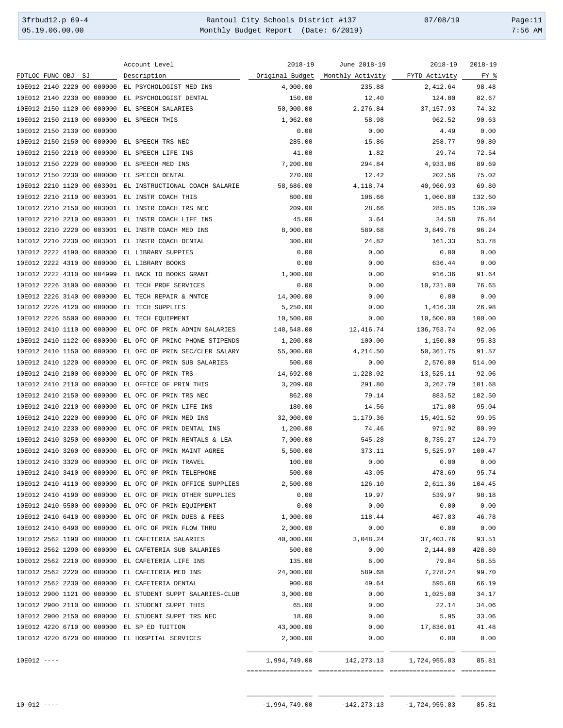3frbud12.p 69-4 Rantoul City Schools District #137 07/08/19 Page:11 Monthly Budget Report (Date: 6/2019)

| :56 | AM |
|-----|----|

|                                                     | Account Level                                             | $2018 - 19$     | June 2018-19                         | $2018 - 19$ | $2018 - 19$ |
|-----------------------------------------------------|-----------------------------------------------------------|-----------------|--------------------------------------|-------------|-------------|
| FDTLOC FUNC OBJ<br>SJ                               | Description                                               | Original Budget | Monthly Activity FYTD Activity       |             | FY %        |
| 10E012 2140 2220 00 000000                          | EL PSYCHOLOGIST MED INS                                   | 4,000.00        | 235.88                               | 2,412.64    | 98.48       |
| 10E012 2140 2230 00 000000                          | EL PSYCHOLOGIST DENTAL                                    | 150.00          | 12.40                                | 124.00      | 82.67       |
| 10E012 2150 1120 00 000000                          | EL SPEECH SALARIES                                        | 50,000.00       | 2,276.84                             | 37, 157.93  | 74.32       |
| 10E012 2150 2110 00 000000                          | EL SPEECH THIS                                            | 1,062.00        | 58.98                                | 962.52      | 90.63       |
| 10E012 2150 2130 00 000000                          |                                                           | 0.00            | 0.00                                 | 4.49        | 0.00        |
| 10E012 2150 2150 00 000000                          | EL SPEECH TRS NEC                                         | 285.00          | 15.86                                | 258.77      | 90.80       |
| 10E012 2150 2210 00 000000                          | EL SPEECH LIFE INS                                        | 41.00           | 1.82                                 | 29.74       | 72.54       |
| 10E012 2150 2220 00 000000                          | EL SPEECH MED INS                                         | 7,200.00        | 294.84                               | 4,933.06    | 89.69       |
| 10E012 2150 2230 00 000000                          | EL SPEECH DENTAL                                          | 270.00          | 12.42                                | 202.56      | 75.02       |
|                                                     | 10E012 2210 1120 00 003001 EL INSTRUCTIONAL COACH SALARIE | 58,686.00       | 4,118.74                             | 40,960.93   | 69.80       |
| 10E012 2210 2110 00 003001 EL INSTR COACH THIS      |                                                           | 800.00          | 106.66                               | 1,060.80    | 132.60      |
| 10E012 2210 2150 00 003001 EL INSTR COACH TRS NEC   |                                                           | 209.00          | 28.66                                | 285.05      | 136.39      |
| 10E012 2210 2210 00 003001 EL INSTR COACH LIFE INS  |                                                           | 45.00           | 3.64                                 | 34.58       | 76.84       |
| 10E012 2210 2220 00 003001 EL INSTR COACH MED INS   |                                                           | 8,000.00        | 589.68                               | 3,849.76    | 96.24       |
| 10E012 2210 2230 00 003001 EL INSTR COACH DENTAL    |                                                           | 300.00          | 24.82                                | 161.33      | 53.78       |
| 10E012 2222 4190 00 000000                          | EL LIBRARY SUPPIES                                        | 0.00            | 0.00                                 | 0.00        | 0.00        |
| 10E012 2222 4310 00 000000                          | EL LIBRARY BOOKS                                          | 0.00            | 0.00                                 | 636.44      | 0.00        |
| 10E012 2222 4310 00 004999                          | EL BACK TO BOOKS GRANT                                    | 1,000.00        | 0.00                                 | 916.36      | 91.64       |
| 10E012 2226 3100 00 000000                          | EL TECH PROF SERVICES                                     | 0.00            | 0.00                                 | 10,731.00   | 76.65       |
| 10E012 2226 3140 00 000000                          | EL TECH REPAIR & MNTCE                                    | 14,000.00       | 0.00                                 | 0.00        | 0.00        |
| 10E012 2226 4120 00 000000                          | EL TECH SUPPLIES                                          | 5,250.00        | 0.00                                 | 1,416.30    | 26.98       |
| 10E012 2226 5500 00 000000                          | EL TECH EOUIPMENT                                         | 10,500.00       | 0.00                                 | 10,500.00   | 100.00      |
| 10E012 2410 1110 00 000000                          | EL OFC OF PRIN ADMIN SALARIES                             | 148,548.00      | 12,416.74                            | 136,753.74  | 92.06       |
| 10E012 2410 1122 00 000000                          | EL OFC OF PRINC PHONE STIPENDS                            | 1,200.00        | 100.00                               | 1,150.00    | 95.83       |
| 10E012 2410 1150 00 000000                          | EL OFC OF PRIN SEC/CLER SALARY                            | 55,000.00       | 4,214.50                             | 50,361.75   | 91.57       |
| 10E012 2410 1220 00 000000                          | EL OFC OF PRIN SUB SALARIES                               | 500.00          | 0.00                                 | 2,570.00    | 514.00      |
| 10E012 2410 2100 00 000000                          | EL OFC OF PRIN TRS                                        | 14,692.00       | 1,228.02                             | 13,525.11   | 92.06       |
| 10E012 2410 2110 00 000000                          | EL OFFICE OF PRIN THIS                                    | 3,209.00        | 291.80                               | 3,262.79    | 101.68      |
| 10E012 2410 2150 00 000000                          | EL OFC OF PRIN TRS NEC                                    | 862.00          | 79.14                                | 883.52      | 102.50      |
| 10E012 2410 2210 00 000000                          | EL OFC OF PRIN LIFE INS                                   | 180.00          | 14.56                                | 171.08      | 95.04       |
| 10E012 2410 2220 00 000000                          | EL OFC OF PRIN MED INS                                    | 32,000.00       | 1,179.36                             | 15,491.52   | 99.95       |
| 10E012 2410 2230 00 000000                          | EL OFC OF PRIN DENTAL INS                                 | 1,200.00        | 74.46                                | 971.92      | 80.99       |
| 10E012 2410 3250 00 000000                          | EL OFC OF PRIN RENTALS & LEA                              | 7,000.00        | 545.28                               | 8,735.27    | 124.79      |
| 10E012 2410 3260 00 000000                          | EL OFC OF PRIN MAINT AGREE                                | 5,500.00        | 373.11                               | 5,525.97    | 100.47      |
| 10E012 2410 3320 00 000000 EL OFC OF PRIN TRAVEL    |                                                           | 100.00          | 0.00                                 | 0.00        | 0.00        |
| 10E012 2410 3410 00 000000 EL OFC OF PRIN TELEPHONE |                                                           | 500.00          | 43.05                                | 478.69      | 95.74       |
|                                                     | 10E012 2410 4110 00 000000 EL OFC OF PRIN OFFICE SUPPLIES | 2,500.00        | 126.10                               | 2,611.36    | 104.45      |
|                                                     | 10E012 2410 4190 00 000000 EL OFC OF PRIN OTHER SUPPLIES  | 0.00            | 19.97                                | 539.97      | 98.18       |
| 10E012 2410 5500 00 000000 EL OFC OF PRIN EQUIPMENT |                                                           | 0.00            | 0.00                                 | 0.00        | 0.00        |
|                                                     | 10E012 2410 6410 00 000000 EL OFC OF PRIN DUES & FEES     | 1,000.00        | 118.44                               | 467.83      | 46.78       |
| 10E012 2410 6490 00 000000 EL OFC OF PRIN FLOW THRU |                                                           | 2,000.00        | 0.00                                 | 0.00        | 0.00        |
| 10E012 2562 1190 00 000000 EL CAFETERIA SALARIES    |                                                           | 40,000.00       | 3,048.24                             | 37,403.76   | 93.51       |
|                                                     | 10E012 2562 1290 00 000000 EL CAFETERIA SUB SALARIES      | 500.00          | 0.00                                 | 2,144.00    | 428.80      |
| 10E012 2562 2210 00 000000 EL CAFETERIA LIFE INS    |                                                           | 135.00          | 6.00                                 | 79.04       | 58.55       |
| 10E012 2562 2220 00 000000 EL CAFETERIA MED INS     |                                                           | 24,000.00       | 589.68                               | 7,278.24    | 99.70       |
| 10E012 2562 2230 00 000000 EL CAFETERIA DENTAL      |                                                           | 900.00          | 49.64                                | 595.68      | 66.19       |
|                                                     | 10E012 2900 1121 00 000000 EL STUDENT SUPPT SALARIES-CLUB | 3,000.00        | 0.00                                 | 1,025.00    | 34.17       |
| 10E012 2900 2110 00 000000 EL STUDENT SUPPT THIS    |                                                           | 65.00           | 0.00                                 | 22.14       | 34.06       |
| 10E012 2900 2150 00 000000 EL STUDENT SUPPT TRS NEC |                                                           | 18.00           | 0.00                                 | 5.95        | 33.06       |
| 10E012 4220 6710 00 000000 EL SP ED TUITION         |                                                           | 43,000.00       | 0.00                                 | 17,836.01   | 41.48       |
| 10E012 4220 6720 00 000000 EL HOSPITAL SERVICES     |                                                           | 2,000.00        | 0.00                                 | 0.00        | 0.00        |
| $10E012$ ----                                       |                                                           |                 | 1,994,749.00 142,273.13 1,724,955.83 |             | 85.81       |
|                                                     |                                                           |                 |                                      |             |             |

\_\_\_\_\_\_\_\_\_\_\_\_\_\_\_\_\_ \_\_\_\_\_\_\_\_\_\_\_\_\_\_\_\_\_ \_\_\_\_\_\_\_\_\_\_\_\_\_\_\_\_\_ \_\_\_\_\_\_\_\_\_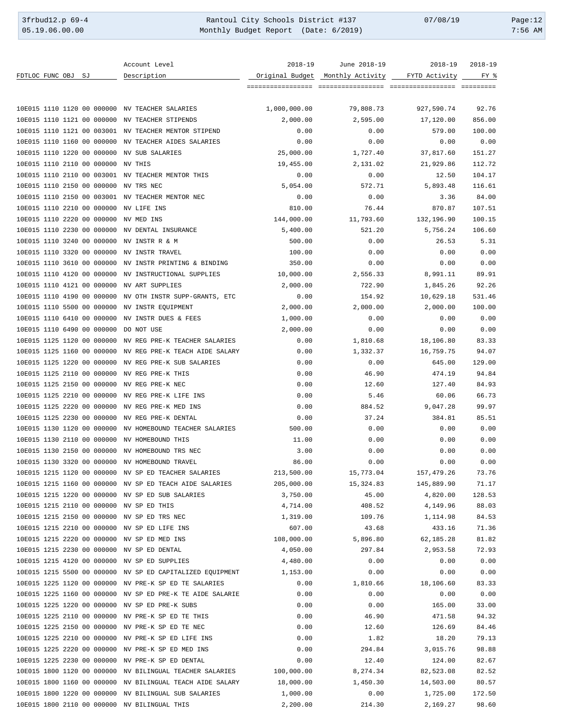3frbud12.p 69-4 <br>
35.19.06.00.00 Rantoul City Schools District #137 07/08/19 Page:12<br>
25.19.06.00.00 Monthly Budget Report (Date: 6/2019) 7:56 AM Monthly Budget Report (Date: 6/2019)

|                                                      | Account Level                                             | $2018 - 19$     | June 2018-19     | $2018 - 19$   | $2018 - 19$ |
|------------------------------------------------------|-----------------------------------------------------------|-----------------|------------------|---------------|-------------|
| FDTLOC FUNC OBJ SJ                                   | Description                                               | Original Budget | Monthly Activity | FYTD Activity | FY %        |
|                                                      |                                                           |                 | ================ |               |             |
|                                                      |                                                           |                 |                  |               |             |
| 10E015 1110 1120 00 000000 NV TEACHER SALARIES       |                                                           | 1,000,000.00    | 79,808.73        | 927,590.74    | 92.76       |
| 10E015 1110 1121 00 000000                           | NV TEACHER STIPENDS                                       | 2,000.00        | 2,595.00         | 17,120.00     | 856.00      |
| 10E015 1110 1121 00 003001                           | NV TEACHER MENTOR STIPEND                                 | 0.00            | 0.00             | 579.00        | 100.00      |
| 10E015 1110 1160 00 000000                           | NV TEACHER AIDES SALARIES                                 | 0.00            | 0.00             | 0.00          | 0.00        |
|                                                      |                                                           |                 |                  |               |             |
| 10E015 1110 1220 00 000000                           | NV SUB SALARIES                                           | 25,000.00       | 1,727.40         | 37,817.60     | 151.27      |
| 10E015 1110 2110 00 000000                           | NV THIS                                                   | 19,455.00       | 2,131.02         | 21,929.86     | 112.72      |
| 10E015 1110 2110 00 003001                           | NV TEACHER MENTOR THIS                                    | 0.00            | 0.00             | 12.50         | 104.17      |
| 10E015 1110 2150 00 000000                           | NV TRS NEC                                                | 5,054.00        | 572.71           | 5,893.48      | 116.61      |
| 10E015 1110 2150 00 003001                           | NV TEACHER MENTOR NEC                                     | 0.00            | 0.00             | 3.36          | 84.00       |
| 10E015 1110 2210 00 000000                           | NV LIFE INS                                               | 810.00          | 76.44            | 870.87        | 107.51      |
| 10E015 1110 2220 00 000000                           | NV MED INS                                                | 144,000.00      | 11,793.60        | 132,196.90    | 100.15      |
| 10E015 1110 2230 00 000000                           | NV DENTAL INSURANCE                                       | 5,400.00        | 521.20           | 5,756.24      | 106.60      |
| 10E015 1110 3240 00 000000                           | NV INSTR R & M                                            | 500.00          | 0.00             | 26.53         | 5.31        |
| 10E015 1110 3320 00 000000                           | NV INSTR TRAVEL                                           | 100.00          | 0.00             | 0.00          | 0.00        |
| 10E015 1110 3610 00 000000                           | NV INSTR PRINTING & BINDING                               | 350.00          | 0.00             | 0.00          | 0.00        |
| 10E015 1110 4120 00 000000                           | NV INSTRUCTIONAL SUPPLIES                                 | 10,000.00       | 2,556.33         | 8,991.11      | 89.91       |
| 10E015 1110 4121 00 000000                           | NV ART SUPPLIES                                           | 2,000.00        | 722.90           | 1,845.26      | 92.26       |
|                                                      |                                                           |                 |                  |               |             |
| 10E015 1110 4190 00 000000                           | NV OTH INSTR SUPP-GRANTS, ETC                             | 0.00            | 154.92           | 10,629.18     | 531.46      |
| 10E015 1110 5500 00 000000                           | NV INSTR EQUIPMENT                                        | 2,000.00        | 2,000.00         | 2,000.00      | 100.00      |
| 10E015 1110 6410 00 000000                           | NV INSTR DUES & FEES                                      | 1,000.00        | 0.00             | 0.00          | 0.00        |
| 10E015 1110 6490 00 000000                           | DO NOT USE                                                | 2,000.00        | 0.00             | 0.00          | 0.00        |
| 10E015 1125 1120 00 000000                           | NV REG PRE-K TEACHER SALARIES                             | 0.00            | 1,810.68         | 18,106.80     | 83.33       |
| 10E015 1125 1160 00 000000                           | NV REG PRE-K TEACH AIDE SALARY                            | 0.00            | 1,332.37         | 16,759.75     | 94.07       |
| 10E015 1125 1220 00 000000                           | NV REG PRE-K SUB SALARIES                                 | 0.00            | 0.00             | 645.00        | 129.00      |
| 10E015 1125 2110 00 000000                           | NV REG PRE-K THIS                                         | 0.00            | 46.90            | 474.19        | 94.84       |
| 10E015 1125 2150 00 000000                           | NV REG PRE-K NEC                                          | 0.00            | 12.60            | 127.40        | 84.93       |
| 10E015 1125 2210 00 000000                           | NV REG PRE-K LIFE INS                                     | 0.00            | 5.46             | 60.06         | 66.73       |
| 10E015 1125 2220 00 000000                           | NV REG PRE-K MED INS                                      | 0.00            | 884.52           | 9,047.28      | 99.97       |
| 10E015 1125 2230 00 000000                           | NV REG PRE-K DENTAL                                       | 0.00            | 37.24            | 384.81        | 85.51       |
|                                                      |                                                           |                 |                  |               | 0.00        |
| 10E015 1130 1120 00 000000                           | NV HOMEBOUND TEACHER SALARIES                             | 500.00          | 0.00             | 0.00          |             |
| 10E015 1130 2110 00 000000                           | NV HOMEBOUND THIS                                         | 11.00           | 0.00             | 0.00          | 0.00        |
| 10E015 1130 2150 00 000000                           | NV HOMEBOUND TRS NEC                                      | 3.00            | 0.00             | 0.00          | 0.00        |
| 10E015 1130 3320 00 000000 NV HOMEBOUND TRAVEL       |                                                           | 86.00           | 0.00             | 0.00          | 0.00        |
| 10E015 1215 1120 00 000000 NV SP ED TEACHER SALARIES |                                                           | 213,500.00      | 15,773.04        | 157,479.26    | 73.76       |
|                                                      | 10E015 1215 1160 00 000000 NV SP ED TEACH AIDE SALARIES   | 205,000.00      | 15,324.83        | 145,889.90    | 71.17       |
| 10E015 1215 1220 00 000000 NV SP ED SUB SALARIES     |                                                           | 3,750.00        | 45.00            | 4,820.00      | 128.53      |
| 10E015 1215 2110 00 000000 NV SP ED THIS             |                                                           | 4,714.00        | 408.52           | 4,149.96      | 88.03       |
| 10E015 1215 2150 00 000000 NV SP ED TRS NEC          |                                                           | 1,319.00        | 109.76           | 1,114.98      | 84.53       |
| 10E015 1215 2210 00 000000 NV SP ED LIFE INS         |                                                           | 607.00          | 43.68            | 433.16        | 71.36       |
| 10E015 1215 2220 00 000000 NV SP ED MED INS          |                                                           | 108,000.00      | 5,896.80         | 62,185.28     | 81.82       |
| 10E015 1215 2230 00 000000 NV SP ED DENTAL           |                                                           | 4,050.00        | 297.84           | 2,953.58      | 72.93       |
| 10E015 1215 4120 00 000000 NV SP ED SUPPLIES         |                                                           | 4,480.00        | 0.00             | 0.00          | 0.00        |
|                                                      |                                                           | 1,153.00        | 0.00             |               |             |
|                                                      | 10E015 1215 5500 00 000000 NV SP ED CAPITALIZED EQUIPMENT |                 |                  | 0.00          | 0.00        |
|                                                      | 10E015 1225 1120 00 000000 NV PRE-K SP ED TE SALARIES     | 0.00            | 1,810.66         | 18,106.60     | 83.33       |
|                                                      | 10E015 1225 1160 00 000000 NV SP ED PRE-K TE AIDE SALARIE | 0.00            | 0.00             | 0.00          | 0.00        |
| 10E015 1225 1220 00 000000 NV SP ED PRE-K SUBS       |                                                           | 0.00            | 0.00             | 165.00        | 33.00       |
| 10E015 1225 2110 00 000000 NV PRE-K SP ED TE THIS    |                                                           | 0.00            | 46.90            | 471.58        | 94.32       |
| 10E015 1225 2150 00 000000 NV PRE-K SP ED TE NEC     |                                                           | 0.00            | 12.60            | 126.69        | 84.46       |
| 10E015 1225 2210 00 000000 NV PRE-K SP ED LIFE INS   |                                                           | 0.00            | 1.82             | 18.20         | 79.13       |
| 10E015 1225 2220 00 000000 NV PRE-K SP ED MED INS    |                                                           | 0.00            | 294.84           | 3,015.76      | 98.88       |
| 10E015 1225 2230 00 000000 NV PRE-K SP ED DENTAL     |                                                           | 0.00            | 12.40            | 124.00        | 82.67       |
|                                                      | 10E015 1800 1120 00 000000 NV BILINGUAL TEACHER SALARIES  | 100,000.00      | 8,274.34         | 82,523.08     | 82.52       |
|                                                      | 10E015 1800 1160 00 000000 NV BILINGUAL TEACH AIDE SALARY | 18,000.00       | 1,450.30         | 14,503.00     | 80.57       |
| 10E015 1800 1220 00 000000 NV BILINGUAL SUB SALARIES |                                                           | 1,000.00        | 0.00             | 1,725.00      | 172.50      |
| 10E015 1800 2110 00 000000 NV BILINGUAL THIS         |                                                           | 2,200.00        | 214.30           | 2,169.27      | 98.60       |
|                                                      |                                                           |                 |                  |               |             |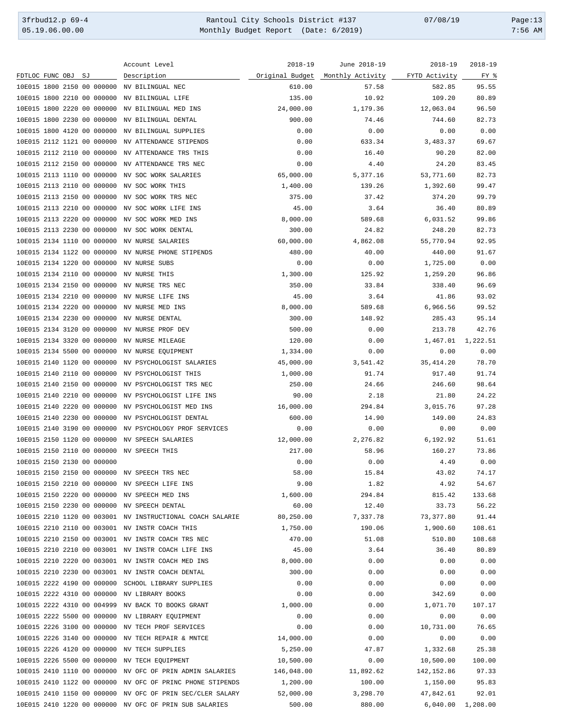3frbud12.p 69-4 <br>
35.19.06.00.00 Rantoul City Schools District #137 07/08/19 Page:13<br>
Monthly Budget Report (Date: 6/2019) 7:56 AM Monthly Budget Report (Date: 6/2019)

|                                                    | Account Level                                             | $2018 - 19$ | June 2018-19                     | $2018 - 19$   | $2018 - 19$       |
|----------------------------------------------------|-----------------------------------------------------------|-------------|----------------------------------|---------------|-------------------|
| FDTLOC FUNC OBJ<br>SJ                              | Description                                               |             | Original Budget Monthly Activity | FYTD Activity | FY %              |
| 10E015 1800 2150 00 000000                         | NV BILINGUAL NEC                                          | 610.00      | 57.58                            | 582.85        | 95.55             |
| 10E015 1800 2210 00 000000                         | NV BILINGUAL LIFE                                         | 135.00      | 10.92                            | 109.20        | 80.89             |
| 10E015 1800 2220 00 000000                         | NV BILINGUAL MED INS                                      | 24,000.00   | 1,179.36                         | 12,063.04     | 96.50             |
| 10E015 1800 2230 00 000000                         | NV BILINGUAL DENTAL                                       | 900.00      | 74.46                            | 744.60        | 82.73             |
| 10E015 1800 4120 00 000000                         | NV BILINGUAL SUPPLIES                                     | 0.00        | 0.00                             | 0.00          | 0.00              |
| 10E015 2112 1121 00 000000                         | NV ATTENDANCE STIPENDS                                    | 0.00        | 633.34                           | 3,483.37      | 69.67             |
| 10E015 2112 2110 00 000000                         | NV ATTENDANCE TRS THIS                                    | 0.00        | 16.40                            | 90.20         | 82.00             |
| 10E015 2112 2150 00 000000                         | NV ATTENDANCE TRS NEC                                     | 0.00        | 4.40                             | 24.20         | 83.45             |
| 10E015 2113 1110 00 000000                         | NV SOC WORK SALARIES                                      | 65,000.00   | 5,377.16                         | 53,771.60     | 82.73             |
| 10E015 2113 2110 00 000000                         | NV SOC WORK THIS                                          | 1,400.00    | 139.26                           | 1,392.60      | 99.47             |
| 10E015 2113 2150 00 000000                         | NV SOC WORK TRS NEC                                       | 375.00      | 37.42                            | 374.20        | 99.79             |
| 10E015 2113 2210 00 000000                         | NV SOC WORK LIFE INS                                      | 45.00       | 3.64                             | 36.40         | 80.89             |
| 10E015 2113 2220 00 000000                         | NV SOC WORK MED INS                                       | 8,000.00    | 589.68                           | 6,031.52      | 99.86             |
| 10E015 2113 2230 00 000000                         | NV SOC WORK DENTAL                                        | 300.00      | 24.82                            | 248.20        | 82.73             |
| 10E015 2134 1110 00 000000                         |                                                           |             |                                  |               |                   |
|                                                    | NV NURSE SALARIES                                         | 60,000.00   | 4,862.08                         | 55,770.94     | 92.95             |
| 10E015 2134 1122 00 000000                         | NV NURSE PHONE STIPENDS                                   | 480.00      | 40.00                            | 440.00        | 91.67             |
| 10E015 2134 1220 00 000000                         | NV NURSE SUBS                                             | 0.00        | 0.00                             | 1,725.00      | 0.00              |
| 10E015 2134 2110 00 000000                         | NV NURSE THIS                                             | 1,300.00    | 125.92                           | 1,259.20      | 96.86             |
| 10E015 2134 2150 00 000000                         | NV NURSE TRS NEC                                          | 350.00      | 33.84                            | 338.40        | 96.69             |
| 10E015 2134 2210 00 000000                         | NV NURSE LIFE INS                                         | 45.00       | 3.64                             | 41.86         | 93.02             |
| 10E015 2134 2220 00 000000                         | NV NURSE MED INS                                          | 8,000.00    | 589.68                           | 6,966.56      | 99.52             |
| 10E015 2134 2230 00 000000                         | NV NURSE DENTAL                                           | 300.00      | 148.92                           | 285.43        | 95.14             |
| 10E015 2134 3120 00 000000                         | NV NURSE PROF DEV                                         | 500.00      | 0.00                             | 213.78        | 42.76             |
| 10E015 2134 3320 00 000000                         | NV NURSE MILEAGE                                          | 120.00      | 0.00                             | 1,467.01      | 1,222.51          |
| 10E015 2134 5500 00 000000                         | NV NURSE EQUIPMENT                                        | 1,334.00    | 0.00                             | 0.00          | 0.00              |
| 10E015 2140 1120 00 000000                         | NV PSYCHOLOGIST SALARIES                                  | 45,000.00   | 3,541.42                         | 35, 414.20    | 78.70             |
| 10E015 2140 2110 00 000000                         | NV PSYCHOLOGIST THIS                                      | 1,000.00    | 91.74                            | 917.40        | 91.74             |
| 10E015 2140 2150 00 000000                         | NV PSYCHOLOGIST TRS NEC                                   | 250.00      | 24.66                            | 246.60        | 98.64             |
| 10E015 2140 2210 00 000000                         | NV PSYCHOLOGIST LIFE INS                                  | 90.00       | 2.18                             | 21.80         | 24.22             |
| 10E015 2140 2220 00 000000                         | NV PSYCHOLOGIST MED INS                                   | 16,000.00   | 294.84                           | 3,015.76      | 97.28             |
| 10E015 2140 2230 00 000000                         | NV PSYCHOLOGIST DENTAL                                    | 600.00      | 14.90                            | 149.00        | 24.83             |
| 10E015 2140 3190 00 000000                         | NV PSYCHOLOGY PROF SERVICES                               | 0.00        | 0.00                             | 0.00          | 0.00              |
| 10E015 2150 1120 00 000000                         | NV SPEECH SALARIES                                        | 12,000.00   | 2,276.82                         | 6,192.92      | 51.61             |
| 10E015 2150 2110 00 000000                         | NV SPEECH THIS                                            | 217.00      | 58.96                            | 160.27        | 73.86             |
| 10E015 2150 2130 00 000000                         |                                                           | 0.00        | 0.00                             | 4.49          | 0.00              |
| 10E015 2150 2150 00 000000 NV SPEECH TRS NEC       |                                                           | 58.00       | 15.84                            | 43.02         | 74.17             |
| 10E015 2150 2210 00 000000 NV SPEECH LIFE INS      |                                                           | 9.00        | 1.82                             | 4.92          | 54.67             |
| 10E015 2150 2220 00 000000 NV SPEECH MED INS       |                                                           | 1,600.00    | 294.84                           | 815.42        | 133.68            |
| 10E015 2150 2230 00 000000 NV SPEECH DENTAL        |                                                           | 60.00       | 12.40                            | 33.73         | 56.22             |
|                                                    | 10E015 2210 1120 00 003001 NV INSTRUCTIONAL COACH SALARIE | 80,250.00   | 7,337.78                         | 73, 377.80    | 91.44             |
| 10E015 2210 2110 00 003001 NV INSTR COACH THIS     |                                                           | 1,750.00    | 190.06                           | 1,900.60      | 108.61            |
| 10E015 2210 2150 00 003001 NV INSTR COACH TRS NEC  |                                                           | 470.00      | 51.08                            | 510.80        | 108.68            |
| 10E015 2210 2210 00 003001 NV INSTR COACH LIFE INS |                                                           | 45.00       | 3.64                             | 36.40         | 80.89             |
| 10E015 2210 2220 00 003001 NV INSTR COACH MED INS  |                                                           | 8,000.00    | 0.00                             | 0.00          | 0.00              |
| 10E015 2210 2230 00 003001 NV INSTR COACH DENTAL   |                                                           | 300.00      | 0.00                             | 0.00          | 0.00              |
| 10E015 2222 4190 00 000000                         | SCHOOL LIBRARY SUPPLIES                                   | 0.00        | 0.00                             | 0.00          | 0.00              |
| 10E015 2222 4310 00 000000                         | NV LIBRARY BOOKS                                          | 0.00        | 0.00                             | 342.69        | 0.00              |
| 10E015 2222 4310 00 004999                         | NV BACK TO BOOKS GRANT                                    | 1,000.00    | 0.00                             | 1,071.70      | 107.17            |
|                                                    |                                                           |             |                                  |               |                   |
| 10E015 2222 5500 00 000000                         | NV LIBRARY EQUIPMENT                                      | 0.00        | 0.00                             | 0.00          | 0.00              |
| 10E015 2226 3100 00 000000                         | NV TECH PROF SERVICES                                     | 0.00        | 0.00                             | 10,731.00     | 76.65             |
| 10E015 2226 3140 00 000000                         | NV TECH REPAIR & MNTCE                                    | 14,000.00   | 0.00                             | 0.00          | 0.00              |
| 10E015 2226 4120 00 000000                         | NV TECH SUPPLIES                                          | 5,250.00    | 47.87                            | 1,332.68      | 25.38             |
| 10E015 2226 5500 00 000000 NV TECH EQUIPMENT       |                                                           | 10,500.00   | 0.00                             | 10,500.00     | 100.00            |
|                                                    | 10E015 2410 1110 00 000000 NV OFC OF PRIN ADMIN SALARIES  | 146,048.00  | 11,892.62                        | 142,152.86    | 97.33             |
|                                                    | 10E015 2410 1122 00 000000 NV OFC OF PRINC PHONE STIPENDS | 1,200.00    | 100.00                           | 1,150.00      | 95.83             |
|                                                    | 10E015 2410 1150 00 000000 NV OFC OF PRIN SEC/CLER SALARY | 52,000.00   | 3,298.70                         | 47,842.61     | 92.01             |
|                                                    | 10E015 2410 1220 00 000000 NV OFC OF PRIN SUB SALARIES    | 500.00      | 880.00                           |               | 6,040.00 1,208.00 |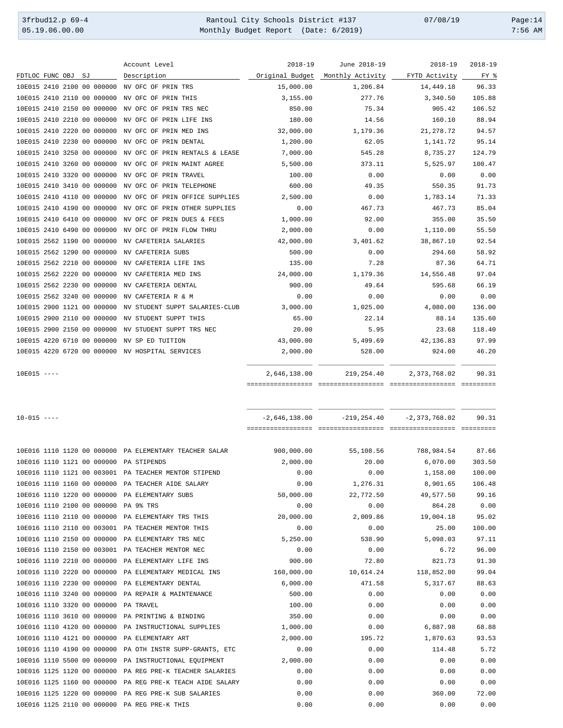3frbud12.p 69-4 <br>
35.19.06.00.00 Rantoul City Schools District #137 07/08/19 Page:14<br>
Monthly Budget Report (Date: 6/2019) 7:56 AM Monthly Budget Report (Date: 6/2019)

Account Level 2018-19 June 2018-19 2018-19 2018-19

| FDTLOC FUNC OBJ SJ         |  |  | Description                                               | Original Budget | Monthly Activity | FYTD Activity     | FY %   |
|----------------------------|--|--|-----------------------------------------------------------|-----------------|------------------|-------------------|--------|
| 10E015 2410 2100 00 000000 |  |  | NV OFC OF PRIN TRS                                        | 15,000.00       | 1,206.84         | 14,449.18         | 96.33  |
| 10E015 2410 2110 00 000000 |  |  | NV OFC OF PRIN THIS                                       | 3,155.00        | 277.76           | 3,340.50          | 105.88 |
| 10E015 2410 2150 00 000000 |  |  | NV OFC OF PRIN TRS NEC                                    | 850.00          | 75.34            | 905.42            | 106.52 |
| 10E015 2410 2210 00 000000 |  |  | NV OFC OF PRIN LIFE INS                                   | 180.00          | 14.56            | 160.10            | 88.94  |
| 10E015 2410 2220 00 000000 |  |  | NV OFC OF PRIN MED INS                                    | 32,000.00       | 1,179.36         | 21, 278.72        | 94.57  |
| 10E015 2410 2230 00 000000 |  |  | NV OFC OF PRIN DENTAL                                     | 1,200.00        | 62.05            | 1,141.72          | 95.14  |
| 10E015 2410 3250 00 000000 |  |  | NV OFC OF PRIN RENTALS & LEASE                            | 7,000.00        | 545.28           | 8,735.27          | 124.79 |
| 10E015 2410 3260 00 000000 |  |  | NV OFC OF PRIN MAINT AGREE                                | 5,500.00        | 373.11           | 5,525.97          | 100.47 |
| 10E015 2410 3320 00 000000 |  |  | NV OFC OF PRIN TRAVEL                                     |                 |                  |                   |        |
|                            |  |  |                                                           | 100.00          | 0.00             | 0.00              | 0.00   |
| 10E015 2410 3410 00 000000 |  |  | NV OFC OF PRIN TELEPHONE                                  | 600.00          | 49.35            | 550.35            | 91.73  |
| 10E015 2410 4110 00 000000 |  |  | NV OFC OF PRIN OFFICE SUPPLIES                            | 2,500.00        | 0.00             | 1,783.14          | 71.33  |
| 10E015 2410 4190 00 000000 |  |  | NV OFC OF PRIN OTHER SUPPLIES                             | 0.00            | 467.73           | 467.73            | 85.04  |
| 10E015 2410 6410 00 000000 |  |  | NV OFC OF PRIN DUES & FEES                                | 1,000.00        | 92.00            | 355.00            | 35.50  |
| 10E015 2410 6490 00 000000 |  |  | NV OFC OF PRIN FLOW THRU                                  | 2,000.00        | 0.00             | 1,110.00          | 55.50  |
| 10E015 2562 1190 00 000000 |  |  | NV CAFETERIA SALARIES                                     | 42,000.00       | 3,401.62         | 38,867.10         | 92.54  |
| 10E015 2562 1290 00 000000 |  |  | NV CAFETERIA SUBS                                         | 500.00          | 0.00             | 294.60            | 58.92  |
| 10E015 2562 2210 00 000000 |  |  | NV CAFETERIA LIFE INS                                     | 135.00          | 7.28             | 87.36             | 64.71  |
| 10E015 2562 2220 00 000000 |  |  | NV CAFETERIA MED INS                                      | 24,000.00       | 1,179.36         | 14,556.48         | 97.04  |
| 10E015 2562 2230 00 000000 |  |  | NV CAFETERIA DENTAL                                       | 900.00          | 49.64            | 595.68            | 66.19  |
| 10E015 2562 3240 00 000000 |  |  | NV CAFETERIA R & M                                        | 0.00            | 0.00             | 0.00              | 0.00   |
| 10E015 2900 1121 00 000000 |  |  | NV STUDENT SUPPT SALARIES-CLUB                            | 3,000.00        | 1,025.00         | 4,080.00          | 136.00 |
| 10E015 2900 2110 00 000000 |  |  | NV STUDENT SUPPT THIS                                     | 65.00           | 22.14            | 88.14             | 135.60 |
|                            |  |  |                                                           |                 |                  |                   |        |
| 10E015 2900 2150 00 000000 |  |  | NV STUDENT SUPPT TRS NEC                                  | 20.00           | 5.95             | 23.68             | 118.40 |
| 10E015 4220 6710 00 000000 |  |  | NV SP ED TUITION                                          | 43,000.00       | 5,499.69         | 42,136.83         | 97.99  |
|                            |  |  | 10E015 4220 6720 00 000000 NV HOSPITAL SERVICES           | 2,000.00        | 528.00           | 924.00            | 46.20  |
| $10E015$ ----              |  |  |                                                           | 2,646,138.00    | 219,254.40       | 2,373,768.02      | 90.31  |
| $10 - 015$ ----            |  |  |                                                           | $-2,646,138.00$ | $-219, 254.40$   | $-2, 373, 768.02$ | 90.31  |
|                            |  |  |                                                           |                 |                  |                   |        |
|                            |  |  | 10E016 1110 1120 00 000000 PA ELEMENTARY TEACHER SALAR    | 900,000.00      | 55,108.56        | 788,984.54        | 87.66  |
|                            |  |  | 10E016 1110 1121 00 000000 PA STIPENDS                    | 2,000.00        | 20.00            | 6,070.00          | 303.50 |
|                            |  |  |                                                           |                 |                  |                   | 100.00 |
|                            |  |  | 10E016 1110 1121 00 003001 PA TEACHER MENTOR STIPEND      | 0.00            | 0.00             | 1,158.00          |        |
|                            |  |  |                                                           |                 |                  |                   |        |
|                            |  |  | 10E016 1110 1160 00 000000 PA TEACHER AIDE SALARY         | 0.00            | 1,276.31         | 8,901.65          | 106.48 |
|                            |  |  | 10E016 1110 1220 00 000000 PA ELEMENTARY SUBS             | 50,000.00       | 22,772.50        | 49,577.50         | 99.16  |
|                            |  |  | 10E016 1110 2100 00 000000 PA 9% TRS                      | 0.00            | 0.00             | 864.28            | 0.00   |
|                            |  |  | 10E016 1110 2110 00 000000 PA ELEMENTARY TRS THIS         | 20,000.00       | 2,009.86         | 19,004.18         | 95.02  |
|                            |  |  | 10E016 1110 2110 00 003001 PA TEACHER MENTOR THIS         | 0.00            | 0.00             | 25.00             | 100.00 |
|                            |  |  | 10E016 1110 2150 00 000000 PA ELEMENTARY TRS NEC          | 5,250.00        | 538.90           | 5,098.03          | 97.11  |
|                            |  |  | 10E016 1110 2150 00 003001 PA TEACHER MENTOR NEC          | 0.00            | 0.00             | 6.72              | 96.00  |
|                            |  |  | 10E016 1110 2210 00 000000 PA ELEMENTARY LIFE INS         | 900.00          | 72.80            | 821.73            | 91.30  |
|                            |  |  | 10E016 1110 2220 00 000000 PA ELEMENTARY MEDICAL INS      | 160,000.00      | 10,614.24        | 118,852.80        | 99.04  |
|                            |  |  | 10E016 1110 2230 00 000000 PA ELEMENTARY DENTAL           | 6,000.00        | 471.58           | 5,317.67          | 88.63  |
|                            |  |  | 10E016 1110 3240 00 000000 PA REPAIR & MAINTENANCE        | 500.00          | 0.00             | 0.00              | 0.00   |
|                            |  |  | 10E016 1110 3320 00 000000 PA TRAVEL                      | 100.00          | 0.00             | 0.00              | 0.00   |
|                            |  |  | 10E016 1110 3610 00 000000 PA PRINTING & BINDING          | 350.00          | 0.00             | 0.00              | 0.00   |
|                            |  |  | 10E016 1110 4120 00 000000 PA INSTRUCTIONAL SUPPLIES      | 1,000.00        | 0.00             | 6,887.98          | 68.88  |
|                            |  |  | 10E016 1110 4121 00 000000 PA ELEMENTARY ART              | 2,000.00        | 195.72           | 1,870.63          | 93.53  |
|                            |  |  |                                                           |                 |                  |                   |        |
|                            |  |  | 10E016 1110 4190 00 000000 PA OTH INSTR SUPP-GRANTS, ETC  | 0.00            | 0.00             | 114.48            | 5.72   |
|                            |  |  | 10E016 1110 5500 00 000000 PA INSTRUCTIONAL EQUIPMENT     | 2,000.00        | 0.00             | 0.00              | 0.00   |
|                            |  |  | 10E016 1125 1120 00 000000 PA REG PRE-K TEACHER SALARIES  | 0.00            | 0.00             | 0.00              | 0.00   |
|                            |  |  | 10E016 1125 1160 00 000000 PA REG PRE-K TEACH AIDE SALARY | 0.00            | 0.00             | 0.00              | 0.00   |
|                            |  |  | 10E016 1125 1220 00 000000 PA REG PRE-K SUB SALARIES      | 0.00            | 0.00             | 360.00            | 72.00  |
|                            |  |  | 10E016 1125 2110 00 000000 PA REG PRE-K THIS              | 0.00            | 0.00             | 0.00              | 0.00   |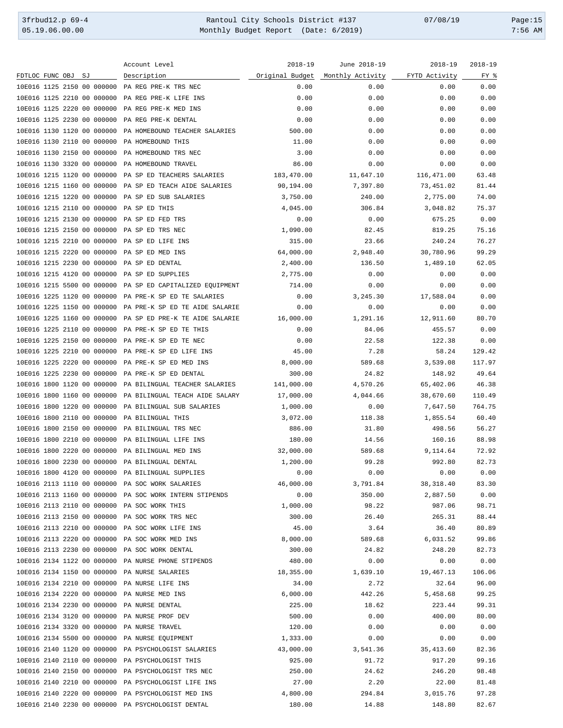3frbud12.p 69-4 <br>
35.19.06.00.00 Rantoul City Schools District #137 07/08/19 Page:15<br>
2:56 AM Monthly Budget Report (Date: 6/2019) 7:56 AM Monthly Budget Report (Date: 6/2019)

|                            |    | Account Level                                          | $2018 - 19$     | June 2018-19     | $2018 - 19$   | $2018 - 19$ |
|----------------------------|----|--------------------------------------------------------|-----------------|------------------|---------------|-------------|
| FDTLOC FUNC OBJ            | SJ | Description                                            | Original Budget | Monthly Activity | FYTD Activity | FY %        |
| 10E016 1125 2150 00 000000 |    | PA REG PRE-K TRS NEC                                   | 0.00            | 0.00             | 0.00          | 0.00        |
| 10E016 1125 2210 00 000000 |    | PA REG PRE-K LIFE INS                                  | 0.00            | 0.00             | 0.00          | 0.00        |
| 10E016 1125 2220 00 000000 |    | PA REG PRE-K MED INS                                   | 0.00            | 0.00             | 0.00          | 0.00        |
| 10E016 1125 2230 00 000000 |    | PA REG PRE-K DENTAL                                    | 0.00            | 0.00             | 0.00          | 0.00        |
| 10E016 1130 1120 00 000000 |    | PA HOMEBOUND TEACHER SALARIES                          | 500.00          | 0.00             | 0.00          | 0.00        |
| 10E016 1130 2110 00 000000 |    | PA HOMEBOUND THIS                                      | 11.00           | 0.00             | 0.00          | 0.00        |
| 10E016 1130 2150 00 000000 |    | PA HOMEBOUND TRS NEC                                   | 3.00            | 0.00             | 0.00          | 0.00        |
| 10E016 1130 3320 00 000000 |    | PA HOMEBOUND TRAVEL                                    | 86.00           | 0.00             | 0.00          | 0.00        |
| 10E016 1215 1120 00 000000 |    | PA SP ED TEACHERS SALARIES                             | 183,470.00      | 11,647.10        | 116,471.00    | 63.48       |
| 10E016 1215 1160 00 000000 |    | PA SP ED TEACH AIDE SALARIES                           | 90,194.00       | 7,397.80         | 73,451.02     | 81.44       |
| 10E016 1215 1220 00 000000 |    | PA SP ED SUB SALARIES                                  | 3,750.00        | 240.00           | 2,775.00      | 74.00       |
| 10E016 1215 2110 00 000000 |    | PA SP ED THIS                                          | 4,045.00        | 306.84           | 3,048.82      | 75.37       |
| 10E016 1215 2130 00 000000 |    | PA SP ED FED TRS                                       | 0.00            | 0.00             | 675.25        | 0.00        |
| 10E016 1215 2150 00 000000 |    | PA SP ED TRS NEC                                       | 1,090.00        | 82.45            | 819.25        | 75.16       |
| 10E016 1215 2210 00 000000 |    | PA SP ED LIFE INS                                      | 315.00          | 23.66            | 240.24        | 76.27       |
| 10E016 1215 2220 00 000000 |    | PA SP ED MED INS                                       | 64,000.00       | 2,948.40         | 30,780.96     | 99.29       |
| 10E016 1215 2230 00 000000 |    | PA SP ED DENTAL                                        | 2,400.00        | 136.50           | 1,489.10      | 62.05       |
| 10E016 1215 4120 00 000000 |    | PA SP ED SUPPLIES                                      | 2,775.00        | 0.00             | 0.00          | 0.00        |
| 10E016 1215 5500 00 000000 |    | PA SP ED CAPITALIZED EQUIPMENT                         | 714.00          | 0.00             | 0.00          | 0.00        |
|                            |    | PA PRE-K SP ED TE SALARIES                             |                 | 3,245.30         |               |             |
| 10E016 1225 1120 00 000000 |    |                                                        | 0.00            |                  | 17,588.04     | 0.00        |
| 10E016 1225 1150 00 000000 |    | PA PRE-K SP ED TE AIDE SALARIE                         | 0.00            | 0.00             | 0.00          | 0.00        |
| 10E016 1225 1160 00 000000 |    | PA SP ED PRE-K TE AIDE SALARIE                         | 16,000.00       | 1,291.16         | 12,911.60     | 80.70       |
| 10E016 1225 2110 00 000000 |    | PA PRE-K SP ED TE THIS                                 | 0.00            | 84.06            | 455.57        | 0.00        |
| 10E016 1225 2150 00 000000 |    | PA PRE-K SP ED TE NEC                                  | 0.00            | 22.58            | 122.38        | 0.00        |
| 10E016 1225 2210 00 000000 |    | PA PRE-K SP ED LIFE INS                                | 45.00           | 7.28             | 58.24         | 129.42      |
| 10E016 1225 2220 00 000000 |    | PA PRE-K SP ED MED INS                                 | 8,000.00        | 589.68           | 3,539.08      | 117.97      |
| 10E016 1225 2230 00 000000 |    | PA PRE-K SP ED DENTAL                                  | 300.00          | 24.82            | 148.92        | 49.64       |
| 10E016 1800 1120 00 000000 |    | PA BILINGUAL TEACHER SALARIES                          | 141,000.00      | 4,570.26         | 65,402.06     | 46.38       |
| 10E016 1800 1160 00 000000 |    | PA BILINGUAL TEACH AIDE SALARY                         | 17,000.00       | 4,044.66         | 38,670.60     | 110.49      |
| 10E016 1800 1220 00 000000 |    | PA BILINGUAL SUB SALARIES                              | 1,000.00        | 0.00             | 7,647.50      | 764.75      |
| 10E016 1800 2110 00 000000 |    | PA BILINGUAL THIS                                      | 3,072.00        | 118.38           | 1,855.54      | 60.40       |
| 10E016 1800 2150 00 000000 |    | PA BILINGUAL TRS NEC                                   | 886.00          | 31.80            | 498.56        | 56.27       |
| 10E016 1800 2210 00 000000 |    | PA BILINGUAL LIFE INS                                  | 180.00          | 14.56            | 160.16        | 88.98       |
| 10E016 1800 2220 00 000000 |    | PA BILINGUAL MED INS                                   | 32,000.00       | 589.68           | 9,114.64      | 72.92       |
| 10E016 1800 2230 00 000000 |    | PA BILINGUAL DENTAL                                    | 1,200.00        | 99.28            | 992.80        | 82.73       |
|                            |    | 10E016 1800 4120 00 000000 PA BILINGUAL SUPPLIES       | 0.00            | 0.00             | 0.00          | 0.00        |
|                            |    | 10E016 2113 1110 00 000000 PA SOC WORK SALARIES        | 46,000.00       | 3,791.84         | 38, 318.40    | 83.30       |
|                            |    | 10E016 2113 1160 00 000000 PA SOC WORK INTERN STIPENDS | 0.00            | 350.00           | 2,887.50      | 0.00        |
|                            |    | 10E016 2113 2110 00 000000 PA SOC WORK THIS            | 1,000.00        | 98.22            | 987.06        | 98.71       |
|                            |    | 10E016 2113 2150 00 000000 PA SOC WORK TRS NEC         | 300.00          | 26.40            | 265.31        | 88.44       |
|                            |    | 10E016 2113 2210 00 000000 PA SOC WORK LIFE INS        | 45.00           | 3.64             | 36.40         | 80.89       |
|                            |    | 10E016 2113 2220 00 000000 PA SOC WORK MED INS         | 8,000.00        | 589.68           | 6,031.52      | 99.86       |
|                            |    | 10E016 2113 2230 00 000000 PA SOC WORK DENTAL          | 300.00          | 24.82            | 248.20        | 82.73       |
|                            |    | 10E016 2134 1122 00 000000 PA NURSE PHONE STIPENDS     | 480.00          | 0.00             | 0.00          | 0.00        |
|                            |    | 10E016 2134 1150 00 000000 PA NURSE SALARIES           | 18,355.00       | 1,639.10         | 19,467.13     | 106.06      |
|                            |    | 10E016 2134 2210 00 000000 PA NURSE LIFE INS           | 34.00           | 2.72             | 32.64         | 96.00       |
|                            |    | 10E016 2134 2220 00 000000 PA NURSE MED INS            | 6,000.00        | 442.26           | 5,458.68      | 99.25       |
|                            |    | 10E016 2134 2230 00 000000 PA NURSE DENTAL             | 225.00          | 18.62            | 223.44        | 99.31       |
|                            |    | 10E016 2134 3120 00 000000 PA NURSE PROF DEV           | 500.00          | 0.00             | 400.00        | 80.00       |
|                            |    | 10E016 2134 3320 00 000000 PA NURSE TRAVEL             | 120.00          | 0.00             | 0.00          | 0.00        |
|                            |    | 10E016 2134 5500 00 000000 PA NURSE EQUIPMENT          | 1,333.00        | 0.00             | 0.00          | 0.00        |
|                            |    | 10E016 2140 1120 00 000000 PA PSYCHOLOGIST SALARIES    | 43,000.00       | 3,541.36         | 35,413.60     | 82.36       |
|                            |    | 10E016 2140 2110 00 000000 PA PSYCHOLOGIST THIS        | 925.00          | 91.72            | 917.20        | 99.16       |
|                            |    | 10E016 2140 2150 00 000000 PA PSYCHOLOGIST TRS NEC     | 250.00          | 24.62            | 246.20        | 98.48       |
|                            |    | 10E016 2140 2210 00 000000 PA PSYCHOLOGIST LIFE INS    | 27.00           | 2.20             | 22.00         | 81.48       |
|                            |    | 10E016 2140 2220 00 000000 PA PSYCHOLOGIST MED INS     | 4,800.00        | 294.84           | 3,015.76      | 97.28       |
|                            |    | 10E016 2140 2230 00 000000 PA PSYCHOLOGIST DENTAL      | 180.00          | 14.88            | 148.80        | 82.67       |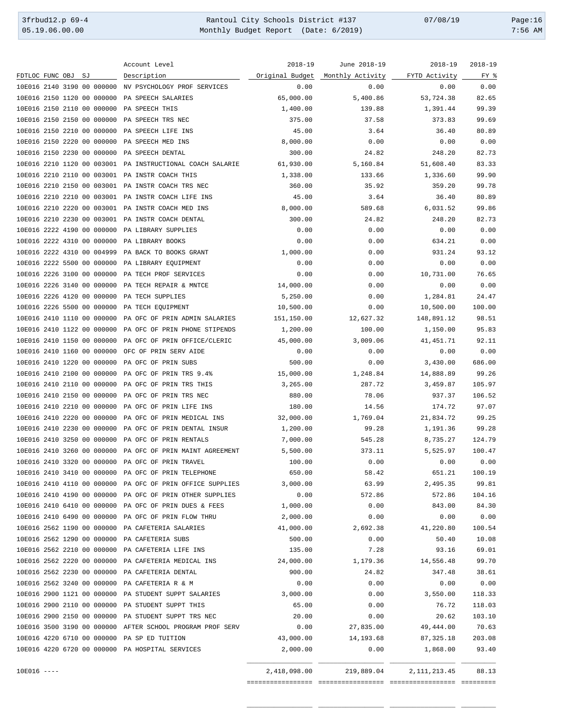3frbud12.p 69-4 Rantoul City Schools District #137 07/08/19 Page:16 05.19.06.00.00 Monthly Budget Report (Date: 6/2019) 7:56 AM

Account Level 2018-19 2018-19 June 2018-19 2018-19 2018-19 FDTLOC FUNC OBJ SJ Description **Description** <u>Original Budget Monthly Activity FYTD Activity</u> FY % 10E016 2140 3190 00 000000 NV PSYCHOLOGY PROF SERVICES 0.00 0.00 0.00 0.00 10E016 2150 1120 00 000000 PA SPEECH SALARIES 65,000.00 5,400.86 53,724.38 82.65 10E016 2150 2110 00 000000 PA SPEECH THIS 1,400.00 139.88 1,391.44 99.39 10E016 2150 2150 00 000000 PA SPEECH TRS NEC 375.00 37.58 373.83 99.69 10E016 2150 2210 00 000000 PA SPEECH LIFE INS 45.00 3.64 36.40 80.89 10E016 2150 2220 00 000000 PA SPEECH MED INS 8,000.00 0.00 0.00 0.00 10E016 2150 2230 00 000000 PA SPEECH DENTAL 300.00 24.82 248.20 82.73 10E016 2210 1120 00 003001 PA INSTRUCTIONAL COACH SALARIE 61,930.00 5,160.84 51,608.40 83.33 10E016 2210 2110 00 003001 PA INSTR COACH THIS 1,338.00 133.66 1,336.60 99.90 10E016 2210 2150 00 003001 PA INSTR COACH TRS NEC 360.00 35.92 359.20 99.78 10E016 2210 2210 00 003001 PA INSTR COACH LIFE INS 45.00 3.64 36.40 80.89 10E016 2210 2220 00 003001 PA INSTR COACH MED INS 8,000.00 589.68 6,031.52 99.86 10E016 2210 2230 00 003001 PA INSTR COACH DENTAL 300.00 24.82 248.20 82.73 10E016 2222 4190 00 000000 PA LIBRARY SUPPLIES 0.00 0.00 0.00 0.00 10E016 2222 4310 00 000000 PA LIBRARY BOOKS 0.00 0.00 634.21 0.00 10E016 2222 4310 00 004999 PA BACK TO BOOKS GRANT 1,000.00 0.00 931.24 93.12 10E016 2222 5500 00 000000 PA LIBRARY EQUIPMENT 0.00 0.00 0.00 0.00 10E016 2226 3100 00 000000 PA TECH PROF SERVICES 0.00 0.00 10,731.00 76.65 10E016 2226 3140 00 000000 PA TECH REPAIR & MNTCE 14,000.00 0.00 0.00 0.00 10E016 2226 4120 00 000000 PA TECH SUPPLIES 5,250.00 0.00 1,284.81 24.47 10E016 2226 5500 00 000000 PA TECH EQUIPMENT 10,500.00 0.00 10,500.00 100.00 10E016 2410 1110 00 000000 PA OFC OF PRIN ADMIN SALARIES 151,150.00 12,627.32 148,891.12 98.51 10E016 2410 1122 00 000000 PA OFC OF PRIN PHONE STIPENDS 1,200.00 100.00 1,150.00 95.83 10E016 2410 1150 00 000000 PA OFC OF PRIN OFFICE/CLERIC 45,000.00 3,009.06 41,451.71 92.11 10E016 2410 1160 00 000000 OFC OF PRIN SERV AIDE 0.00 0.00 0.00 0.00 10E016 2410 1220 00 000000 PA OFC OF PRIN SUBS 500.00 0.00 3,430.00 686.00 10E016 2410 2100 00 000000 PA OFC OF PRIN TRS 9.4% 15,000.00 1,248.84 14,888.89 99.26 10E016 2410 2110 00 000000 PA OFC OF PRIN TRS THIS 3,265.00 287.72 3,459.87 105.97 10E016 2410 2150 00 000000 PA OFC OF PRIN TRS NEC 880.00 78.06 937.37 106.52 10E016 2410 2210 00 000000 PA OFC OF PRIN LIFE INS 180.00 14.56 174.72 97.07 10E016 2410 2220 00 000000 PA OFC OF PRIN MEDICAL INS 32,000.00 1,769.04 21,834.72 99.25 10E016 2410 2230 00 000000 PA OFC OF PRIN DENTAL INSUR 1,200.00 99.28 1,191.36 99.28 10E016 2410 3250 00 000000 PA OFC OF PRIN RENTALS 7,000.00 545.28 8,735.27 124.79 10E016 2410 3260 00 000000 PA OFC OF PRIN MAINT AGREEMENT 5,500.00 373.11 5,525.97 100.47 10E016 2410 3320 00 000000 PA OFC OF PRIN TRAVEL 100.00 0.00 0.00 0.00 10E016 2410 3410 00 000000 PA OFC OF PRIN TELEPHONE 650.00 58.42 651.21 100.19 10E016 2410 4110 00 000000 PA OFC OF PRIN OFFICE SUPPLIES 3,000.00 63.99 2,495.35 99.81 10E016 2410 4190 00 000000 PA OFC OF PRIN OTHER SUPPLIES 0.00 572.86 572.86 104.16 10E016 2410 6410 00 000000 PA OFC OF PRIN DUES & FEES 1,000.00 0.00 843.00 84.30 10E016 2410 6490 00 000000 PA OFC OF PRIN FLOW THRU 2,000.00 0.00 0.00 0.00 10E016 2562 1190 00 000000 PA CAFETERIA SALARIES 41,000.00 2,692.38 41,220.80 100.54 10E016 2562 1290 00 000000 PA CAFETERIA SUBS 500.00 0.00 50.40 10.08 10E016 2562 2210 00 000000 PA CAFETERIA LIFE INS 135.00 7.28 93.16 69.01 10E016 2562 2220 00 000000 PA CAFETERIA MEDICAL INS 24,000.00 1,179.36 14,556.48 99.70 10E016 2562 2230 00 000000 PA CAFETERIA DENTAL 900.00 24.82 347.48 38.61 10E016 2562 3240 00 000000 PA CAFETERIA R & M 0.00 0.00 0.00 0.00 10E016 2900 1121 00 000000 PA STUDENT SUPPT SALARIES 3,000.00 0.00 3,550.00 118.33 10E016 2900 2110 00 000000 PA STUDENT SUPPT THIS 65.00 0.00 76.72 118.03 10E016 2900 2150 00 000000 PA STUDENT SUPPT TRS NEC 20.00 0.00 20.62 103.10 10E016 3500 3190 00 000000 AFTER SCHOOL PROGRAM PROF SERV 0.00 27,835.00 49,444.00 70.63 10E016 4220 6710 00 000000 PA SP ED TUITION 43,000.00 14,193.68 87,325.18 203.08 10E016 4220 6720 00 000000 PA HOSPITAL SERVICES 2,000.00 0.00 1,868.00 93.40 \_\_\_\_\_\_\_\_\_\_\_\_\_\_\_\_\_ \_\_\_\_\_\_\_\_\_\_\_\_\_\_\_\_\_ \_\_\_\_\_\_\_\_\_\_\_\_\_\_\_\_\_ \_\_\_\_\_\_\_\_\_ 10E016 ---- 2,418,098.00 219,889.04 2,111,213.45 88.13 ================= ================= ================= =========

\_\_\_\_\_\_\_\_\_\_\_\_\_\_\_\_\_ \_\_\_\_\_\_\_\_\_\_\_\_\_\_\_\_\_ \_\_\_\_\_\_\_\_\_\_\_\_\_\_\_\_\_ \_\_\_\_\_\_\_\_\_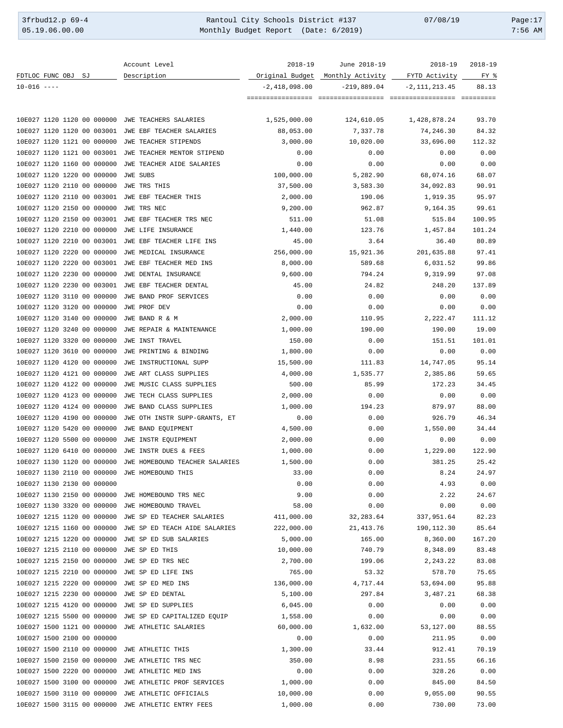3frbud12.p 69-4 Rantoul City Schools District #137 07/08/19 Page:17 Monthly Budget Report (Date: 6/2019)

| FDTLOC FUNC OBJ SJ                                       | Account Level<br>Description                         | $2018 - 19$       | June 2018-19                                      | $2018 - 19$<br>FYTD Activity | $2018 - 19$<br>FY % |
|----------------------------------------------------------|------------------------------------------------------|-------------------|---------------------------------------------------|------------------------------|---------------------|
| $10 - 016$ ----                                          |                                                      | $-2,418,098.00$   | Original Budget Monthly Activity<br>$-219.889.04$ | $-2, 111, 213, 45$           | 88.13               |
|                                                          |                                                      |                   |                                                   |                              |                     |
|                                                          |                                                      |                   |                                                   |                              |                     |
| 10E027 1120 1120 00 000000                               | JWE TEACHERS SALARIES                                | 1,525,000.00      | 124,610.05                                        | 1,428,878.24                 | 93.70               |
| 10E027 1120 1120 00 003001                               | JWE EBF TEACHER SALARIES                             | 88,053.00         | 7,337.78                                          | 74,246.30                    | 84.32               |
| 10E027 1120 1121 00 000000                               | JWE TEACHER STIPENDS                                 | 3,000.00          | 10,020.00                                         | 33,696.00                    | 112.32              |
| 10E027 1120 1121 00 003001                               | JWE TEACHER MENTOR STIPEND                           | 0.00              | 0.00                                              | 0.00                         | 0.00                |
| 10E027 1120 1160 00 000000                               | JWE TEACHER AIDE SALARIES                            | 0.00              | 0.00                                              | 0.00                         | 0.00                |
| 10E027 1120 1220 00 000000                               | JWE SUBS                                             | 100,000.00        | 5,282.90                                          | 68,074.16                    | 68.07               |
| 10E027 1120 2110 00 000000                               | JWE TRS THIS                                         | 37,500.00         | 3,583.30                                          | 34,092.83                    | 90.91               |
| 10E027 1120 2110 00 003001                               | JWE EBF TEACHER THIS                                 | 2,000.00          | 190.06                                            | 1,919.35                     | 95.97               |
| 10E027 1120 2150 00 000000                               | JWE TRS NEC                                          | 9,200.00          | 962.87                                            | 9,164.35                     | 99.61               |
| 10E027 1120 2150 00 003001                               | JWE EBF TEACHER TRS NEC                              | 511.00            | 51.08                                             | 515.84                       | 100.95              |
| 10E027 1120 2210 00 000000                               | JWE LIFE INSURANCE                                   | 1,440.00          | 123.76                                            | 1,457.84                     | 101.24              |
| 10E027 1120 2210 00 003001                               | JWE EBF TEACHER LIFE INS                             | 45.00             | 3.64                                              | 36.40                        | 80.89               |
| 10E027 1120 2220 00 000000                               | JWE MEDICAL INSURANCE                                | 256,000.00        | 15,921.36                                         | 201,635.88                   | 97.41               |
| 10E027 1120 2220 00 003001                               | JWE EBF TEACHER MED INS                              | 8,000.00          | 589.68                                            | 6,031.52                     | 99.86               |
| 10E027 1120 2230 00 000000                               | JWE DENTAL INSURANCE                                 | 9,600.00          | 794.24                                            | 9,319.99                     | 97.08               |
| 10E027 1120 2230 00 003001                               | JWE EBF TEACHER DENTAL                               | 45.00             | 24.82                                             | 248.20                       | 137.89              |
| 10E027 1120 3110 00 000000                               | JWE BAND PROF SERVICES                               | 0.00              | 0.00                                              | 0.00                         | 0.00                |
| 10E027 1120 3120 00 000000                               | JWE PROF DEV                                         | 0.00              | 0.00                                              | 0.00                         | 0.00                |
| 10E027 1120 3140 00 000000                               | JWE BAND R & M                                       | 2,000.00          | 110.95                                            | 2,222.47                     | 111.12              |
| 10E027 1120 3240 00 000000                               | JWE REPAIR & MAINTENANCE                             | 1,000.00          | 190.00                                            | 190.00                       | 19.00               |
| 10E027 1120 3320 00 000000                               | JWE INST TRAVEL                                      | 150.00            | 0.00                                              | 151.51                       | 101.01              |
| 10E027 1120 3610 00 000000                               | JWE PRINTING & BINDING                               | 1,800.00          | 0.00                                              | 0.00                         | 0.00                |
| 10E027 1120 4120 00 000000                               | JWE INSTRUCTIONAL SUPP                               | 15,500.00         | 111.83                                            | 14,747.05                    | 95.14               |
| 10E027 1120 4121 00 000000                               | JWE ART CLASS SUPPLIES                               | 4,000.00          | 1,535.77                                          | 2,385.86                     | 59.65               |
| 10E027 1120 4122 00 000000                               | JWE MUSIC CLASS SUPPLIES                             | 500.00            | 85.99                                             | 172.23                       | 34.45               |
| 10E027 1120 4123 00 000000                               | JWE TECH CLASS SUPPLIES                              | 2,000.00          | 0.00                                              | 0.00                         | 0.00                |
| 10E027 1120 4124 00 000000                               | JWE BAND CLASS SUPPLIES                              | 1,000.00          | 194.23                                            | 879.97                       | 88.00               |
| 10E027 1120 4190 00 000000                               | JWE OTH INSTR SUPP-GRANTS, ET                        | 0.00              | 0.00                                              | 926.79                       | 46.34               |
| 10E027 1120 5420 00 000000                               | JWE BAND EQUIPMENT                                   | 4,500.00          | 0.00                                              | 1,550.00                     | 34.44               |
| 10E027 1120 5500 00 000000                               | JWE INSTR EQUIPMENT                                  | 2,000.00          | 0.00                                              | 0.00                         | 0.00                |
| 10E027 1120 6410 00 000000                               | JWE INSTR DUES & FEES                                | 1,000.00          | 0.00                                              | 1,229.00                     | 122.90              |
| 10E027 1130 1120 00 000000                               | JWE HOMEBOUND TEACHER SALARIES                       | 1,500.00          | 0.00                                              | 381.25                       | 25.42               |
| 10E027 1130 2110 00 000000 JWE HOMEBOUND THIS            |                                                      | 33.00             | 0.00                                              | 8.24                         | 24.97               |
| 10E027 1130 2130 00 000000                               |                                                      | 0.00              | 0.00                                              | 4.93                         | 0.00                |
| 10E027 1130 2150 00 000000                               | JWE HOMEBOUND TRS NEC                                | 9.00              | 0.00                                              | 2.22                         | 24.67               |
| 10E027 1130 3320 00 000000                               | JWE HOMEBOUND TRAVEL                                 | 58.00             | 0.00                                              | 0.00                         | 0.00                |
| 10E027 1215 1120 00 000000                               | JWE SP ED TEACHER SALARIES                           | 411,000.00        | 32, 283.64                                        | 337,951.64                   | 82.23               |
| 10E027 1215 1160 00 000000                               | JWE SP ED TEACH AIDE SALARIES                        | 222,000.00        | 21,413.76                                         | 190,112.30                   | 85.64               |
| 10E027 1215 1220 00 000000                               | JWE SP ED SUB SALARIES                               | 5,000.00          | 165.00                                            | 8,360.00                     | 167.20              |
| 10E027 1215 2110 00 000000                               | JWE SP ED THIS                                       | 10,000.00         | 740.79                                            | 8,348.09                     | 83.48               |
| 10E027 1215 2150 00 000000                               | JWE SP ED TRS NEC                                    | 2,700.00          | 199.06                                            | 2,243.22                     | 83.08               |
| 10E027 1215 2210 00 000000                               | JWE SP ED LIFE INS                                   | 765.00            | 53.32                                             | 578.70                       | 75.65               |
| 10E027 1215 2220 00 000000                               | JWE SP ED MED INS                                    | 136,000.00        | 4,717.44                                          | 53,694.00                    | 95.88               |
| 10E027 1215 2230 00 000000                               | JWE SP ED DENTAL                                     | 5,100.00          | 297.84                                            | 3,487.21                     | 68.38               |
| 10E027 1215 4120 00 000000                               | JWE SP ED SUPPLIES                                   | 6,045.00          | 0.00                                              | 0.00                         | 0.00                |
| 10E027 1215 5500 00 000000<br>10E027 1500 1121 00 000000 | JWE SP ED CAPITALIZED EQUIP<br>JWE ATHLETIC SALARIES | 1,558.00          | 0.00                                              | 0.00                         | 0.00<br>88.55       |
| 10E027 1500 2100 00 000000                               |                                                      | 60,000.00<br>0.00 | 1,632.00<br>0.00                                  | 53,127.00<br>211.95          | 0.00                |
| 10E027 1500 2110 00 000000                               | JWE ATHLETIC THIS                                    | 1,300.00          | 33.44                                             | 912.41                       | 70.19               |
| 10E027 1500 2150 00 000000                               | JWE ATHLETIC TRS NEC                                 | 350.00            | 8.98                                              | 231.55                       | 66.16               |
| 10E027 1500 2220 00 000000                               | JWE ATHLETIC MED INS                                 | 0.00              | 0.00                                              | 328.26                       | 0.00                |
| 10E027 1500 3100 00 000000                               | JWE ATHLETIC PROF SERVICES                           | 1,000.00          | 0.00                                              | 845.00                       | 84.50               |
| 10E027 1500 3110 00 000000                               | JWE ATHLETIC OFFICIALS                               | 10,000.00         | 0.00                                              | 9,055.00                     | 90.55               |
| 10E027 1500 3115 00 000000 JWE ATHLETIC ENTRY FEES       |                                                      | 1,000.00          | 0.00                                              | 730.00                       | 73.00               |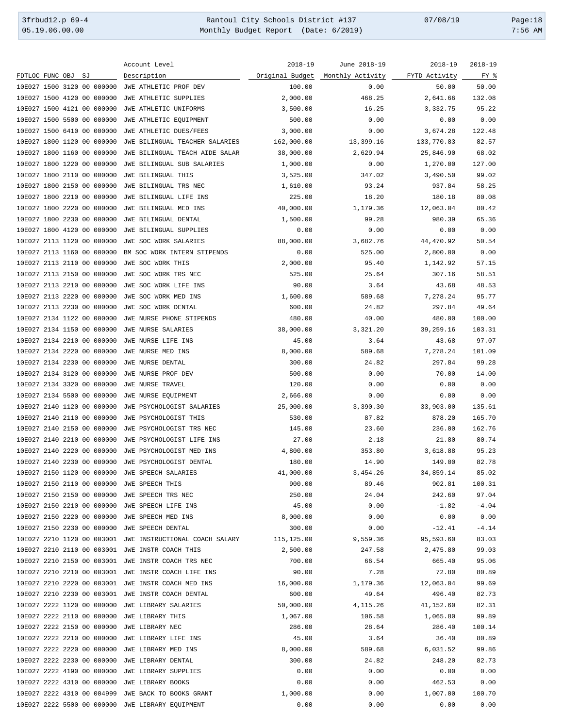3frbud12.p 69-4 <br>
35.19.06.00.00 Rantoul City Schools District #137 07/08/19 Page:18<br>
2:56 AM Monthly Budget Report (Date: 6/2019) 7:56 AM Monthly Budget Report (Date: 6/2019) 7:56 AM

| ruge. |
|-------|
| 7:56  |

|                                                  | Account Level                  | $2018 - 19$     | June 2018-19     | $2018 - 19$   | $2018 - 19$ |
|--------------------------------------------------|--------------------------------|-----------------|------------------|---------------|-------------|
| FDTLOC FUNC OBJ SJ                               | Description                    | Original Budget | Monthly Activity | FYTD Activity | FY %        |
| 10E027 1500 3120 00 000000                       | JWE ATHLETIC PROF DEV          | 100.00          | 0.00             | 50.00         | 50.00       |
| 10E027 1500 4120 00 000000                       | JWE ATHLETIC SUPPLIES          | 2,000.00        | 468.25           | 2,641.66      | 132.08      |
| 10E027 1500 4121 00 000000                       | JWE ATHLETIC UNIFORMS          | 3,500.00        | 16.25            | 3,332.75      | 95.22       |
| 10E027 1500 5500 00 000000                       | JWE ATHLETIC EQUIPMENT         | 500.00          | 0.00             | 0.00          | 0.00        |
| 10E027 1500 6410 00 000000                       | JWE ATHLETIC DUES/FEES         | 3,000.00        | 0.00             | 3,674.28      | 122.48      |
| 10E027 1800 1120 00 000000                       | JWE BILINGUAL TEACHER SALARIES | 162,000.00      | 13,399.16        | 133,770.83    | 82.57       |
| 10E027 1800 1160 00 000000                       | JWE BILINGUAL TEACH AIDE SALAR | 38,000.00       | 2,629.94         | 25,846.90     | 68.02       |
| 10E027 1800 1220 00 000000                       | JWE BILINGUAL SUB SALARIES     | 1,000.00        | 0.00             | 1,270.00      | 127.00      |
| 10E027 1800 2110 00 000000                       | JWE BILINGUAL THIS             | 3,525.00        | 347.02           | 3,490.50      | 99.02       |
| 10E027 1800 2150 00 000000                       | JWE BILINGUAL TRS NEC          | 1,610.00        | 93.24            | 937.84        | 58.25       |
| 10E027 1800 2210 00 000000                       | JWE BILINGUAL LIFE INS         | 225.00          | 18.20            | 180.18        | 80.08       |
| 10E027 1800 2220 00 000000                       | JWE BILINGUAL MED INS          | 40,000.00       | 1,179.36         | 12,063.04     | 80.42       |
| 10E027 1800 2230 00 000000                       | JWE BILINGUAL DENTAL           | 1,500.00        | 99.28            | 980.39        | 65.36       |
| 10E027 1800 4120 00 000000                       | JWE BILINGUAL SUPPLIES         | 0.00            | 0.00             | 0.00          | 0.00        |
| 10E027 2113 1120 00 000000                       | JWE SOC WORK SALARIES          | 88,000.00       | 3,682.76         | 44,470.92     | 50.54       |
| 10E027 2113 1160 00 000000                       | BM SOC WORK INTERN STIPENDS    | 0.00            | 525.00           | 2,800.00      | 0.00        |
| 10E027 2113 2110 00 000000                       | JWE SOC WORK THIS              | 2,000.00        | 95.40            | 1,142.92      | 57.15       |
| 10E027 2113 2150 00 000000                       | JWE SOC WORK TRS NEC           | 525.00          | 25.64            | 307.16        | 58.51       |
| 10E027 2113 2210 00 000000                       | JWE SOC WORK LIFE INS          | 90.00           | 3.64             | 43.68         | 48.53       |
| 10E027 2113 2220 00 000000                       | JWE SOC WORK MED INS           | 1,600.00        | 589.68           | 7,278.24      | 95.77       |
| 10E027 2113 2230 00 000000                       | JWE SOC WORK DENTAL            | 600.00          | 24.82            | 297.84        | 49.64       |
| 10E027 2134 1122 00 000000                       | JWE NURSE PHONE STIPENDS       | 480.00          | 40.00            | 480.00        | 100.00      |
| 10E027 2134 1150 00 000000                       |                                |                 | 3,321.20         | 39,259.16     | 103.31      |
| 10E027 2134 2210 00 000000                       | JWE NURSE SALARIES             | 38,000.00       |                  |               | 97.07       |
|                                                  | JWE NURSE LIFE INS             | 45.00           | 3.64<br>589.68   | 43.68         |             |
| 10E027 2134 2220 00 000000                       | JWE NURSE MED INS              | 8,000.00        |                  | 7,278.24      | 101.09      |
| 10E027 2134 2230 00 000000                       | JWE NURSE DENTAL               | 300.00          | 24.82            | 297.84        | 99.28       |
| 10E027 2134 3120 00 000000                       | JWE NURSE PROF DEV             | 500.00          | 0.00             | 70.00         | 14.00       |
| 10E027 2134 3320 00 000000                       | JWE NURSE TRAVEL               | 120.00          | 0.00             | 0.00          | 0.00        |
| 10E027 2134 5500 00 000000                       | JWE NURSE EQUIPMENT            | 2,666.00        | 0.00             | 0.00          | 0.00        |
| 10E027 2140 1120 00 000000                       | JWE PSYCHOLOGIST SALARIES      | 25,000.00       | 3,390.30         | 33,903.00     | 135.61      |
| 10E027 2140 2110 00 000000                       | JWE PSYCHOLOGIST THIS          | 530.00          | 87.82            | 878.20        | 165.70      |
| 10E027 2140 2150 00 000000                       | JWE PSYCHOLOGIST TRS NEC       | 145.00          | 23.60            | 236.00        | 162.76      |
| 10E027 2140 2210 00 000000                       | JWE PSYCHOLOGIST LIFE INS      | 27.00           | 2.18             | 21.80         | 80.74       |
| 10E027 2140 2220 00 000000                       | JWE PSYCHOLOGIST MED INS       | 4,800.00        | 353.80           | 3,618.88      | 95.23       |
| 10E027 2140 2230 00 000000                       | JWE PSYCHOLOGIST DENTAL        | 180.00          | 14.90            | 149.00        | 82.78       |
| 10E027 2150 1120 00 000000                       | JWE SPEECH SALARIES            | 41,000.00       | 3,454.26         | 34,859.14     | 85.02       |
| 10E027 2150 2110 00 000000                       | JWE SPEECH THIS                | 900.00          | 89.46            | 902.81        | 100.31      |
| 10E027 2150 2150 00 000000                       | JWE SPEECH TRS NEC             | 250.00          | 24.04            | 242.60        | 97.04       |
| 10E027 2150 2210 00 000000                       | JWE SPEECH LIFE INS            | 45.00           | 0.00             | $-1.82$       | $-4.04$     |
| 10E027 2150 2220 00 000000                       | JWE SPEECH MED INS             | 8,000.00        | 0.00             | 0.00          | 0.00        |
| 10E027 2150 2230 00 000000                       | JWE SPEECH DENTAL              | 300.00          | 0.00             | $-12.41$      | $-4.14$     |
| 10E027 2210 1120 00 003001                       | JWE INSTRUCTIONAL COACH SALARY | 115,125.00      | 9,559.36         | 95,593.60     | 83.03       |
| 10E027 2210 2110 00 003001                       | JWE INSTR COACH THIS           | 2,500.00        | 247.58           | 2,475.80      | 99.03       |
| 10E027 2210 2150 00 003001                       | JWE INSTR COACH TRS NEC        | 700.00          | 66.54            | 665.40        | 95.06       |
| 10E027 2210 2210 00 003001                       | JWE INSTR COACH LIFE INS       | 90.00           | 7.28             | 72.80         | 80.89       |
| 10E027 2210 2220 00 003001                       | JWE INSTR COACH MED INS        | 16,000.00       | 1,179.36         | 12,063.04     | 99.69       |
| 10E027 2210 2230 00 003001                       | JWE INSTR COACH DENTAL         | 600.00          | 49.64            | 496.40        | 82.73       |
| 10E027 2222 1120 00 000000                       | JWE LIBRARY SALARIES           | 50,000.00       | 4, 115.26        | 41,152.60     | 82.31       |
| 10E027 2222 2110 00 000000                       | JWE LIBRARY THIS               | 1,067.00        | 106.58           | 1,065.80      | 99.89       |
| 10E027 2222 2150 00 000000                       | JWE LIBRARY NEC                | 286.00          | 28.64            | 286.40        | 100.14      |
| 10E027 2222 2210 00 000000                       | JWE LIBRARY LIFE INS           | 45.00           | 3.64             | 36.40         | 80.89       |
| 10E027 2222 2220 00 000000                       | JWE LIBRARY MED INS            | 8,000.00        | 589.68           | 6,031.52      | 99.86       |
| 10E027 2222 2230 00 000000                       | JWE LIBRARY DENTAL             | 300.00          | 24.82            | 248.20        | 82.73       |
| 10E027 2222 4190 00 000000                       | JWE LIBRARY SUPPLIES           | 0.00            | 0.00             | 0.00          | 0.00        |
| 10E027 2222 4310 00 000000                       | JWE LIBRARY BOOKS              | 0.00            | 0.00             | 462.53        | 0.00        |
| 10E027 2222 4310 00 004999                       | JWE BACK TO BOOKS GRANT        | 1,000.00        | 0.00             | 1,007.00      | 100.70      |
| 10E027 2222 5500 00 000000 JWE LIBRARY EQUIPMENT |                                | 0.00            | 0.00             | 0.00          | 0.00        |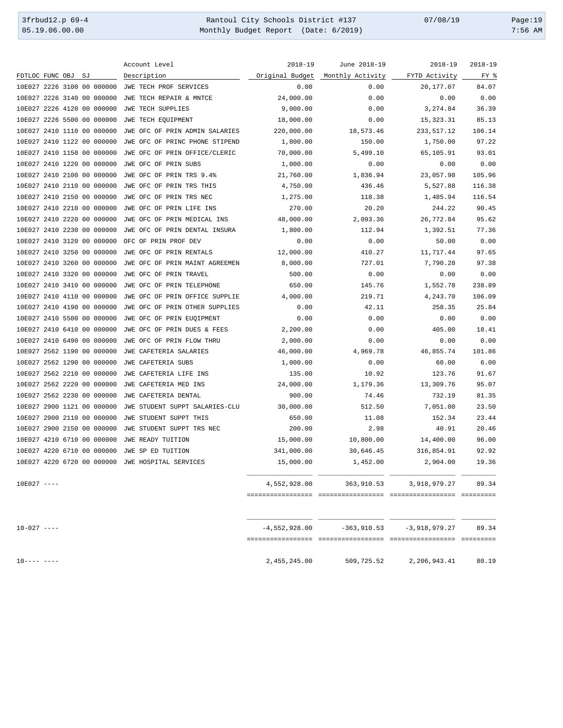3frbud12.p 69-4 <br>
35.19.06.00.00 Rantoul City Schools District #137 07/08/19 Page:19<br>
Monthly Budget Report (Date: 6/2019) 7:56 AM Monthly Budget Report (Date: 6/2019)

|                            | Account Level                  | $2018 - 19$     | June 2018-19     | $2018 - 19$     | $2018 - 19$ |
|----------------------------|--------------------------------|-----------------|------------------|-----------------|-------------|
| FDTLOC FUNC OBJ<br>SJ      | Description                    | Original Budget | Monthly Activity | FYTD Activity   | FY %        |
| 10E027 2226 3100 00 000000 | JWE TECH PROF SERVICES         | 0.00            | 0.00             | 20,177.07       | 84.07       |
| 10E027 2226 3140 00 000000 | JWE TECH REPAIR & MNTCE        | 24,000.00       | 0.00             | 0.00            | 0.00        |
| 10E027 2226 4120 00 000000 | <b>JWE TECH SUPPLIES</b>       | 9,000.00        | 0.00             | 3,274.84        | 36.39       |
| 10E027 2226 5500 00 000000 | JWE TECH EQUIPMENT             | 18,000.00       | 0.00             | 15, 323.31      | 85.13       |
| 10E027 2410 1110 00 000000 | JWE OFC OF PRIN ADMIN SALARIES | 220,000.00      | 18,573.46        | 233,517.12      | 106.14      |
| 10E027 2410 1122 00 000000 | JWE OFC OF PRINC PHONE STIPEND | 1,800.00        | 150.00           | 1,750.00        | 97.22       |
| 10E027 2410 1150 00 000000 | JWE OFC OF PRIN OFFICE/CLERIC  | 70,000.00       | 5,499.10         | 65,105.91       | 93.01       |
| 10E027 2410 1220 00 000000 | JWE OFC OF PRIN SUBS           | 1,000.00        | 0.00             | 0.00            | 0.00        |
| 10E027 2410 2100 00 000000 | JWE OFC OF PRIN TRS 9.4%       | 21,760.00       | 1,836.94         | 23,057.98       | 105.96      |
| 10E027 2410 2110 00 000000 | JWE OFC OF PRIN TRS THIS       | 4,750.00        | 436.46           | 5,527.88        | 116.38      |
| 10E027 2410 2150 00 000000 | JWE OFC OF PRIN TRS NEC        | 1,275.00        | 118.38           | 1,485.94        | 116.54      |
| 10E027 2410 2210 00 000000 | JWE OFC OF PRIN LIFE INS       | 270.00          | 20.20            | 244.22          | 90.45       |
| 10E027 2410 2220 00 000000 | JWE OFC OF PRIN MEDICAL INS    | 48,000.00       | 2,093.36         | 26,772.84       | 95.62       |
| 10E027 2410 2230 00 000000 | JWE OFC OF PRIN DENTAL INSURA  | 1,800.00        | 112.94           | 1,392.51        | 77.36       |
| 10E027 2410 3120 00 000000 | OFC OF PRIN PROF DEV           | 0.00            | 0.00             | 50.00           | 0.00        |
| 10E027 2410 3250 00 000000 | JWE OFC OF PRIN RENTALS        | 12,000.00       | 410.27           | 11,717.44       | 97.65       |
| 10E027 2410 3260 00 000000 | JWE OFC OF PRIN MAINT AGREEMEN | 8,000.00        | 727.01           | 7,790.28        | 97.38       |
| 10E027 2410 3320 00 000000 | JWE OFC OF PRIN TRAVEL         | 500.00          | 0.00             | 0.00            | 0.00        |
| 10E027 2410 3410 00 000000 | JWE OFC OF PRIN TELEPHONE      | 650.00          | 145.76           | 1,552.78        | 238.89      |
| 10E027 2410 4110 00 000000 | JWE OFC OF PRIN OFFICE SUPPLIE | 4,000.00        | 219.71           | 4,243.70        | 106.09      |
| 10E027 2410 4190 00 000000 | JWE OFC OF PRIN OTHER SUPPLIES | 0.00            | 42.11            | 258.35          | 25.84       |
| 10E027 2410 5500 00 000000 | JWE OFC OF PRIN EUQIPMENT      | 0.00            | 0.00             | 0.00            | 0.00        |
| 10E027 2410 6410 00 000000 | JWE OFC OF PRIN DUES & FEES    | 2,200.00        | 0.00             | 405.00          | 18.41       |
| 10E027 2410 6490 00 000000 | JWE OFC OF PRIN FLOW THRU      | 2,000.00        | 0.00             | 0.00            | 0.00        |
| 10E027 2562 1190 00 000000 | JWE CAFETERIA SALARIES         | 46,000.00       | 4,969.78         | 46,855.74       | 101.86      |
| 10E027 2562 1290 00 000000 | JWE CAFETERIA SUBS             | 1,000.00        | 0.00             | 60.00           | 6.00        |
| 10E027 2562 2210 00 000000 | JWE CAFETERIA LIFE INS         | 135.00          | 10.92            | 123.76          | 91.67       |
| 10E027 2562 2220 00 000000 | JWE CAFETERIA MED INS          | 24,000.00       | 1,179.36         | 13,309.76       | 95.07       |
| 10E027 2562 2230 00 000000 | JWE CAFETERIA DENTAL           | 900.00          | 74.46            | 732.19          | 81.35       |
| 10E027 2900 1121 00 000000 | JWE STUDENT SUPPT SALARIES-CLU | 30,000.00       | 512.50           | 7,051.00        | 23.50       |
| 10E027 2900 2110 00 000000 | JWE STUDENT SUPPT THIS         | 650.00          | 11.08            | 152.34          | 23.44       |
| 10E027 2900 2150 00 000000 | JWE STUDENT SUPPT TRS NEC      | 200.00          | 2.98             | 40.91           | 20.46       |
| 10E027 4210 6710 00 000000 | JWE READY TUITION              | 15,000.00       | 10,800.00        | 14,400.00       | 96.00       |
| 10E027 4220 6710 00 000000 | JWE SP ED TUITION              | 341,000.00      | 30,646.45        | 316,854.91      | 92.92       |
| 10E027 4220 6720 00 000000 | JWE HOSPITAL SERVICES          | 15,000.00       | 1,452.00         | 2,904.00        | 19.36       |
|                            |                                |                 |                  |                 |             |
| $10E027$ ----              |                                | 4,552,928.00    | 363,910.53       | 3,918,979.27    | 89.34       |
|                            |                                |                 |                  |                 |             |
|                            |                                |                 |                  |                 |             |
| $10 - 027$ ----            |                                | $-4,552,928.00$ | $-363,910.53$    | $-3,918,979.27$ | 89.34       |
|                            |                                |                 |                  |                 |             |
| $10--- - -$                |                                | 2,455,245.00    | 509,725.52       | 2,206,943.41    | 80.19       |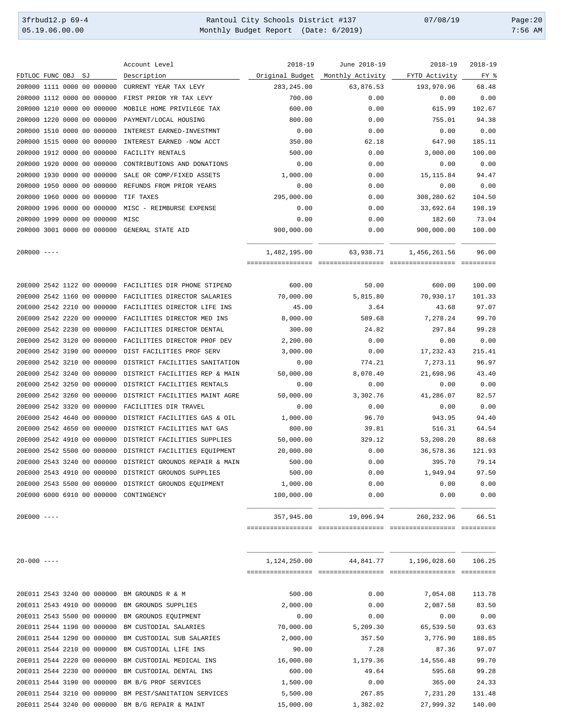3frbud12.p 69-4 Rantoul City Schools District #137 07/08/19 Page:20 05.19.06.00.00 Monthly Budget Report (Date: 6/2019) 7:56 AM

|                    |  |                            | Account Level                                                                                                                                                                                                        | $2018 - 19$                       | June 2018-19         | $2018 - 19$                | $2018 - 19$ |
|--------------------|--|----------------------------|----------------------------------------------------------------------------------------------------------------------------------------------------------------------------------------------------------------------|-----------------------------------|----------------------|----------------------------|-------------|
| FDTLOC FUNC OBJ SJ |  |                            | Description                                                                                                                                                                                                          | Original Budget                   | Monthly Activity     | FYTD Activity              | FY %        |
|                    |  | 20R000 1111 0000 00 000000 | CURRENT YEAR TAX LEVY                                                                                                                                                                                                | 283, 245.00                       | 63,876.53            | 193,970.96                 | 68.48       |
|                    |  | 20R000 1112 0000 00 000000 | FIRST PRIOR YR TAX LEVY                                                                                                                                                                                              | 700.00                            | 0.00                 | 0.00                       | 0.00        |
|                    |  | 20R000 1210 0000 00 000000 | MOBILE HOME PRIVILEGE TAX                                                                                                                                                                                            | 600.00                            | 0.00                 | 615.99                     | 102.67      |
|                    |  | 20R000 1220 0000 00 000000 | PAYMENT/LOCAL HOUSING                                                                                                                                                                                                | 800.00                            | 0.00                 | 755.01                     | 94.38       |
|                    |  | 20R000 1510 0000 00 000000 | INTEREST EARNED-INVESTMNT                                                                                                                                                                                            | 0.00                              | 0.00                 | 0.00                       | 0.00        |
|                    |  | 20R000 1515 0000 00 000000 | INTEREST EARNED -NOW ACCT                                                                                                                                                                                            | 350.00                            | 62.18                | 647.90                     | 185.11      |
|                    |  | 20R000 1912 0000 00 000000 | FACILITY RENTALS                                                                                                                                                                                                     | 500.00                            | 0.00                 | 3,000.00                   | 100.00      |
|                    |  | 20R000 1920 0000 00 000000 | CONTRIBUTIONS AND DONATIONS                                                                                                                                                                                          | 0.00                              | 0.00                 | 0.00                       | 0.00        |
|                    |  | 20R000 1930 0000 00 000000 | SALE OR COMP/FIXED ASSETS                                                                                                                                                                                            | 1,000.00                          | 0.00                 | 15, 115.84                 | 94.47       |
|                    |  | 20R000 1950 0000 00 000000 | REFUNDS FROM PRIOR YEARS                                                                                                                                                                                             | 0.00                              | 0.00                 | 0.00                       | 0.00        |
|                    |  | 20R000 1960 0000 00 000000 | TIF TAXES                                                                                                                                                                                                            | 295,000.00                        | 0.00                 | 308,280.62                 | 104.50      |
|                    |  | 20R000 1996 0000 00 000000 | MISC - REIMBURSE EXPENSE                                                                                                                                                                                             | 0.00                              | 0.00                 | 33,692.64                  | 198.19      |
|                    |  | 20R000 1999 0000 00 000000 | MISC                                                                                                                                                                                                                 | 0.00                              | 0.00                 | 182.60                     | 73.04       |
|                    |  |                            | 20R000 3001 0000 00 000000 GENERAL STATE AID                                                                                                                                                                         | 900,000.00                        | 0.00                 | 900,000.00                 | 100.00      |
| $20R000$ ----      |  |                            |                                                                                                                                                                                                                      | 1,482,195.00<br>================= | 63,938.71            | 1,456,261.56               | 96.00       |
|                    |  |                            |                                                                                                                                                                                                                      |                                   |                      |                            |             |
|                    |  |                            | 20E000 2542 1122 00 000000 FACILITIES DIR PHONE STIPEND                                                                                                                                                              | 600.00                            | 50.00                | 600.00                     | 100.00      |
|                    |  | 20E000 2542 1160 00 000000 | FACILITIES DIRECTOR SALARIES                                                                                                                                                                                         | 70,000.00                         | 5,815.80             | 70,930.17                  | 101.33      |
|                    |  | 20E000 2542 2210 00 000000 | FACILITIES DIRECTOR LIFE INS                                                                                                                                                                                         | 45.00                             | 3.64                 | 43.68                      | 97.07       |
|                    |  | 20E000 2542 2220 00 000000 | FACILITIES DIRECTOR MED INS                                                                                                                                                                                          | 8,000.00                          | 589.68               | 7,278.24                   | 99.70       |
|                    |  | 20E000 2542 2230 00 000000 | FACILITIES DIRECTOR DENTAL                                                                                                                                                                                           | 300.00                            | 24.82                | 297.84                     | 99.28       |
|                    |  | 20E000 2542 3120 00 000000 | FACILITIES DIRECTOR PROF DEV                                                                                                                                                                                         | 2,200.00                          | 0.00                 | 0.00                       | 0.00        |
|                    |  | 20E000 2542 3190 00 000000 | DIST FACILITIES PROF SERV                                                                                                                                                                                            | 3,000.00                          | 0.00                 | 17,232.43                  | 215.41      |
|                    |  | 20E000 2542 3210 00 000000 | DISTRICT FACILITIES SANITATION                                                                                                                                                                                       | 0.00                              | 774.21               | 7,273.11                   | 96.97       |
|                    |  | 20E000 2542 3240 00 000000 | DISTRICT FACILITIES REP & MAIN                                                                                                                                                                                       | 50,000.00                         | 8,070.40             | 21,698.96                  | 43.40       |
|                    |  | 20E000 2542 3250 00 000000 | DISTRICT FACILITIES RENTALS                                                                                                                                                                                          | 0.00                              | 0.00                 | 0.00                       | 0.00        |
|                    |  | 20E000 2542 3260 00 000000 | DISTRICT FACILITIES MAINT AGRE                                                                                                                                                                                       | 50,000.00                         | 3,302.76             | 41,286.07                  | 82.57       |
|                    |  | 20E000 2542 3320 00 000000 | FACILITIES DIR TRAVEL                                                                                                                                                                                                | 0.00                              | 0.00                 | 0.00                       | 0.00        |
|                    |  | 20E000 2542 4640 00 000000 | DISTRICT FACILITIES GAS & OIL                                                                                                                                                                                        | 1,000.00                          | 96.70                | 943.95                     | 94.40       |
|                    |  | 208000 2542 4650 00 000000 | DISTRICT FACILITIES NAT GAS                                                                                                                                                                                          | 800.00                            | 39.81                | 516.31                     | 64.54       |
|                    |  | 20E000 2542 4910 00 000000 | DISTRICT FACILITIES SUPPLIES                                                                                                                                                                                         | 50,000.00                         | 329.12               | 53,208.20                  | 88.68       |
|                    |  |                            | 20E000 2542 5500 00 000000 DISTRICT FACILITIES EQUIPMENT                                                                                                                                                             | 20,000.00                         | 0.00                 | 36,578.36                  | 121.93      |
|                    |  |                            |                                                                                                                                                                                                                      |                                   |                      |                            | 79.14       |
|                    |  |                            |                                                                                                                                                                                                                      |                                   |                      |                            | 97.50       |
|                    |  |                            |                                                                                                                                                                                                                      |                                   |                      |                            | 0.00        |
|                    |  |                            |                                                                                                                                                                                                                      | 100,000.00                        | 0.00                 | 0.00                       | 0.00        |
| 20E000 ----        |  |                            |                                                                                                                                                                                                                      | 357,945.00                        | 19,096.94            | 260, 232.96                | 66.51       |
|                    |  |                            | 20E000 2543 3240 00 000000 DISTRICT GROUNDS REPAIR & MAIN<br>20E000 2543 4910 00 000000 DISTRICT GROUNDS SUPPLIES<br>20E000 2543 5500 00 000000 DISTRICT GROUNDS EQUIPMENT<br>20E000 6000 6910 00 000000 CONTINGENCY | 500.00<br>500.00<br>1,000.00      | 0.00<br>0.00<br>0.00 | 395.70<br>1,949.94<br>0.00 |             |
|                    |  |                            |                                                                                                                                                                                                                      |                                   |                      |                            |             |
| $20 - 000$ ----    |  |                            |                                                                                                                                                                                                                      | 1,124,250.00                      | 44,841.77            | 1,196,028.60               | 106.25      |
|                    |  |                            |                                                                                                                                                                                                                      |                                   |                      |                            |             |
|                    |  |                            | 20E011 2543 3240 00 000000 BM GROUNDS R & M                                                                                                                                                                          | 500.00                            | 0.00                 | 7,054.08                   | 113.78      |
|                    |  |                            | 20E011 2543 4910 00 000000 BM GROUNDS SUPPLIES                                                                                                                                                                       | 2,000.00                          | 0.00                 | 2,087.58                   | 83.50       |
|                    |  |                            | 20E011 2543 5500 00 000000 BM GROUNDS EQUIPMENT                                                                                                                                                                      | 0.00                              | 0.00                 | 0.00                       | 0.00        |
|                    |  |                            | 20E011 2544 1190 00 000000 BM CUSTODIAL SALARIES                                                                                                                                                                     | 70,000.00                         | 5,209.30             | 65,539.50                  | 93.63       |

20E011 2544 1290 00 000000 BM CUSTODIAL SUB SALARIES 2,000.00 357.50 3,776.90 188.85 20E011 2544 2210 00 000000 BM CUSTODIAL LIFE INS 90.00 7.28 87.36 97.07 20E011 2544 2220 00 000000 BM CUSTODIAL MEDICAL INS 16,000.00 1,179.36 14,556.48 99.70 20E011 2544 2230 00 000000 BM CUSTODIAL DENTAL INS 600.00 49.64 595.68 99.28 20E011 2544 3190 00 000000 BM B/G PROF SERVICES 1,500.00 0.00 365.00 24.33 20E011 2544 3210 00 000000 BM PEST/SANITATION SERVICES 5,500.00 267.85 7,231.20 131.48 20E011 2544 3240 00 000000 BM B/G REPAIR & MAINT 15,000.00 1,382.02 27,999.32 140.00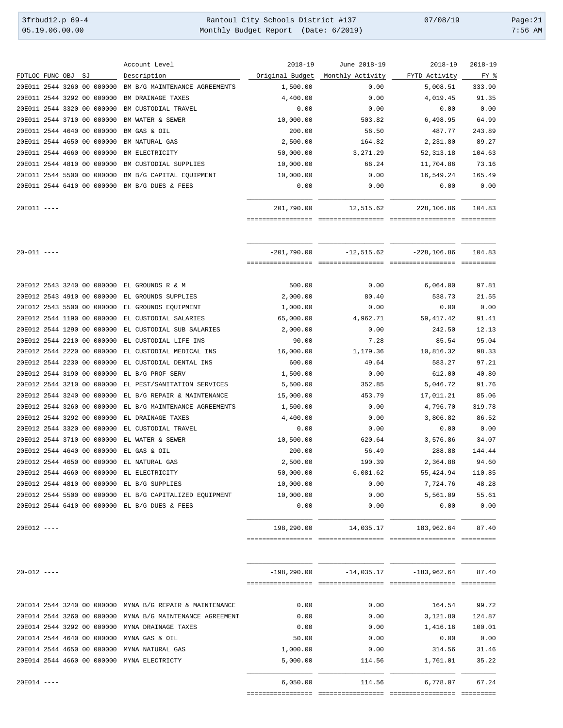| 3frbud12.p 69-4 | Rantoul City Schools District #137   | 07/08/19 | Page:21   |
|-----------------|--------------------------------------|----------|-----------|
| 05.19.06.00.00  | Monthly Budget Report (Date: 6/2019) |          | $7:56$ AM |

|                 |                    |                            | Account Level                                           | $2018 - 19$     | June 2018-19     | $2018 - 19$    | $2018 - 19$ |
|-----------------|--------------------|----------------------------|---------------------------------------------------------|-----------------|------------------|----------------|-------------|
|                 | FDTLOC FUNC OBJ SJ |                            | Description                                             | Original Budget | Monthly Activity | FYTD Activity  | FY %        |
|                 |                    | 20E011 2544 3260 00 000000 | BM B/G MAINTENANCE AGREEMENTS                           | 1,500.00        | 0.00             | 5,008.51       | 333.90      |
|                 |                    | 20E011 2544 3292 00 000000 | BM DRAINAGE TAXES                                       | 4,400.00        | 0.00             | 4,019.45       | 91.35       |
|                 |                    | 20E011 2544 3320 00 000000 | BM CUSTODIAL TRAVEL                                     | 0.00            | 0.00             | 0.00           | 0.00        |
|                 |                    | 20E011 2544 3710 00 000000 | BM WATER & SEWER                                        | 10,000.00       | 503.82           | 6,498.95       | 64.99       |
|                 |                    | 20E011 2544 4640 00 000000 | BM GAS & OIL                                            | 200.00          | 56.50            | 487.77         | 243.89      |
|                 |                    | 20E011 2544 4650 00 000000 | BM NATURAL GAS                                          | 2,500.00        | 164.82           | 2,231.80       | 89.27       |
|                 |                    | 20E011 2544 4660 00 000000 | BM ELECTRICITY                                          | 50,000.00       | 3,271.29         | 52, 313.18     | 104.63      |
|                 |                    | 20E011 2544 4810 00 000000 | BM CUSTODIAL SUPPLIES                                   | 10,000.00       | 66.24            | 11,704.86      | 73.16       |
|                 |                    | 20E011 2544 5500 00 000000 | BM B/G CAPITAL EQUIPMENT                                | 10,000.00       | 0.00             | 16,549.24      | 165.49      |
|                 |                    |                            | 20E011 2544 6410 00 000000 BM B/G DUES & FEES           | 0.00            | 0.00             | 0.00           | 0.00        |
| $20E011$ ----   |                    |                            |                                                         | 201,790.00      | 12,515.62        | 228,106.86     | 104.83      |
| $20 - 011$ ---- |                    |                            |                                                         | $-201,790.00$   | $-12,515.62$     | $-228, 106.86$ | 104.83      |
|                 |                    |                            | 20E012 2543 3240 00 000000 EL GROUNDS R & M             | 500.00          | 0.00             | 6,064.00       | 97.81       |
|                 |                    | 20E012 2543 4910 00 000000 | EL GROUNDS SUPPLIES                                     | 2,000.00        | 80.40            | 538.73         | 21.55       |
|                 |                    | 20E012 2543 5500 00 000000 | EL GROUNDS EQUIPMENT                                    | 1,000.00        | 0.00             | 0.00           | 0.00        |
|                 |                    | 20E012 2544 1190 00 000000 | EL CUSTODIAL SALARIES                                   | 65,000.00       | 4,962.71         | 59,417.42      | 91.41       |
|                 |                    | 20E012 2544 1290 00 000000 | EL CUSTODIAL SUB SALARIES                               | 2,000.00        | 0.00             | 242.50         | 12.13       |
|                 |                    | 20E012 2544 2210 00 000000 | EL CUSTODIAL LIFE INS                                   | 90.00           | 7.28             | 85.54          | 95.04       |
|                 |                    | 20E012 2544 2220 00 000000 | EL CUSTODIAL MEDICAL INS                                | 16,000.00       | 1,179.36         | 10,816.32      | 98.33       |
|                 |                    | 20E012 2544 2230 00 000000 | EL CUSTODIAL DENTAL INS                                 | 600.00          | 49.64            | 583.27         | 97.21       |
|                 |                    | 20E012 2544 3190 00 000000 | EL B/G PROF SERV                                        | 1,500.00        | 0.00             | 612.00         | 40.80       |
|                 |                    | 20E012 2544 3210 00 000000 | EL PEST/SANITATION SERVICES                             | 5,500.00        | 352.85           | 5,046.72       | 91.76       |
|                 |                    | 20E012 2544 3240 00 000000 | EL B/G REPAIR & MAINTENANCE                             | 15,000.00       | 453.79           | 17,011.21      | 85.06       |
|                 |                    | 20E012 2544 3260 00 000000 | EL B/G MAINTENANCE AGREEMENTS                           | 1,500.00        | 0.00             | 4,796.70       | 319.78      |
|                 |                    | 20E012 2544 3292 00 000000 | EL DRAINAGE TAXES                                       | 4,400.00        | 0.00             | 3,806.82       | 86.52       |
|                 |                    | 20E012 2544 3320 00 000000 | EL CUSTODIAL TRAVEL                                     | 0.00            | 0.00             | 0.00           | 0.00        |
|                 |                    |                            | 20E012 2544 3710 00 000000 EL WATER & SEWER             | 10,500.00       | 620.64           | 3,576.86       | 34.07       |
|                 |                    | 20E012 2544 4640 00 000000 | EL GAS & OIL                                            | 200.00          | 56.49            | 288.88         | 144.44      |
|                 |                    |                            | 20E012 2544 4650 00 000000 EL NATURAL GAS               | 2,500.00        | 190.39           | 2,364.88       | 94.60       |
|                 |                    |                            | 20E012 2544 4660 00 000000 EL ELECTRICITY               | 50,000.00       | 6,081.62         | 55,424.94      | 110.85      |
|                 |                    |                            | 20E012 2544 4810 00 000000 EL B/G SUPPLIES              | 10,000.00       | 0.00             | 7,724.76       | 48.28       |
|                 |                    |                            | 20E012 2544 5500 00 000000 EL B/G CAPITALIZED EQUIPMENT | 10,000.00       | 0.00             | 5,561.09       | 55.61       |
|                 |                    |                            | 20E012 2544 6410 00 000000 EL B/G DUES & FEES           | 0.00            | 0.00             | 0.00           | 0.00        |
|                 |                    |                            |                                                         |                 |                  |                |             |
| $20E012$ ----   |                    |                            |                                                         | 198,290.00      | 14,035.17        | 183,962.64     | 87.40       |
|                 |                    |                            |                                                         |                 |                  |                |             |

| $20 - 012 = - -$ |  |                            |                                | $-198, 290.00$ | $-14,035.17$ | $-183,962.64$ | 87.40  |
|------------------|--|----------------------------|--------------------------------|----------------|--------------|---------------|--------|
|                  |  | 20E014 2544 3240 00 000000 | MYNA B/G REPAIR & MAINTENANCE  | 0.00           | 0.00         | 164.54        | 99.72  |
|                  |  | 20E014 2544 3260 00 000000 | MYNA B/G MAINTENANCE AGREEMENT | 0.00           | 0.00         | 3,121.80      | 124.87 |
|                  |  | 20E014 2544 3292 00 000000 | MYNA DRAINAGE TAXES            | 0.00           | 0.00         | 1,416.16      | 100.01 |
|                  |  | 20E014 2544 4640 00 000000 | MYNA GAS & OIL                 | 50.00          | 0.00         | 0.00          | 0.00   |
|                  |  | 20E014 2544 4650 00 000000 | MYNA NATURAL GAS               | 1,000.00       | 0.00         | 314.56        | 31.46  |
|                  |  | 20E014 2544 4660 00 000000 | MYNA ELECTRICTY                | 5,000.00       | 114.56       | 1,761.01      | 35.22  |
| $20E014$ ----    |  |                            |                                | 6,050.00       | 114.56       | 6,778.07      | 67.24  |
|                  |  |                            |                                |                |              |               |        |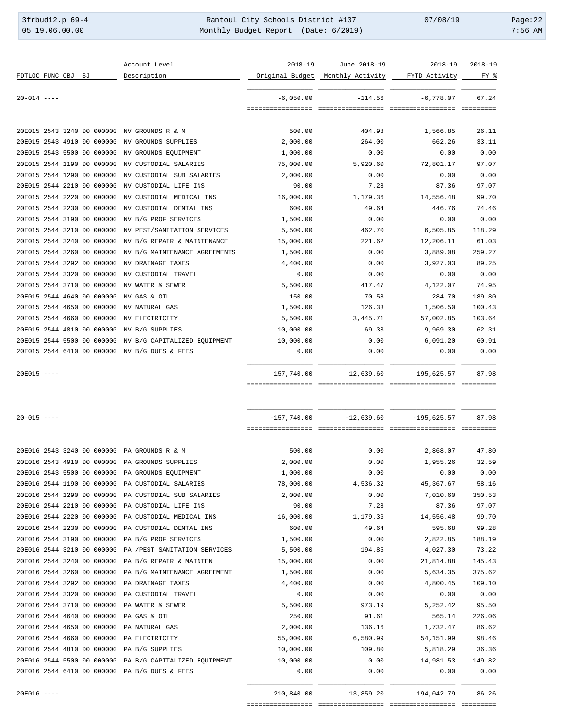3frbud12.p 69-4 <br>
35.19.06.00.00 Rantoul City Schools District #137 07/08/19 Page:22<br>
Monthly Budget Report (Date: 6/2019) 7:56 AM Monthly Budget Report (Date: 6/2019)

|                    |  |                            | Account Level                                           | $2018 - 19$       | June 2018-19     | 2018-19       | $2018 - 19$ |
|--------------------|--|----------------------------|---------------------------------------------------------|-------------------|------------------|---------------|-------------|
| FDTLOC FUNC OBJ SJ |  |                            | Description                                             | Original Budget   | Monthly Activity | FYTD Activity | FY %        |
| $20 - 014$ ----    |  |                            |                                                         | $-6,050.00$       | $-114.56$        | $-6,778.07$   | 67.24       |
|                    |  |                            |                                                         | ================= |                  |               |             |
|                    |  |                            | 20E015 2543 3240 00 000000 NV GROUNDS R & M             | 500.00            | 404.98           | 1,566.85      | 26.11       |
|                    |  | 20E015 2543 4910 00 000000 | NV GROUNDS SUPPLIES                                     | 2,000.00          | 264.00           | 662.26        | 33.11       |
|                    |  | 20E015 2543 5500 00 000000 | NV GROUNDS EQUIPMENT                                    | 1,000.00          | 0.00             | 0.00          | 0.00        |
|                    |  | 20E015 2544 1190 00 000000 | NV CUSTODIAL SALARIES                                   | 75,000.00         | 5,920.60         | 72,801.17     | 97.07       |
|                    |  | 20E015 2544 1290 00 000000 | NV CUSTODIAL SUB SALARIES                               | 2,000.00          | 0.00             | 0.00          | 0.00        |
|                    |  | 20E015 2544 2210 00 000000 | NV CUSTODIAL LIFE INS                                   | 90.00             | 7.28             | 87.36         | 97.07       |
|                    |  | 20E015 2544 2220 00 000000 | NV CUSTODIAL MEDICAL INS                                | 16,000.00         | 1,179.36         | 14,556.48     | 99.70       |
|                    |  | 20E015 2544 2230 00 000000 | NV CUSTODIAL DENTAL INS                                 | 600.00            | 49.64            | 446.76        | 74.46       |
|                    |  | 20E015 2544 3190 00 000000 | NV B/G PROF SERVICES                                    | 1,500.00          | 0.00             | 0.00          | 0.00        |
|                    |  | 20E015 2544 3210 00 000000 | NV PEST/SANITATION SERVICES                             | 5,500.00          | 462.70           | 6,505.85      | 118.29      |
|                    |  | 20E015 2544 3240 00 000000 | NV B/G REPAIR & MAINTENANCE                             | 15,000.00         | 221.62           | 12,206.11     | 61.03       |
|                    |  | 20E015 2544 3260 00 000000 | NV B/G MAINTENANCE AGREEMENTS                           | 1,500.00          | 0.00             | 3,889.08      | 259.27      |
|                    |  | 20E015 2544 3292 00 000000 | NV DRAINAGE TAXES                                       | 4,400.00          | 0.00             | 3,927.03      | 89.25       |
|                    |  | 20E015 2544 3320 00 000000 | NV CUSTODIAL TRAVEL                                     | 0.00              | 0.00             | 0.00          | 0.00        |
|                    |  | 20E015 2544 3710 00 000000 | NV WATER & SEWER                                        | 5,500.00          | 417.47           | 4,122.07      | 74.95       |
|                    |  | 20E015 2544 4640 00 000000 | NV GAS & OIL                                            | 150.00            | 70.58            | 284.70        | 189.80      |
|                    |  | 20E015 2544 4650 00 000000 | NV NATURAL GAS                                          | 1,500.00          | 126.33           | 1,506.50      | 100.43      |
|                    |  | 20E015 2544 4660 00 000000 | NV ELECTRICITY                                          | 5,500.00          | 3,445.71         | 57,002.85     | 103.64      |
|                    |  | 20E015 2544 4810 00 000000 | NV B/G SUPPLIES                                         | 10,000.00         | 69.33            | 9,969.30      | 62.31       |
|                    |  | 20E015 2544 5500 00 000000 | NV B/G CAPITALIZED EQUIPMENT                            | 10,000.00         | 0.00             | 6,091.20      | 60.91       |
|                    |  |                            | 20E015 2544 6410 00 000000 NV B/G DUES & FEES           | 0.00              | 0.00             | 0.00          | 0.00        |
| $20E015$ ----      |  |                            |                                                         | 157,740.00        | 12,639.60        | 195,625.57    | 87.98       |
|                    |  |                            |                                                         |                   |                  |               |             |
| $20 - 015$ ----    |  |                            |                                                         | $-157,740.00$     | $-12,639.60$     | $-195,625.57$ | 87.98       |
|                    |  |                            |                                                         |                   |                  |               |             |
|                    |  |                            | 20E016 2543 3240 00 000000 PA GROUNDS R & M             | 500.00            | 0.00             | 2,868.07      | 47.80       |
|                    |  |                            | 20E016 2543 4910 00 000000 PA GROUNDS SUPPLIES          | 2,000.00          | 0.00             | 1,955.26      | 32.59       |
|                    |  |                            | 20E016 2543 5500 00 000000 PA GROUNDS EQUIPMENT         | 1,000.00          | 0.00             | 0.00          | 0.00        |
|                    |  | 20E016 2544 1190 00 000000 | PA CUSTODIAL SALARIES                                   | 78,000.00         | 4,536.32         | 45,367.67     | 58.16       |
|                    |  | 20E016 2544 1290 00 000000 | PA CUSTODIAL SUB SALARIES                               | 2,000.00          | 0.00             | 7,010.60      | 350.53      |
|                    |  | 20E016 2544 2210 00 000000 | PA CUSTODIAL LIFE INS                                   | 90.00             | 7.28             | 87.36         | 97.07       |
|                    |  | 20E016 2544 2220 00 000000 | PA CUSTODIAL MEDICAL INS                                | 16,000.00         | 1,179.36         | 14,556.48     | 99.70       |
|                    |  | 20E016 2544 2230 00 000000 | PA CUSTODIAL DENTAL INS                                 | 600.00            | 49.64            | 595.68        | 99.28       |
|                    |  | 20E016 2544 3190 00 000000 | PA B/G PROF SERVICES                                    | 1,500.00          | 0.00             | 2,822.85      | 188.19      |
|                    |  | 20E016 2544 3210 00 000000 | PA / PEST SANITATION SERVICES                           | 5,500.00          | 194.85           | 4,027.30      | 73.22       |
|                    |  | 20E016 2544 3240 00 000000 | PA B/G REPAIR & MAINTEN                                 | 15,000.00         | 0.00             | 21,814.88     | 145.43      |
|                    |  | 20E016 2544 3260 00 000000 | PA B/G MAINTENANCE AGREEMENT                            | 1,500.00          | 0.00             | 5,634.35      | 375.62      |
|                    |  | 20E016 2544 3292 00 000000 | PA DRAINAGE TAXES                                       | 4,400.00          | 0.00             | 4,800.45      | 109.10      |
|                    |  | 20E016 2544 3320 00 000000 | PA CUSTODIAL TRAVEL                                     | 0.00              | 0.00             | 0.00          | 0.00        |
|                    |  | 20E016 2544 3710 00 000000 | PA WATER & SEWER                                        | 5,500.00          | 973.19           | 5, 252.42     | 95.50       |
|                    |  | 20E016 2544 4640 00 000000 | PA GAS & OIL                                            | 250.00            | 91.61            | 565.14        | 226.06      |
|                    |  | 20E016 2544 4650 00 000000 | PA NATURAL GAS                                          | 2,000.00          | 136.16           | 1,732.47      | 86.62       |
|                    |  | 20E016 2544 4660 00 000000 | PA ELECTRICITY                                          | 55,000.00         | 6,580.99         | 54,151.99     | 98.46       |
|                    |  |                            | 20E016 2544 4810 00 000000 PA B/G SUPPLIES              | 10,000.00         | 109.80           | 5,818.29      | 36.36       |
|                    |  |                            | 20E016 2544 5500 00 000000 PA B/G CAPITALIZED EQUIPMENT | 10,000.00         | 0.00             | 14,981.53     | 149.82      |
|                    |  |                            | 20E016 2544 6410 00 000000 PA B/G DUES & FEES           | 0.00              | 0.00             | 0.00          | 0.00        |
| $20E016$ ----      |  |                            |                                                         | 210,840.00        | 13,859.20        | 194,042.79    | 86.26       |
|                    |  |                            |                                                         |                   |                  |               |             |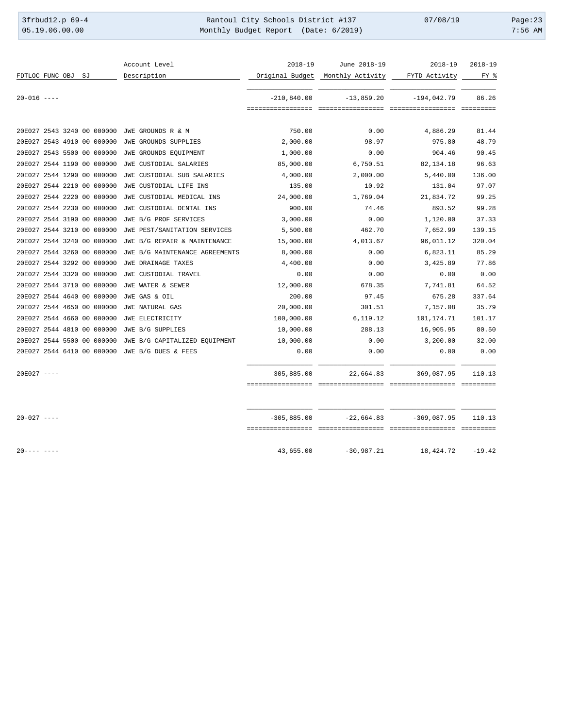3frbud12.p 69-4 <br>
35.19.06.00.00 Rantoul City Schools District #137 07/08/19 Page:23<br>
Monthly Budget Report (Date: 6/2019) 7:56 AM Monthly Budget Report (Date: 6/2019)

|                            |  |  | Account Level                                  | $2018 - 19$   | June 2018-19                     | $2018 - 19$   | $2018 - 19$ |
|----------------------------|--|--|------------------------------------------------|---------------|----------------------------------|---------------|-------------|
| FDTLOC FUNC OBJ SJ         |  |  | Description                                    |               | Original Budget Monthly Activity | FYTD Activity | FY %        |
|                            |  |  |                                                |               |                                  |               |             |
| $20 - 016$ ----            |  |  |                                                | $-210,840.00$ | $-13,859.20$                     | $-194,042.79$ | 86.26       |
|                            |  |  |                                                |               |                                  |               |             |
|                            |  |  | 20E027 2543 3240 00 000000 JWE GROUNDS R & M   | 750.00        | 0.00                             | 4,886.29      | 81.44       |
| 20E027 2543 4910 00 000000 |  |  | JWE GROUNDS SUPPLIES                           | 2,000.00      | 98.97                            | 975.80        | 48.79       |
| 20E027 2543 5500 00 000000 |  |  | JWE GROUNDS EQUIPMENT                          | 1,000.00      | 0.00                             | 904.46        | 90.45       |
| 20E027 2544 1190 00 000000 |  |  | JWE CUSTODIAL SALARIES                         | 85,000.00     | 6,750.51                         | 82,134.18     | 96.63       |
| 20E027 2544 1290 00 000000 |  |  | JWE CUSTODIAL SUB SALARIES                     | 4,000.00      | 2,000.00                         | 5,440.00      | 136.00      |
| 20E027 2544 2210 00 000000 |  |  | JWE CUSTODIAL LIFE INS                         | 135.00        | 10.92                            | 131.04        | 97.07       |
| 20E027 2544 2220 00 000000 |  |  | JWE CUSTODIAL MEDICAL INS                      | 24,000.00     | 1,769.04                         | 21,834.72     | 99.25       |
| 20E027 2544 2230 00 000000 |  |  | JWE CUSTODIAL DENTAL INS                       | 900.00        | 74.46                            | 893.52        | 99.28       |
| 20E027 2544 3190 00 000000 |  |  | JWE B/G PROF SERVICES                          | 3,000.00      | 0.00                             | 1,120.00      | 37.33       |
| 20E027 2544 3210 00 000000 |  |  | JWE PEST/SANITATION SERVICES                   | 5,500.00      | 462.70                           | 7,652.99      | 139.15      |
| 20E027 2544 3240 00 000000 |  |  | JWE B/G REPAIR & MAINTENANCE                   | 15,000.00     | 4,013.67                         | 96,011.12     | 320.04      |
| 20E027 2544 3260 00 000000 |  |  | JWE B/G MAINTENANCE AGREEMENTS                 | 8,000.00      | 0.00                             | 6,823.11      | 85.29       |
| 20E027 2544 3292 00 000000 |  |  | JWE DRAINAGE TAXES                             | 4,400.00      | 0.00                             | 3,425.89      | 77.86       |
| 20E027 2544 3320 00 000000 |  |  | JWE CUSTODIAL TRAVEL                           | 0.00          | 0.00                             | 0.00          | 0.00        |
| 20E027 2544 3710 00 000000 |  |  | JWE WATER & SEWER                              | 12,000.00     | 678.35                           | 7,741.81      | 64.52       |
| 20E027 2544 4640 00 000000 |  |  | JWE GAS & OIL                                  | 200.00        | 97.45                            | 675.28        | 337.64      |
| 20E027 2544 4650 00 000000 |  |  | JWE NATURAL GAS                                | 20,000.00     | 301.51                           | 7,157.08      | 35.79       |
| 20E027 2544 4660 00 000000 |  |  | JWE ELECTRICITY                                | 100,000.00    | 6,119.12                         | 101,174.71    | 101.17      |
| 20E027 2544 4810 00 000000 |  |  | JWE B/G SUPPLIES                               | 10,000.00     | 288.13                           | 16,905.95     | 80.50       |
| 20E027 2544 5500 00 000000 |  |  | JWE B/G CAPITALIZED EOUIPMENT                  | 10,000.00     | 0.00                             | 3,200.00      | 32.00       |
|                            |  |  | 20E027 2544 6410 00 000000 JWE B/G DUES & FEES | 0.00          | 0.00                             | 0.00          | 0.00        |
| $20E027$ ----              |  |  |                                                | 305,885.00    | 22,664.83                        | 369,087.95    | 110.13      |
|                            |  |  |                                                |               |                                  |               |             |
|                            |  |  |                                                |               |                                  |               |             |
| $20 - 027$ ----            |  |  |                                                | $-305,885.00$ | $-22,664.83$                     | $-369,087.95$ | 110.13      |
|                            |  |  |                                                |               |                                  |               |             |
| $20--- - -$                |  |  |                                                | 43,655.00     | $-30,987.21$                     | 18,424.72     | $-19.42$    |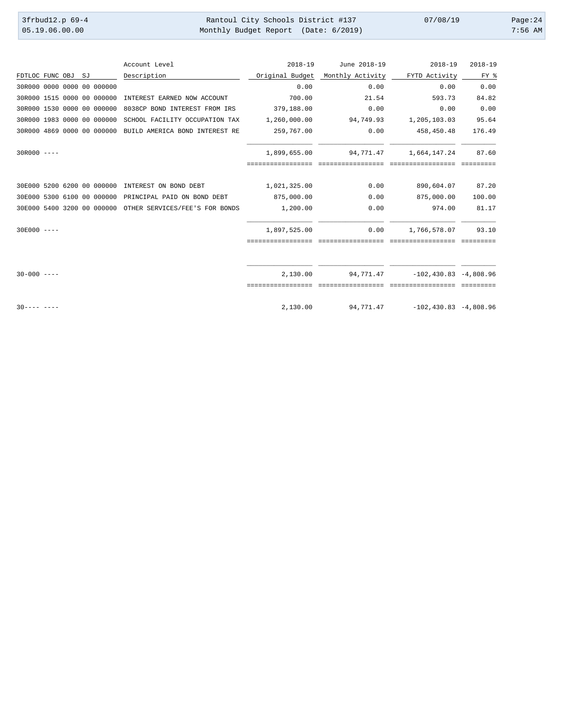| 3frbud12.p 69-4 | Rantoul City Schools District #137   | 07/08/19 | Page: $24$ |
|-----------------|--------------------------------------|----------|------------|
| 05.19.06.00.00  | Monthly Budget Report (Date: 6/2019) |          | $7:56$ AM  |

|                    |  |                            | Account Level                                             | $2018 - 19$     | June 2018-19     | $2018 - 19$                | $2018 - 19$ |
|--------------------|--|----------------------------|-----------------------------------------------------------|-----------------|------------------|----------------------------|-------------|
| FDTLOC FUNC OBJ SJ |  |                            | Description                                               | Original Budget | Monthly Activity | FYTD Activity              | FY %        |
|                    |  | 30R000 0000 0000 00 000000 |                                                           | 0.00            | 0.00             | 0.00                       | 0.00        |
|                    |  | 30R000 1515 0000 00 000000 | INTEREST EARNED NOW ACCOUNT                               | 700.00          | 21.54            | 593.73                     | 84.82       |
|                    |  | 30R000 1530 0000 00 000000 | 8038CP BOND INTEREST FROM IRS                             | 379,188.00      | 0.00             | 0.00                       | 0.00        |
|                    |  | 30R000 1983 0000 00 000000 | SCHOOL FACILITY OCCUPATION TAX                            | 1,260,000.00    | 94,749.93        | 1,205,103.03               | 95.64       |
|                    |  | 30R000 4869 0000 00 000000 | BUILD AMERICA BOND INTEREST RE                            | 259,767.00      | 0.00             | 458,450.48                 | 176.49      |
| $30R000 - - - -$   |  |                            |                                                           | 1,899,655.00    | 94,771.47        | 1,664,147.24               | 87.60       |
|                    |  |                            |                                                           |                 |                  |                            |             |
|                    |  | 30E000 5200 6200 00 000000 | INTEREST ON BOND DEBT                                     | 1,021,325.00    | 0.00             | 890,604.07                 | 87.20       |
|                    |  | 30E000 5300 6100 00 000000 | PRINCIPAL PAID ON BOND DEBT                               | 875,000.00      | 0.00             | 875,000.00                 | 100.00      |
|                    |  |                            | 30E000 5400 3200 00 000000 OTHER SERVICES/FEE'S FOR BONDS | 1,200.00        | 0.00             | 974.00                     | 81.17       |
| $30E000$ ----      |  |                            |                                                           | 1,897,525.00    | 0.00             | 1,766,578.07               | 93.10       |
|                    |  |                            |                                                           |                 |                  |                            |             |
|                    |  |                            |                                                           |                 |                  |                            |             |
| $30 - 000$ ----    |  |                            |                                                           | 2.130.00        | 94,771.47        | $-102,430.83 -4.808.96$    |             |
|                    |  |                            |                                                           |                 |                  |                            |             |
| $30--- - -$        |  |                            |                                                           | 2,130.00        | 94,771.47        | $-102, 430.83 - 4, 808.96$ |             |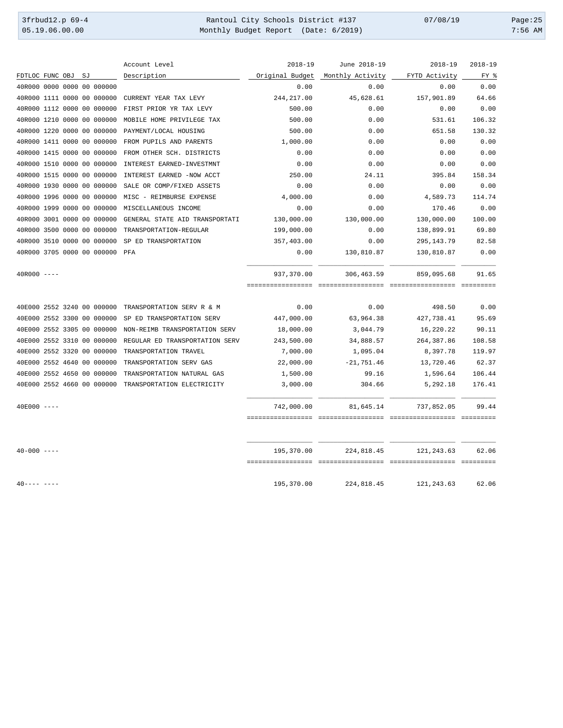3frbud12.p 69-4 <br>
35.19.06.00.00 Rantoul City Schools District #137 07/08/19 Page:25<br>
Monthly Budget Report (Date: 6/2019) 7:56 AM Monthly Budget Report (Date: 6/2019)

|                 |                    |                                | Account Level                  | $2018 - 19$     | June 2018-19     | 2018-19       | 2018-19 |
|-----------------|--------------------|--------------------------------|--------------------------------|-----------------|------------------|---------------|---------|
|                 | FDTLOC FUNC OBJ SJ |                                | Description                    | Original Budget | Monthly Activity | FYTD Activity | FY %    |
|                 |                    | 40R000 0000 0000 00 000000     |                                | 0.00            | 0.00             | 0.00          | 0.00    |
|                 |                    | 40R000 1111 0000 00 000000     | CURRENT YEAR TAX LEVY          | 244, 217.00     | 45,628.61        | 157,901.89    | 64.66   |
|                 |                    | 40R000 1112 0000 00 000000     | FIRST PRIOR YR TAX LEVY        | 500.00          | 0.00             | 0.00          | 0.00    |
|                 |                    | 40R000 1210 0000 00 000000     | MOBILE HOME PRIVILEGE TAX      | 500.00          | 0.00             | 531.61        | 106.32  |
|                 |                    | 40R000 1220 0000 00 000000     | PAYMENT/LOCAL HOUSING          | 500.00          | 0.00             | 651.58        | 130.32  |
|                 |                    | 40R000 1411 0000 00 000000     | FROM PUPILS AND PARENTS        | 1,000.00        | 0.00             | 0.00          | 0.00    |
|                 |                    | 40R000 1415 0000 00 000000     | FROM OTHER SCH. DISTRICTS      | 0.00            | 0.00             | 0.00          | 0.00    |
|                 |                    | 40R000 1510 0000 00 000000     | INTEREST EARNED-INVESTMNT      | 0.00            | 0.00             | 0.00          | 0.00    |
|                 |                    | 40R000 1515 0000 00 000000     | INTEREST EARNED -NOW ACCT      | 250.00          | 24.11            | 395.84        | 158.34  |
|                 |                    | 40R000 1930 0000 00 000000     | SALE OR COMP/FIXED ASSETS      | 0.00            | 0.00             | 0.00          | 0.00    |
|                 |                    | 40R000 1996 0000 00 000000     | MISC - REIMBURSE EXPENSE       | 4,000.00        | 0.00             | 4,589.73      | 114.74  |
|                 |                    | 40R000 1999 0000 00 000000     | MISCELLANEOUS INCOME           | 0.00            | 0.00             | 170.46        | 0.00    |
|                 |                    | 40R000 3001 0000 00 000000     | GENERAL STATE AID TRANSPORTATI | 130,000.00      | 130,000.00       | 130,000.00    | 100.00  |
|                 |                    | 40R000 3500 0000 00 000000     | TRANSPORTATION-REGULAR         | 199,000.00      | 0.00             | 138,899.91    | 69.80   |
|                 |                    | 40R000 3510 0000 00 000000     | SP ED TRANSPORTATION           | 357,403.00      | 0.00             | 295, 143. 79  | 82.58   |
|                 |                    | 40R000 3705 0000 00 000000 PFA |                                | 0.00            | 130,810.87       | 130,810.87    | 0.00    |
| $40R000$ ----   |                    |                                |                                | 937,370.00      | 306,463.59       | 859,095.68    | 91.65   |
|                 |                    |                                |                                |                 |                  |               |         |
|                 |                    | 40E000 2552 3240 00 000000     | TRANSPORTATION SERV R & M      | 0.00            | 0.00             | 498.50        | 0.00    |
|                 |                    | 40E000 2552 3300 00 000000     | SP ED TRANSPORTATION SERV      | 447,000.00      | 63,964.38        | 427,738.41    | 95.69   |
|                 |                    | 40E000 2552 3305 00 000000     | NON-REIMB TRANSPORTATION SERV  | 18,000.00       | 3,044.79         | 16,220.22     | 90.11   |
|                 |                    | 40E000 2552 3310 00 000000     | REGULAR ED TRANSPORTATION SERV | 243,500.00      | 34,888.57        | 264, 387.86   | 108.58  |
|                 |                    | 40E000 2552 3320 00 000000     | TRANSPORTATION TRAVEL          | 7,000.00        | 1,095.04         | 8,397.78      | 119.97  |
|                 |                    | 40E000 2552 4640 00 000000     | TRANSPORTATION SERV GAS        | 22,000.00       | $-21,751.46$     | 13,720.46     | 62.37   |
|                 |                    | 40E000 2552 4650 00 000000     | TRANSPORTATION NATURAL GAS     | 1,500.00        | 99.16            | 1,596.64      | 106.44  |
|                 |                    | 40E000 2552 4660 00 000000     | TRANSPORTATION ELECTRICITY     | 3,000.00        | 304.66           | 5,292.18      | 176.41  |
| $40E000$ ----   |                    |                                |                                | 742,000.00      | 81,645.14        | 737,852.05    | 99.44   |
|                 |                    |                                |                                |                 |                  |               |         |
| $40 - 000$ ---- |                    |                                |                                | 195,370.00      | 224,818.45       | 121, 243.63   | 62.06   |
|                 |                    |                                |                                |                 |                  |               |         |
| $40--- - -$     |                    |                                |                                | 195,370.00      | 224,818.45       | 121, 243.63   | 62.06   |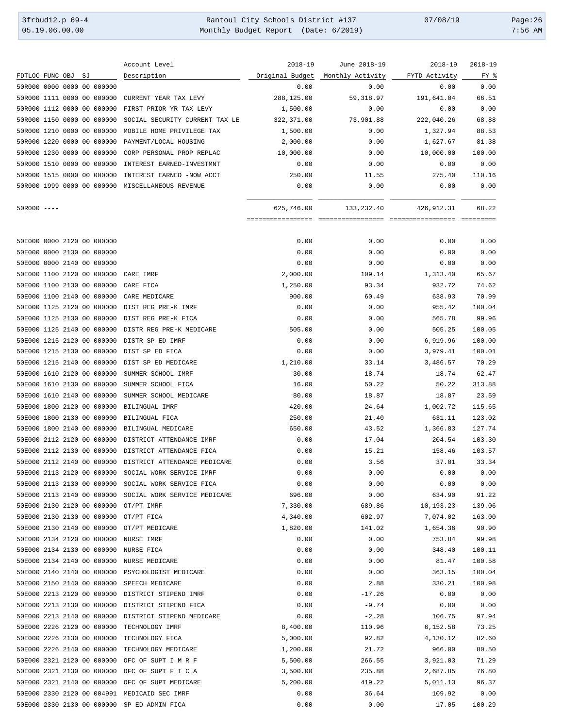3frbud12.p 69-4 <br>
35.19.06.00.00 Rantoul City Schools District #137 07/08/19 Page:26<br>
Monthly Budget Report (Date: 6/2019) 7:56 AM Monthly Budget Report (Date: 6/2019)

|                                                     | Account Level                                           | $2018 - 19$       | June 2018-19      | $2018 - 19$       | $2018 - 19$ |
|-----------------------------------------------------|---------------------------------------------------------|-------------------|-------------------|-------------------|-------------|
| FDTLOC FUNC OBJ<br>SJ                               | Description                                             | Original Budget   | Monthly Activity  | FYTD Activity     | FY %        |
| 50R000 0000 0000 00 000000                          |                                                         | 0.00              | 0.00              | 0.00              | 0.00        |
| 50R000 1111 0000 00 000000                          | CURRENT YEAR TAX LEVY                                   | 288,125.00        | 59, 318.97        | 191,641.04        | 66.51       |
| 50R000 1112 0000 00 000000                          | FIRST PRIOR YR TAX LEVY                                 | 1,500.00          | 0.00              | 0.00              | 0.00        |
| 50R000 1150 0000 00 000000                          | SOCIAL SECURITY CURRENT TAX LE                          | 322,371.00        | 73,901.88         | 222,040.26        | 68.88       |
| 50R000 1210 0000 00 000000                          | MOBILE HOME PRIVILEGE TAX                               | 1,500.00          | 0.00              | 1,327.94          | 88.53       |
| 50R000 1220 0000 00 000000                          | PAYMENT/LOCAL HOUSING                                   | 2,000.00          | 0.00              | 1,627.67          | 81.38       |
| 50R000 1230 0000 00 000000                          | CORP PERSONAL PROP REPLAC                               | 10,000.00         | 0.00              | 10,000.00         | 100.00      |
| 50R000 1510 0000 00 000000                          | INTEREST EARNED-INVESTMNT                               | 0.00              | 0.00              | 0.00              | 0.00        |
| 50R000 1515 0000 00 000000                          | INTEREST EARNED -NOW ACCT                               | 250.00            | 11.55             | 275.40            | 110.16      |
| 50R000 1999 0000 00 000000 MISCELLANEOUS REVENUE    |                                                         | 0.00              | 0.00              | 0.00              | 0.00        |
| $50R000$ ----                                       |                                                         | 625,746.00        | 133,232.40        | 426, 912.31       | 68.22       |
|                                                     |                                                         | ================= | ================= | ================= | =========   |
| 50E000 0000 2120 00 000000                          |                                                         | 0.00              | 0.00              | 0.00              | 0.00        |
| 50E000 0000 2130 00 000000                          |                                                         | 0.00              | 0.00              | 0.00              | 0.00        |
| 50E000 0000 2140 00 000000                          |                                                         | 0.00              | 0.00              | 0.00              | 0.00        |
| 50E000 1100 2120 00 000000                          | CARE IMRF                                               | 2,000.00          | 109.14            | 1,313.40          | 65.67       |
| 50E000 1100 2130 00 000000                          | CARE FICA                                               | 1,250.00          | 93.34             | 932.72            | 74.62       |
| 50E000 1100 2140 00 000000                          | CARE MEDICARE                                           | 900.00            | 60.49             | 638.93            | 70.99       |
| 50E000 1125 2120 00 000000                          | DIST REG PRE-K IMRF                                     | 0.00              | 0.00              | 955.42            | 100.04      |
| 50E000 1125 2130 00 000000                          | DIST REG PRE-K FICA                                     | 0.00              | 0.00              | 565.78            | 99.96       |
| 50E000 1125 2140 00 000000                          | DISTR REG PRE-K MEDICARE                                | 505.00            | 0.00              | 505.25            | 100.05      |
| 50E000 1215 2120 00 000000                          | DISTR SP ED IMRF                                        | 0.00              | 0.00              | 6,919.96          | 100.00      |
| 50E000 1215 2130 00 000000                          | DIST SP ED FICA                                         | 0.00              | 0.00              | 3,979.41          | 100.01      |
| 50E000 1215 2140 00 000000                          | DIST SP ED MEDICARE                                     | 1,210.00          | 33.14             | 3,486.57          | 70.29       |
| 50E000 1610 2120 00 000000                          | SUMMER SCHOOL IMRF                                      | 30.00             | 18.74             | 18.74             | 62.47       |
| 50E000 1610 2130 00 000000                          | SUMMER SCHOOL FICA                                      | 16.00             | 50.22             | 50.22             | 313.88      |
| 50E000 1610 2140 00 000000                          | SUMMER SCHOOL MEDICARE                                  | 80.00             | 18.87             | 18.87             | 23.59       |
| 50E000 1800 2120 00 000000                          | BILINGUAL IMRF                                          | 420.00            | 24.64             | 1,002.72          | 115.65      |
| 50E000 1800 2130 00 000000                          | BILINGUAL FICA                                          | 250.00            | 21.40             | 631.11            | 123.02      |
| 50E000 1800 2140 00 000000                          | BILINGUAL MEDICARE                                      | 650.00            | 43.52             | 1,366.83          | 127.74      |
|                                                     |                                                         |                   |                   |                   |             |
| 50E000 2112 2120 00 000000                          | DISTRICT ATTENDANCE IMRF                                | 0.00              | 17.04             | 204.54            | 103.30      |
| 50E000 2112 2130 00 000000                          | DISTRICT ATTENDANCE FICA                                | 0.00              | 15.21             | 158.46            | 103.57      |
|                                                     | 50E000 2112 2140 00 000000 DISTRICT ATTENDANCE MEDICARE | 0.00              | 3.56              | 37.01             | 33.34       |
| 50E000 2113 2120 00 000000 SOCIAL WORK SERVICE IMRF |                                                         | 0.00              | 0.00              | 0.00              | 0.00        |
| 50E000 2113 2130 00 000000                          | SOCIAL WORK SERVICE FICA                                | 0.00              | 0.00              | 0.00              | 0.00        |
|                                                     | 50E000 2113 2140 00 000000 SOCIAL WORK SERVICE MEDICARE | 696.00            | 0.00              | 634.90            | 91.22       |
| 50E000 2130 2120 00 000000 OT/PT IMRF               |                                                         | 7,330.00          | 689.86            | 10,193.23         | 139.06      |
| 50E000 2130 2130 00 000000                          | OT/PT FICA                                              | 4,340.00          | 602.97            | 7,074.02          | 163.00      |
| 50E000 2130 2140 00 000000                          | OT/PT MEDICARE                                          | 1,820.00          | 141.02            | 1,654.36          | 90.90       |
| 50E000 2134 2120 00 000000                          | NURSE IMRF                                              | 0.00              | 0.00              | 753.84            | 99.98       |
| 50E000 2134 2130 00 000000                          | NURSE FICA                                              | 0.00              | 0.00              | 348.40            | 100.11      |
| 50E000 2134 2140 00 000000                          | NURSE MEDICARE                                          | 0.00              | 0.00              | 81.47             | 100.58      |
| 50E000 2140 2140 00 000000 PSYCHOLOGIST MEDICARE    |                                                         | 0.00              | 0.00              | 363.15            | 100.04      |
| 50E000 2150 2140 00 000000                          | SPEECH MEDICARE                                         | 0.00              | 2.88              | 330.21            | 100.98      |
| 50E000 2213 2120 00 000000                          | DISTRICT STIPEND IMRF                                   | 0.00              | $-17.26$          | 0.00              | 0.00        |
| 50E000 2213 2130 00 000000                          | DISTRICT STIPEND FICA                                   | 0.00              | $-9.74$           | 0.00              | 0.00        |
| 50E000 2213 2140 00 000000                          | DISTRICT STIPEND MEDICARE                               | 0.00              | $-2.28$           | 106.75            | 97.94       |
| 50E000 2226 2120 00 000000                          | TECHNOLOGY IMRF                                         | 8,400.00          | 110.96            | 6,152.58          | 73.25       |
| 50E000 2226 2130 00 000000                          | TECHNOLOGY FICA                                         | 5,000.00          | 92.82             | 4,130.12          | 82.60       |
| 50E000 2226 2140 00 000000                          | TECHNOLOGY MEDICARE                                     | 1,200.00          | 21.72             | 966.00            | 80.50       |
| 50E000 2321 2120 00 000000                          | OFC OF SUPT I M R F                                     | 5,500.00          | 266.55            | 3,921.03          | 71.29       |
| 50E000 2321 2130 00 000000                          | OFC OF SUPT F I C A                                     | 3,500.00          | 235.88            | 2,687.85          | 76.80       |
| 50E000 2321 2140 00 000000                          | OFC OF SUPT MEDICARE                                    | 5,200.00          | 419.22            | 5,011.13          | 96.37       |
| 50E000 2330 2120 00 004991 MEDICAID SEC IMRF        |                                                         | 0.00              | 36.64             | 109.92            | 0.00        |
| 50E000 2330 2130 00 000000 SP ED ADMIN FICA         |                                                         | 0.00              | 0.00              | 17.05             | 100.29      |
|                                                     |                                                         |                   |                   |                   |             |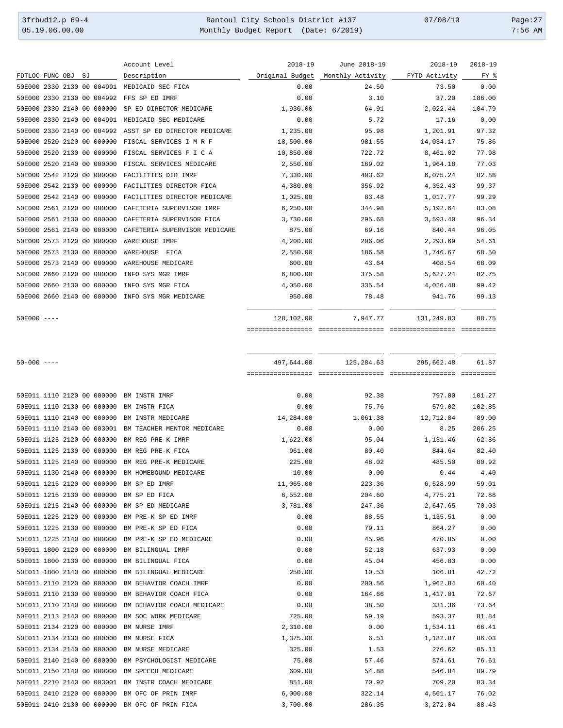3frbud12.p 69-4 Rantoul City Schools District #137 07/08/19 Page:27 Monthly Budget Report (Date: 6/2019)

|                 |  |    |                            | Account Level                 | $2018 - 19$     | June 2018-19     | $2018 - 19$   | $2018 - 19$ |
|-----------------|--|----|----------------------------|-------------------------------|-----------------|------------------|---------------|-------------|
| FDTLOC FUNC OBJ |  | SJ |                            | Description                   | Original Budget | Monthly Activity | FYTD Activity | FY %        |
|                 |  |    | 50E000 2330 2130 00 004991 | MEDICAID SEC FICA             | 0.00            | 24.50            | 73.50         | 0.00        |
|                 |  |    | 50E000 2330 2130 00 004992 | FFS SP ED IMRF                | 0.00            | 3.10             | 37.20         | 186.00      |
|                 |  |    | 50E000 2330 2140 00 000000 | SP ED DIRECTOR MEDICARE       | 1,930.00        | 64.91            | 2,022.44      | 104.79      |
|                 |  |    | 50E000 2330 2140 00 004991 | MEDICAID SEC MEDICARE         | 0.00            | 5.72             | 17.16         | 0.00        |
|                 |  |    | 50E000 2330 2140 00 004992 | ASST SP ED DIRECTOR MEDICARE  | 1,235.00        | 95.98            | 1,201.91      | 97.32       |
|                 |  |    | 50E000 2520 2120 00 000000 | FISCAL SERVICES I M R F       | 18,500.00       | 981.55           | 14,034.17     | 75.86       |
|                 |  |    | 50E000 2520 2130 00 000000 | FISCAL SERVICES F I C A       | 10,850.00       | 722.72           | 8,461.02      | 77.98       |
|                 |  |    | 50E000 2520 2140 00 000000 | FISCAL SERVICES MEDICARE      | 2,550.00        | 169.02           | 1,964.18      | 77.03       |
|                 |  |    | 50E000 2542 2120 00 000000 | FACILITIES DIR IMRF           | 7,330.00        | 403.62           | 6,075.24      | 82.88       |
|                 |  |    | 50E000 2542 2130 00 000000 | FACILITIES DIRECTOR FICA      | 4,380.00        | 356.92           | 4,352.43      | 99.37       |
|                 |  |    | 50E000 2542 2140 00 000000 | FACILITIES DIRECTOR MEDICARE  | 1,025.00        | 83.48            | 1,017.77      | 99.29       |
|                 |  |    | 50E000 2561 2120 00 000000 | CAFETERIA SUPERVISOR IMRF     | 6, 250.00       | 344.98           | 5,192.64      | 83.08       |
|                 |  |    | 50E000 2561 2130 00 000000 | CAFETERIA SUPERVISOR FICA     | 3,730.00        | 295.68           | 3,593.40      | 96.34       |
|                 |  |    | 50E000 2561 2140 00 000000 | CAFETERIA SUPERVISOR MEDICARE | 875.00          | 69.16            | 840.44        | 96.05       |
|                 |  |    | 50E000 2573 2120 00 000000 | WAREHOUSE IMRF                | 4,200.00        | 206.06           | 2,293.69      | 54.61       |
|                 |  |    | 50E000 2573 2130 00 000000 | WAREHOUSE<br>FICA             | 2,550.00        | 186.58           | 1,746.67      | 68.50       |
|                 |  |    | 50E000 2573 2140 00 000000 | WAREHOUSE MEDICARE            | 600.00          | 43.64            | 408.54        | 68.09       |
|                 |  |    | 50E000 2660 2120 00 000000 | INFO SYS MGR IMRF             | 6,800.00        | 375.58           | 5,627.24      | 82.75       |
|                 |  |    | 50E000 2660 2130 00 000000 | INFO SYS MGR FICA             | 4,050.00        | 335.54           | 4,026.48      | 99.42       |
|                 |  |    | 50E000 2660 2140 00 000000 | INFO SYS MGR MEDICARE         | 950.00          | 78.48            | 941.76        | 99.13       |
| $50E000 - - -$  |  |    |                            |                               | 128,102.00      | 7,947.77         | 131,249.83    | 88.75       |

================= ================= ================= =========

| $50 - 000$ ---- |  |                            |                                                       |           |          | 497,644.00 125,284.63 295,662.48 | 61.87  |
|-----------------|--|----------------------------|-------------------------------------------------------|-----------|----------|----------------------------------|--------|
|                 |  |                            |                                                       |           |          |                                  |        |
|                 |  |                            | 50E011 1110 2120 00 000000 BM INSTR IMRF              | 0.00      | 92.38    | 797.00                           | 101.27 |
|                 |  |                            | 50E011 1110 2130 00 000000 BM INSTR FICA              | 0.00      | 75.76    | 579.02                           | 102.85 |
|                 |  |                            | 50E011 1110 2140 00 000000 BM INSTR MEDICARE          | 14,284.00 | 1,061.38 | 12,712.84                        | 89.00  |
|                 |  |                            | 50E011 1110 2140 00 003001 BM TEACHER MENTOR MEDICARE | 0.00      | 0.00     | 8.25                             | 206.25 |
|                 |  | 50E011 1125 2120 00 000000 | BM REG PRE-K IMRF                                     | 1,622.00  | 95.04    | 1,131.46                         | 62.86  |
|                 |  | 50E011 1125 2130 00 000000 | BM REG PRE-K FICA                                     | 961.00    | 80.40    | 844.64                           | 82.40  |
|                 |  | 50E011 1125 2140 00 000000 | BM REG PRE-K MEDICARE                                 | 225.00    | 48.02    | 485.50                           | 80.92  |
|                 |  | 50E011 1130 2140 00 000000 | BM HOMEBOUND MEDICARE                                 | 10.00     | 0.00     | 0.44                             | 4.40   |
|                 |  | 50E011 1215 2120 00 000000 | BM SP ED IMRF                                         | 11,065.00 | 223.36   | 6,528.99                         | 59.01  |
|                 |  | 50E011 1215 2130 00 000000 | BM SP ED FICA                                         | 6,552.00  | 204.60   | 4,775.21                         | 72.88  |
|                 |  | 50E011 1215 2140 00 000000 | BM SP ED MEDICARE                                     | 3,781.00  | 247.36   | 2,647.65                         | 70.03  |
|                 |  | 50E011 1225 2120 00 000000 | BM PRE-K SP ED IMRF                                   | 0.00      | 88.55    | 1,135.51                         | 0.00   |
|                 |  | 50E011 1225 2130 00 000000 | BM PRE-K SP ED FICA                                   | 0.00      | 79.11    | 864.27                           | 0.00   |
|                 |  | 50E011 1225 2140 00 000000 | BM PRE-K SP ED MEDICARE                               | 0.00      | 45.96    | 470.85                           | 0.00   |
|                 |  | 50E011 1800 2120 00 000000 | BM BILINGUAL IMRF                                     | 0.00      | 52.18    | 637.93                           | 0.00   |
|                 |  | 50E011 1800 2130 00 000000 | BM BILINGUAL FICA                                     | 0.00      | 45.04    | 456.83                           | 0.00   |
|                 |  | 50E011 1800 2140 00 000000 | BM BILINGUAL MEDICARE                                 | 250.00    | 10.53    | 106.81                           | 42.72  |
|                 |  | 50E011 2110 2120 00 000000 | BM BEHAVIOR COACH IMRF                                | 0.00      | 200.56   | 1,962.84                         | 60.40  |
|                 |  | 50E011 2110 2130 00 000000 | BM BEHAVIOR COACH FICA                                | 0.00      | 164.66   | 1,417.01                         | 72.67  |
|                 |  | 50E011 2110 2140 00 000000 | BM BEHAVIOR COACH MEDICARE                            | 0.00      | 38.50    | 331.36                           | 73.64  |
|                 |  | 50E011 2113 2140 00 000000 | BM SOC WORK MEDICARE                                  | 725.00    | 59.19    | 593.37                           | 81.84  |
|                 |  | 50E011 2134 2120 00 000000 | BM NURSE IMRF                                         | 2,310.00  | 0.00     | 1,534.11                         | 66.41  |
|                 |  | 50E011 2134 2130 00 000000 | BM NURSE FICA                                         | 1,375.00  | 6.51     | 1,182.87                         | 86.03  |
|                 |  | 50E011 2134 2140 00 000000 | BM NURSE MEDICARE                                     | 325.00    | 1.53     | 276.62                           | 85.11  |
|                 |  | 50E011 2140 2140 00 000000 | BM PSYCHOLOGIST MEDICARE                              | 75.00     | 57.46    | 574.61                           | 76.61  |
|                 |  | 50E011 2150 2140 00 000000 | BM SPEECH MEDICARE                                    | 609.00    | 54.88    | 546.84                           | 89.79  |
|                 |  | 50E011 2210 2140 00 003001 | BM INSTR COACH MEDICARE                               | 851.00    | 70.92    | 709.20                           | 83.34  |
|                 |  | 50E011 2410 2120 00 000000 | BM OFC OF PRIN IMRF                                   | 6,000.00  | 322.14   | 4,561.17                         | 76.02  |
|                 |  |                            | 50E011 2410 2130 00 000000 BM OFC OF PRIN FICA        | 3,700.00  | 286.35   | 3,272.04                         | 88.43  |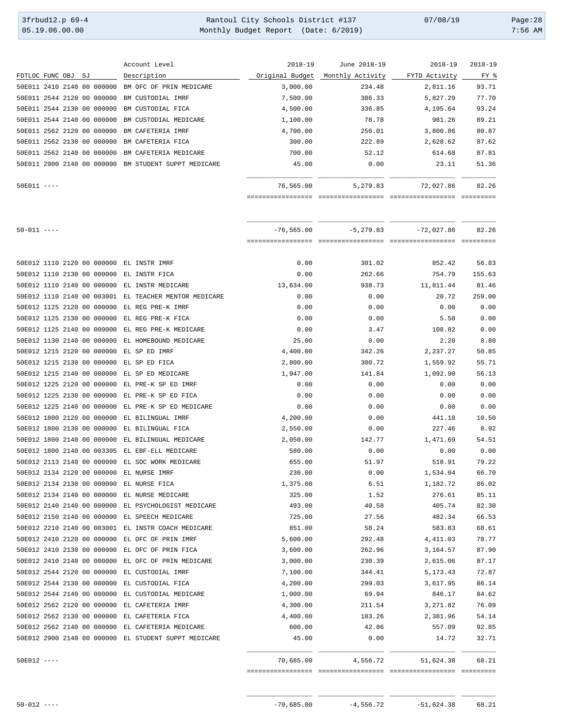| 3frbud12.p 69-4 | Rantoul City Schools District #137   | 07/08/19 | Page: $28$ |
|-----------------|--------------------------------------|----------|------------|
| 05.19.06.00.00  | Monthly Budget Report (Date: 6/2019) |          | $7:56$ AM  |

|                 |  |    |                            | Account Level             | $2018 - 19$     | June 2018-19     | $2018 - 19$   | $2018 - 19$ |
|-----------------|--|----|----------------------------|---------------------------|-----------------|------------------|---------------|-------------|
| FDTLOC FUNC OBJ |  | SJ |                            | Description               | Original Budget | Monthly Activity | FYTD Activity | FY %        |
|                 |  |    | 50E011 2410 2140 00 000000 | BM OFC OF PRIN MEDICARE   | 3.000.00        | 234.48           | 2,811.16      | 93.71       |
|                 |  |    | 50E011 2544 2120 00 000000 | BM CUSTODIAL IMRF         | 7,500.00        | 386.33           | 5,827.29      | 77.70       |
|                 |  |    | 50E011 2544 2130 00 000000 | BM CUSTODIAL FICA         | 4,500.00        | 336.85           | 4,195.64      | 93.24       |
|                 |  |    | 50E011 2544 2140 00 000000 | BM CUSTODIAL MEDICARE     | 1,100.00        | 78.78            | 981.26        | 89.21       |
|                 |  |    | 50E011 2562 2120 00 000000 | BM CAFETERIA IMRF         | 4,700.00        | 256.01           | 3,800.86      | 80.87       |
|                 |  |    | 50E011 2562 2130 00 000000 | BM CAFETERIA FICA         | 300.00          | 222.89           | 2,628.62      | 87.62       |
|                 |  |    | 50E011 2562 2140 00 000000 | BM CAFETERIA MEDICARE     | 700.00          | 52.12            | 614.68        | 87.81       |
|                 |  |    | 50E011 2900 2140 00 000000 | BM STUDENT SUPPT MEDICARE | 45.00           | 0.00             | 23.11         | 51.36       |
| $50E011$ ----   |  |    |                            |                           | 76,565.00       | 5,279.83         | 72,027.86     | 82.26       |
|                 |  |    |                            |                           |                 |                  |               |             |

| $50 - 011$ ----                                       | $-76.565.00$                        |          | $-5, 279.83$ $-72, 027.86$ | 82.26  |
|-------------------------------------------------------|-------------------------------------|----------|----------------------------|--------|
|                                                       |                                     |          |                            |        |
|                                                       |                                     |          |                            |        |
| 50E012 1110 2120 00 000000 EL INSTR IMRF              | 0.00                                | 301.02   | 852.42                     | 56.83  |
| 50E012 1110 2130 00 000000                            | EL INSTR FICA<br>0.00               | 262.66   | 754.79                     | 155.63 |
| 50E012 1110 2140 00 000000                            | EL INSTR MEDICARE<br>13,634.00      | 938.73   | 11,811.44                  | 81.46  |
| 50E012 1110 2140 00 003001 EL TEACHER MENTOR MEDICARE | 0.00                                | 0.00     | 20.72                      | 259.00 |
| 50E012 1125 2120 00 000000                            | EL REG PRE-K IMRF<br>0.00           | 0.00     | 0.00                       | 0.00   |
| 50E012 1125 2130 00 000000                            | 0.00<br>EL REG PRE-K FICA           | 0.00     | 5.58                       | 0.00   |
| 50E012 1125 2140 00 000000                            | EL REG PRE-K MEDICARE<br>0.00       | 3.47     | 108.82                     | 0.00   |
| 50E012 1130 2140 00 000000                            | EL HOMEBOUND MEDICARE<br>25.00      | 0.00     | 2.20                       | 8.80   |
| 50E012 1215 2120 00 000000<br>EL SP ED IMRF           | 4,400.00                            | 342.26   | 2,237.27                   | 50.85  |
| 50E012 1215 2130 00 000000                            | EL SP ED FICA<br>2,800.00           | 300.72   | 1,559.92                   | 55.71  |
| 50E012 1215 2140 00 000000                            | 1,947.00<br>EL SP ED MEDICARE       | 141.84   | 1,092.90                   | 56.13  |
| 50E012 1225 2120 00 000000                            | EL PRE-K SP ED IMRF<br>0.00         | 0.00     | 0.00                       | 0.00   |
| 50E012 1225 2130 00 000000                            | 0.00<br>EL PRE-K SP ED FICA         | 0.00     | 0.00                       | 0.00   |
| 50E012 1225 2140 00 000000                            | EL PRE-K SP ED MEDICARE<br>0.00     | 0.00     | 0.00                       | 0.00   |
| 50E012 1800 2120 00 000000                            | EL BILINGUAL IMRF<br>4,200.00       | 0.00     | 441.18                     | 10.50  |
| 50E012 1800 2130 00 000000                            | 2,550.00<br>EL BILINGUAL FICA       | 0.00     | 227.46                     | 8.92   |
| 50E012 1800 2140 00 000000                            | EL BILINGUAL MEDICARE<br>2,050.00   | 142.77   | 1,471.69                   | 54.51  |
| 50E012 1800 2140 00 003305                            | EL EBF-ELL MEDICARE<br>580.00       | 0.00     | 0.00                       | 0.00   |
| 50E012 2113 2140 00 000000                            | EL SOC WORK MEDICARE<br>655.00      | 51.97    | 518.91                     | 79.22  |
| 50E012 2134 2120 00 000000<br>EL NURSE IMRF           | 230.00                              | 0.00     | 1,534.04                   | 66.70  |
| 50E012 2134 2130 00 000000                            | 1,375.00<br>EL NURSE FICA           | 6.51     | 1,182.72                   | 86.02  |
| 50E012 2134 2140 00 000000                            | EL NURSE MEDICARE<br>325.00         | 1.52     | 276.61                     | 85.11  |
| 50E012 2140 2140 00 000000                            | EL PSYCHOLOGIST MEDICARE<br>493.00  | 40.58    | 405.74                     | 82.30  |
| 50E012 2150 2140 00 000000                            | 725.00<br>EL SPEECH MEDICARE        | 27.56    | 482.34                     | 66.53  |
| 50E012 2210 2140 00 003001 EL INSTR COACH MEDICARE    | 851.00                              | 58.24    | 583.83                     | 68.61  |
| 50E012 2410 2120 00 000000                            | EL OFC OF PRIN IMRF<br>5,600.00     | 292.48   | 4,411.03                   | 78.77  |
| 50E012 2410 2130 00 000000                            | EL OFC OF PRIN FICA<br>3,600.00     | 262.96   | 3,164.57                   | 87.90  |
| 50E012 2410 2140 00 000000                            | EL OFC OF PRIN MEDICARE<br>3,000.00 | 230.39   | 2,615.06                   | 87.17  |
| 50E012 2544 2120 00 000000                            | EL CUSTODIAL IMRF<br>7,100.00       | 344.41   | 5, 173. 43                 | 72.87  |
| 50E012 2544 2130 00 000000                            | EL CUSTODIAL FICA<br>4,200.00       | 299.03   | 3,617.95                   | 86.14  |
| 50E012 2544 2140 00 000000                            | EL CUSTODIAL MEDICARE<br>1,000.00   | 69.94    | 846.17                     | 84.62  |
| 50E012 2562 2120 00 000000                            | EL CAFETERIA IMRF<br>4,300.00       | 211.54   | 3,271.82                   | 76.09  |
| 50E012 2562 2130 00 000000                            | EL CAFETERIA FICA<br>4,400.00       | 183.26   | 2,381.96                   | 54.14  |
|                                                       |                                     |          |                            |        |
| 50E012 2562 2140 00 000000                            | EL CAFETERIA MEDICARE<br>600.00     | 42.86    | 557.09                     | 92.85  |
| 50E012 2900 2140 00 000000 EL STUDENT SUPPT MEDICARE  | 45.00                               | 0.00     | 14.72                      | 32.71  |
| $50E012$ ----                                         | 70,685.00                           | 4,556.72 | 51,624.38                  | 68.21  |
|                                                       |                                     |          |                            |        |

\_\_\_\_\_\_\_\_\_\_\_\_\_\_\_\_\_ \_\_\_\_\_\_\_\_\_\_\_\_\_\_\_\_\_ \_\_\_\_\_\_\_\_\_\_\_\_\_\_\_\_\_ \_\_\_\_\_\_\_\_\_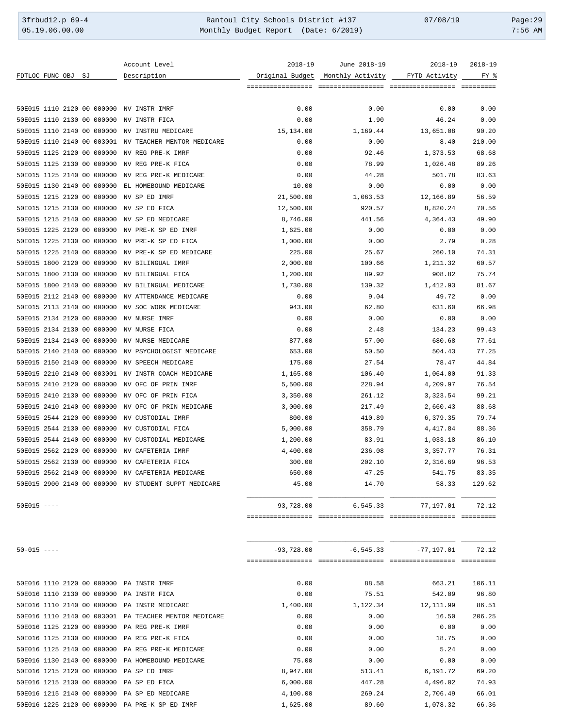3frbud12.p 69-4 <br>
35.19.06.00.00 Rantoul City Schools District #137 07/08/19 Page:29<br>
Monthly Budget Report (Date: 6/2019) 7:56 AM Monthly Budget Report (Date: 6/2019)

|                    |  |                            | Account Level                                         | $2018 - 19$       | June 2018-19     |               | 2018-19 2018-19 |
|--------------------|--|----------------------------|-------------------------------------------------------|-------------------|------------------|---------------|-----------------|
| FDTLOC FUNC OBJ SJ |  |                            | Description                                           | Original Budget   | Monthly Activity | FYTD Activity | FY %            |
|                    |  |                            |                                                       | ================= |                  |               | - =========     |
|                    |  |                            |                                                       |                   |                  |               |                 |
|                    |  |                            | 50E015 1110 2120 00 000000 NV INSTR IMRF              | 0.00              | 0.00             | 0.00          | 0.00            |
|                    |  | 50E015 1110 2130 00 000000 | NV INSTR FICA                                         | 0.00              | 1.90             | 46.24         | 0.00            |
|                    |  |                            | 50E015 1110 2140 00 000000 NV INSTRU MEDICARE         | 15,134.00         | 1,169.44         | 13,651.08     | 90.20           |
|                    |  |                            | 50E015 1110 2140 00 003001 NV TEACHER MENTOR MEDICARE | 0.00              | 0.00             | 8.40          | 210.00          |
|                    |  |                            | 50E015 1125 2120 00 000000 NV REG PRE-K IMRF          | 0.00              | 92.46            | 1,373.53      | 68.68           |
|                    |  | 50E015 1125 2130 00 000000 | NV REG PRE-K FICA                                     | 0.00              | 78.99            | 1,026.48      | 89.26           |
|                    |  | 50E015 1125 2140 00 000000 | NV REG PRE-K MEDICARE                                 | 0.00              | 44.28            | 501.78        | 83.63           |
|                    |  | 50E015 1130 2140 00 000000 | EL HOMEBOUND MEDICARE                                 | 10.00             | 0.00             | 0.00          | 0.00            |
|                    |  | 50E015 1215 2120 00 000000 | NV SP ED IMRF                                         | 21,500.00         | 1,063.53         | 12,166.89     | 56.59           |
|                    |  | 50E015 1215 2130 00 000000 | NV SP ED FICA                                         | 12,500.00         | 920.57           | 8,820.24      | 70.56           |
|                    |  | 50E015 1215 2140 00 000000 | NV SP ED MEDICARE                                     | 8,746.00          | 441.56           | 4,364.43      | 49.90           |
|                    |  | 50E015 1225 2120 00 000000 | NV PRE-K SP ED IMRF                                   | 1,625.00          | 0.00             | 0.00          | 0.00            |
|                    |  | 50E015 1225 2130 00 000000 | NV PRE-K SP ED FICA                                   | 1,000.00          | 0.00             | 2.79          | 0.28            |
|                    |  | 50E015 1225 2140 00 000000 | NV PRE-K SP ED MEDICARE                               | 225.00            | 25.67            | 260.10        | 74.31           |
|                    |  | 50E015 1800 2120 00 000000 | NV BILINGUAL IMRF                                     | 2,000.00          | 100.66           | 1,211.32      | 60.57           |
|                    |  | 50E015 1800 2130 00 000000 | NV BILINGUAL FICA                                     | 1,200.00          | 89.92            | 908.82        | 75.74           |
|                    |  | 50E015 1800 2140 00 000000 | NV BILINGUAL MEDICARE                                 | 1,730.00          | 139.32           | 1,412.93      | 81.67           |
|                    |  | 50E015 2112 2140 00 000000 | NV ATTENDANCE MEDICARE                                | 0.00              | 9.04             | 49.72         | 0.00            |
|                    |  | 50E015 2113 2140 00 000000 | NV SOC WORK MEDICARE                                  | 943.00            | 62.80            | 631.60        | 66.98           |
|                    |  | 50E015 2134 2120 00 000000 | NV NURSE IMRF                                         | 0.00              | 0.00             | 0.00          | 0.00            |
|                    |  | 50E015 2134 2130 00 000000 | NV NURSE FICA                                         | 0.00              | 2.48             | 134.23        | 99.43           |
|                    |  | 50E015 2134 2140 00 000000 | NV NURSE MEDICARE                                     | 877.00            | 57.00            | 680.68        | 77.61           |
|                    |  | 50E015 2140 2140 00 000000 | NV PSYCHOLOGIST MEDICARE                              | 653.00            | 50.50            | 504.43        | 77.25           |
|                    |  | 50E015 2150 2140 00 000000 | NV SPEECH MEDICARE                                    | 175.00            | 27.54            | 78.47         | 44.84           |
|                    |  |                            | 50E015 2210 2140 00 003001 NV INSTR COACH MEDICARE    | 1,165.00          | 106.40           | 1,064.00      | 91.33           |
|                    |  | 50E015 2410 2120 00 000000 | NV OFC OF PRIN IMRF                                   | 5,500.00          | 228.94           | 4,209.97      | 76.54           |
|                    |  | 50E015 2410 2130 00 000000 | NV OFC OF PRIN FICA                                   | 3,350.00          | 261.12           | 3,323.54      | 99.21           |
|                    |  | 50E015 2410 2140 00 000000 | NV OFC OF PRIN MEDICARE                               | 3,000.00          | 217.49           | 2,660.43      | 88.68           |
|                    |  | 50E015 2544 2120 00 000000 | NV CUSTODIAL IMRF                                     | 800.00            | 410.89           | 6,379.35      | 79.74           |
|                    |  | 50E015 2544 2130 00 000000 | NV CUSTODIAL FICA                                     | 5,000.00          | 358.79           | 4,417.84      | 88.36           |
|                    |  | 50E015 2544 2140 00 000000 | NV CUSTODIAL MEDICARE                                 | 1,200.00          | 83.91            | 1,033.18      | 86.10           |
|                    |  | 50E015 2562 2120 00 000000 | NV CAFETERIA IMRF                                     | 4,400.00          | 236.08           | 3,357.77      | 76.31           |
|                    |  |                            | 50E015 2562 2130 00 000000 NV CAFETERIA FICA          | 300.00            | 202.10           | 2,316.69      | 96.53           |
|                    |  |                            | 50E015 2562 2140 00 000000 NV CAFETERIA MEDICARE      | 650.00            | 47.25            | 541.75        | 83.35           |
|                    |  |                            | 50E015 2900 2140 00 000000 NV STUDENT SUPPT MEDICARE  | 45.00             | 14.70            | 58.33         | 129.62          |
| $50E015$ ----      |  |                            |                                                       | 93,728.00         | 6,545.33         | 77,197.01     | 72.12           |
|                    |  |                            |                                                       |                   |                  |               |                 |
|                    |  |                            |                                                       |                   |                  |               |                 |
| $50 - 015$ ----    |  |                            |                                                       | $-93,728.00$      | $-6,545.33$      | $-77,197.01$  | 72.12           |
|                    |  |                            |                                                       |                   |                  |               |                 |
|                    |  |                            | 50E016 1110 2120 00 000000 PA INSTR IMRF              | 0.00              | 88.58            | 663.21        | 106.11          |
|                    |  |                            | 50E016 1110 2130 00 000000 PA INSTR FICA              | 0.00              | 75.51            | 542.09        | 96.80           |
|                    |  |                            | 50E016 1110 2140 00 000000 PA INSTR MEDICARE          | 1,400.00          | 1,122.34         | 12, 111.99    | 86.51           |
|                    |  |                            | 50E016 1110 2140 00 003001 PA TEACHER MENTOR MEDICARE | 0.00              | 0.00             | 16.50         | 206.25          |
|                    |  |                            | 50E016 1125 2120 00 000000 PA REG PRE-K IMRF          | 0.00              | 0.00             | 0.00          | 0.00            |
|                    |  |                            | 50E016 1125 2130 00 000000 PA REG PRE-K FICA          | 0.00              | 0.00             | 18.75         | 0.00            |
|                    |  |                            | 50E016 1125 2140 00 000000 PA REG PRE-K MEDICARE      | 0.00              | 0.00             | 5.24          | 0.00            |
|                    |  |                            | 50E016 1130 2140 00 000000 PA HOMEBOUND MEDICARE      | 75.00             | 0.00             | 0.00          | 0.00            |
|                    |  |                            | 50E016 1215 2120 00 000000 PA SP ED IMRF              | 8,947.00          | 513.41           | 6,191.72      | 69.20           |
|                    |  |                            | 50E016 1215 2130 00 000000 PA SP ED FICA              | 6,000.00          | 447.28           | 4,496.02      | 74.93           |
|                    |  |                            | 50E016 1215 2140 00 000000 PA SP ED MEDICARE          | 4,100.00          | 269.24           | 2,706.49      | 66.01           |

50E016 1225 2120 00 000000 PA PRE-K SP ED IMRF 1,625.00 89.60 1,078.32 66.36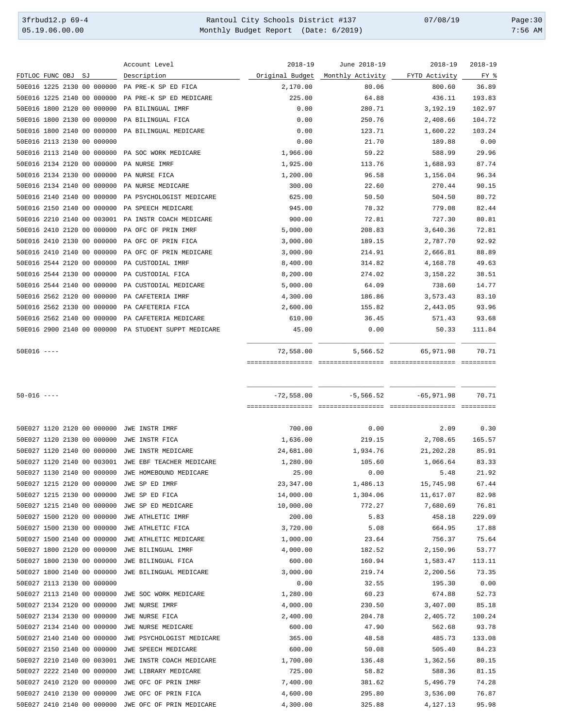3frbud12.p 69-4 Rantoul City Schools District #137 07/08/19 Page:30 05.19.06.00.00 Monthly Budget Report (Date: 6/2019) 7:56 AM

|                            |  |                            | Account Level                                        | $2018 - 19$     | June 2018-19     | 2018-19       | $2018 - 19$ |
|----------------------------|--|----------------------------|------------------------------------------------------|-----------------|------------------|---------------|-------------|
| FDTLOC FUNC OBJ SJ         |  |                            | Description                                          | Original Budget | Monthly Activity | FYTD Activity | FY %        |
|                            |  | 50E016 1225 2130 00 000000 | PA PRE-K SP ED FICA                                  | 2,170.00        | 80.06            | 800.60        | 36.89       |
|                            |  |                            | 50E016 1225 2140 00 000000 PA PRE-K SP ED MEDICARE   | 225.00          | 64.88            | 436.11        | 193.83      |
|                            |  | 50E016 1800 2120 00 000000 | PA BILINGUAL IMRF                                    | 0.00            | 280.71           | 3,192.19      | 102.97      |
|                            |  | 50E016 1800 2130 00 000000 | PA BILINGUAL FICA                                    | 0.00            | 250.76           | 2,408.66      | 104.72      |
|                            |  |                            | 50E016 1800 2140 00 000000 PA BILINGUAL MEDICARE     | 0.00            | 123.71           | 1,600.22      | 103.24      |
| 50E016 2113 2130 00 000000 |  |                            |                                                      | 0.00            | 21.70            | 189.88        | 0.00        |
|                            |  |                            | 50E016 2113 2140 00 000000 PA SOC WORK MEDICARE      | 1,966.00        | 59.22            | 588.99        | 29.96       |
|                            |  |                            | 50E016 2134 2120 00 000000 PA NURSE IMRF             | 1,925.00        | 113.76           | 1,688.93      | 87.74       |
|                            |  |                            | 50E016 2134 2130 00 000000 PA NURSE FICA             | 1,200.00        | 96.58            | 1,156.04      | 96.34       |
|                            |  |                            | 50E016 2134 2140 00 000000 PA NURSE MEDICARE         | 300.00          | 22.60            | 270.44        | 90.15       |
|                            |  |                            | 50E016 2140 2140 00 000000 PA PSYCHOLOGIST MEDICARE  | 625.00          | 50.50            | 504.50        | 80.72       |
|                            |  |                            | 50E016 2150 2140 00 000000 PA SPEECH MEDICARE        | 945.00          | 78.32            | 779.08        | 82.44       |
|                            |  |                            | 50E016 2210 2140 00 003001 PA INSTR COACH MEDICARE   | 900.00          | 72.81            | 727.30        | 80.81       |
|                            |  |                            | 50E016 2410 2120 00 000000 PA OFC OF PRIN IMRF       | 5,000.00        | 208.83           | 3,640.36      | 72.81       |
|                            |  |                            | 50E016 2410 2130 00 000000 PA OFC OF PRIN FICA       | 3,000.00        | 189.15           | 2,787.70      | 92.92       |
|                            |  | 50E016 2410 2140 00 000000 | PA OFC OF PRIN MEDICARE                              | 3,000.00        | 214.91           | 2,666.81      | 88.89       |
|                            |  | 50E016 2544 2120 00 000000 | PA CUSTODIAL IMRF                                    | 8,400.00        | 314.82           | 4,168.78      | 49.63       |
|                            |  | 50E016 2544 2130 00 000000 | PA CUSTODIAL FICA                                    | 8,200.00        | 274.02           | 3,158.22      | 38.51       |
|                            |  | 50E016 2544 2140 00 000000 | PA CUSTODIAL MEDICARE                                | 5,000.00        | 64.09            | 738.60        | 14.77       |
|                            |  |                            | 50E016 2562 2120 00 000000 PA CAFETERIA IMRF         | 4,300.00        | 186.86           | 3,573.43      | 83.10       |
|                            |  | 50E016 2562 2130 00 000000 | PA CAFETERIA FICA                                    | 2,600.00        | 155.82           | 2,443.05      | 93.96       |
|                            |  | 50E016 2562 2140 00 000000 | PA CAFETERIA MEDICARE                                | 610.00          | 36.45            | 571.43        | 93.68       |
|                            |  |                            | 50E016 2900 2140 00 000000 PA STUDENT SUPPT MEDICARE | 45.00           | 0.00             | 50.33         | 111.84      |
| $50E016$ ----              |  |                            |                                                      | 72,558.00       | 5,566.52         | 65,971.98     | 70.71       |
|                            |  |                            |                                                      |                 |                  |               |             |
|                            |  |                            |                                                      |                 |                  |               |             |
|                            |  |                            |                                                      |                 |                  |               |             |
| $50 - 016$ ----            |  |                            |                                                      | $-72,558.00$    | $-5,566.52$      | $-65,971.98$  | 70.71       |
|                            |  |                            |                                                      |                 |                  |               |             |
|                            |  |                            | 50E027 1120 2120 00 000000 JWE INSTR IMRF            | 700.00          | 0.00             | 2.09          | 0.30        |
|                            |  |                            | 50E027 1120 2130 00 000000 JWE INSTR FICA            | 1,636.00        | 219.15           | 2,708.65      | 165.57      |
|                            |  | 50E027 1120 2140 00 000000 | JWE INSTR MEDICARE                                   | 24,681.00       | 1,934.76         | 21,202.28     | 85.91       |
|                            |  |                            | 50E027 1120 2140 00 003001 JWE EBF TEACHER MEDICARE  | 1,280.00        | 105.60           | 1,066.64      | 83.33       |
|                            |  |                            | 50E027 1130 2140 00 000000 JWE HOMEBOUND MEDICARE    | 25.00           | 0.00             | 5.48          | 21.92       |
|                            |  | 50E027 1215 2120 00 000000 | JWE SP ED IMRF                                       | 23,347.00       | 1,486.13         | 15,745.98     | 67.44       |
|                            |  |                            | 50E027 1215 2130 00 000000 JWE SP ED FICA            | 14,000.00       | 1,304.06         | 11,617.07     | 82.98       |
|                            |  |                            | 50E027 1215 2140 00 000000 JWE SP ED MEDICARE        | 10,000.00       | 772.27           | 7,680.69      | 76.81       |
|                            |  |                            | 50E027 1500 2120 00 000000 JWE ATHLETIC IMRF         | 200.00          | 5.83             | 458.18        | 229.09      |
|                            |  | 50E027 1500 2130 00 000000 | JWE ATHLETIC FICA                                    | 3,720.00        | 5.08             | 664.95        | 17.88       |
|                            |  | 50E027 1500 2140 00 000000 | JWE ATHLETIC MEDICARE                                | 1,000.00        | 23.64            | 756.37        | 75.64       |
|                            |  | 50E027 1800 2120 00 000000 | JWE BILINGUAL IMRF                                   | 4,000.00        | 182.52           | 2,150.96      | 53.77       |
|                            |  | 50E027 1800 2130 00 000000 | JWE BILINGUAL FICA                                   | 600.00          | 160.94           | 1,583.47      | 113.11      |
|                            |  | 50E027 1800 2140 00 000000 | JWE BILINGUAL MEDICARE                               | 3,000.00        | 219.74           | 2,200.56      | 73.35       |
| 50E027 2113 2130 00 000000 |  |                            |                                                      | 0.00            | 32.55            | 195.30        | 0.00        |
|                            |  | 50E027 2113 2140 00 000000 | JWE SOC WORK MEDICARE                                | 1,280.00        | 60.23            | 674.88        | 52.73       |
|                            |  | 50E027 2134 2120 00 000000 | JWE NURSE IMRF                                       | 4,000.00        | 230.50           | 3,407.00      | 85.18       |
|                            |  | 50E027 2134 2130 00 000000 | JWE NURSE FICA                                       | 2,400.00        | 204.78           | 2,405.72      | 100.24      |
|                            |  | 50E027 2134 2140 00 000000 | JWE NURSE MEDICARE                                   | 600.00          | 47.90            | 562.68        | 93.78       |
|                            |  | 50E027 2140 2140 00 000000 | JWE PSYCHOLOGIST MEDICARE                            | 365.00          | 48.58            | 485.73        | 133.08      |
|                            |  |                            | 50E027 2150 2140 00 000000 JWE SPEECH MEDICARE       | 600.00          | 50.08            | 505.40        | 84.23       |
|                            |  |                            |                                                      |                 |                  |               |             |

50E027 2210 2140 00 003001 JWE INSTR COACH MEDICARE  $1,700.00$  136.48 1,362.56 80.15 50E027 2222 2140 00 000000 JWE LIBRARY MEDICARE 725.00 58.82 588.36 81.15 50E027 2410 2120 00 000000 JWE OFC OF PRIN IMRF 7,400.00 381.62 5,496.79 74.28 50E027 2410 2130 00 000000 JWE OFC OF PRIN FICA 4,600.00 295.80 3,536.00 76.87 50E027 2410 2140 00 000000 JWE OFC OF PRIN MEDICARE 4,300.00 325.88 4,127.13 95.98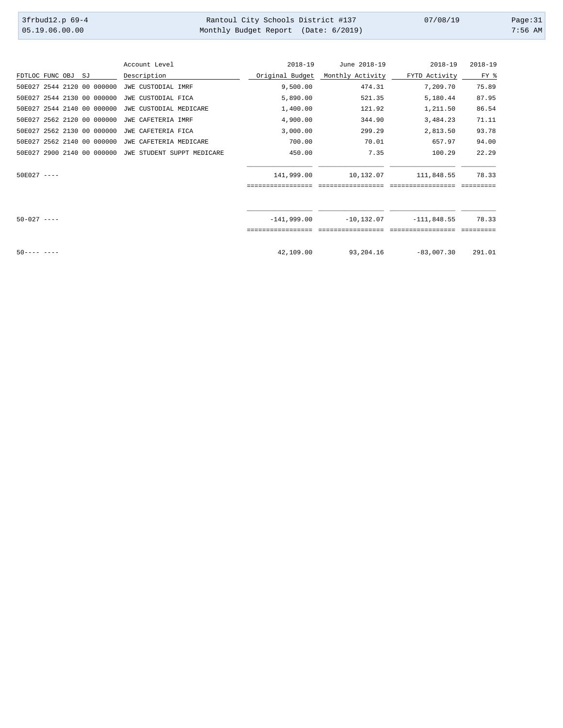| 3frbud12.p 69-4 | Rantoul City Schools District #137   | 07/08/19 | Page:31   |
|-----------------|--------------------------------------|----------|-----------|
| 05.19.06.00.00  | Monthly Budget Report (Date: 6/2019) |          | $7:56$ AM |

|                    |  |                            | Account Level              | $2018 - 19$       | June 2018-19      | $2018 - 19$        | $2018 - 19$ |
|--------------------|--|----------------------------|----------------------------|-------------------|-------------------|--------------------|-------------|
| FDTLOC FUNC OBJ SJ |  |                            | Description                | Original Budget   | Monthly Activity  | FYTD Activity      | FY %        |
|                    |  | 50E027 2544 2120 00 000000 | JWE CUSTODIAL IMRF         | 9,500.00          | 474.31            | 7,209.70           | 75.89       |
|                    |  | 50E027 2544 2130 00 000000 | JWE CUSTODIAL FICA         | 5,890.00          | 521.35            | 5,180.44           | 87.95       |
|                    |  | 50E027 2544 2140 00 000000 | JWE CUSTODIAL MEDICARE     | 1,400.00          | 121.92            | 1,211.50           | 86.54       |
|                    |  | 50E027 2562 2120 00 000000 | JWE CAFETERIA IMRF         | 4,900.00          | 344.90            | 3,484.23           | 71.11       |
|                    |  | 50E027 2562 2130 00 000000 | JWE CAFETERIA FICA         | 3,000.00          | 299.29            | 2,813.50           | 93.78       |
|                    |  | 50E027 2562 2140 00 000000 | JWE CAFETERIA MEDICARE     | 700.00            | 70.01             | 657.97             | 94.00       |
|                    |  | 50E027 2900 2140 00 000000 | JWE STUDENT SUPPT MEDICARE | 450.00            | 7.35              | 100.29             | 22.29       |
|                    |  |                            |                            |                   |                   |                    |             |
| $50E027$ ----      |  |                            |                            | 141,999.00        | 10,132.07         | 111,848.55         | 78.33       |
|                    |  |                            |                            | ================= | ================= | ------------------ | =========   |
|                    |  |                            |                            |                   |                   |                    |             |
| $50 - 027$ ----    |  |                            |                            | $-141.999.00$     | $-10, 132.07$     | $-111,848.55$      | 78.33       |
|                    |  |                            |                            |                   |                   |                    |             |
| $50--- - -$        |  |                            |                            | 42,109.00         | 93,204.16         | $-83,007,30$       | 291.01      |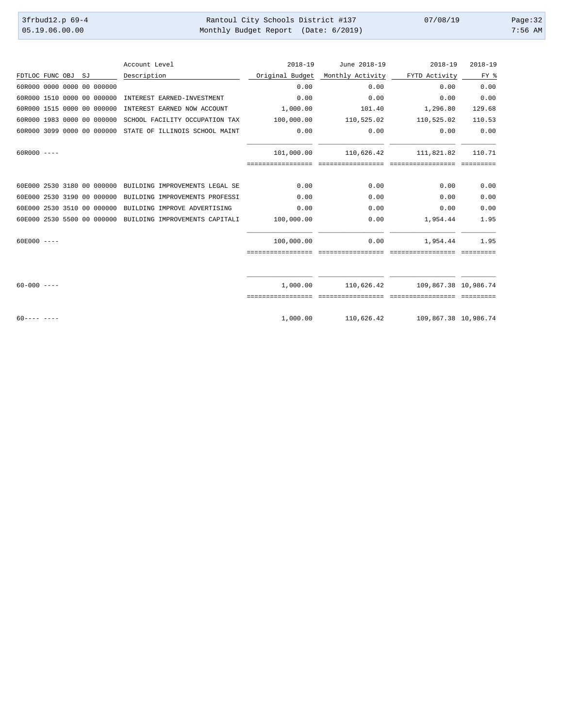| 3frbud12.p 69-4 | Rantoul City Schools District #137   | 07/08/19 | Page:32   |
|-----------------|--------------------------------------|----------|-----------|
| 05.19.06.00.00  | Monthly Budget Report (Date: 6/2019) |          | $7:56$ AM |

|                    |  |                            | Account Level                                             | $2018 - 19$     | June 2018-19      | $2018 - 19$          | $2018 - 19$ |
|--------------------|--|----------------------------|-----------------------------------------------------------|-----------------|-------------------|----------------------|-------------|
| FDTLOC FUNC OBJ SJ |  |                            | Description                                               | Original Budget | Monthly Activity  | FYTD Activity        | FY %        |
|                    |  | 60R000 0000 0000 00 000000 |                                                           | 0.00            | 0.00              | 0.00                 | 0.00        |
|                    |  | 60R000 1510 0000 00 000000 | INTEREST EARNED-INVESTMENT                                | 0.00            | 0.00              | 0.00                 | 0.00        |
|                    |  | 60R000 1515 0000 00 000000 | INTEREST EARNED NOW ACCOUNT                               | 1,000.00        | 101.40            | 1,296.80             | 129.68      |
|                    |  | 60R000 1983 0000 00 000000 | SCHOOL FACILITY OCCUPATION TAX                            | 100,000.00      | 110,525.02        | 110,525.02           | 110.53      |
|                    |  | 60R000 3099 0000 00 000000 | STATE OF ILLINOIS SCHOOL MAINT                            | 0.00            | 0.00              | 0.00                 | 0.00        |
| $60R000$ ----      |  |                            |                                                           | 101,000.00      | 110,626.42        | 111,821.82           | 110.71      |
|                    |  |                            |                                                           |                 | seesseesseesseess |                      |             |
|                    |  |                            | 60E000 2530 3180 00 000000 BUILDING IMPROVEMENTS LEGAL SE | 0.00            | 0.00              | 0.00                 | 0.00        |
|                    |  | 60E000 2530 3190 00 000000 | BUILDING IMPROVEMENTS PROFESSI                            | 0.00            | 0.00              | 0.00                 | 0.00        |
|                    |  | 60E000 2530 3510 00 000000 | BUILDING IMPROVE ADVERTISING                              | 0.00            | 0.00              | 0.00                 | 0.00        |
|                    |  | 60E000 2530 5500 00 000000 | BUILDING IMPROVEMENTS CAPITALI                            | 100,000.00      | 0.00              | 1,954.44             | 1.95        |
| $60E000$ ----      |  |                            |                                                           | 100,000.00      | 0.00              | 1,954.44             | 1.95        |
|                    |  |                            |                                                           |                 |                   |                      |             |
|                    |  |                            |                                                           |                 |                   |                      |             |
| $60 - 000 = - -$   |  |                            |                                                           | 1,000.00        | 110,626.42        | 109,867.38 10,986.74 |             |
|                    |  |                            |                                                           |                 |                   |                      |             |
| $60--- - ---$      |  |                            |                                                           | 1,000.00        | 110,626.42        | 109,867.38 10,986.74 |             |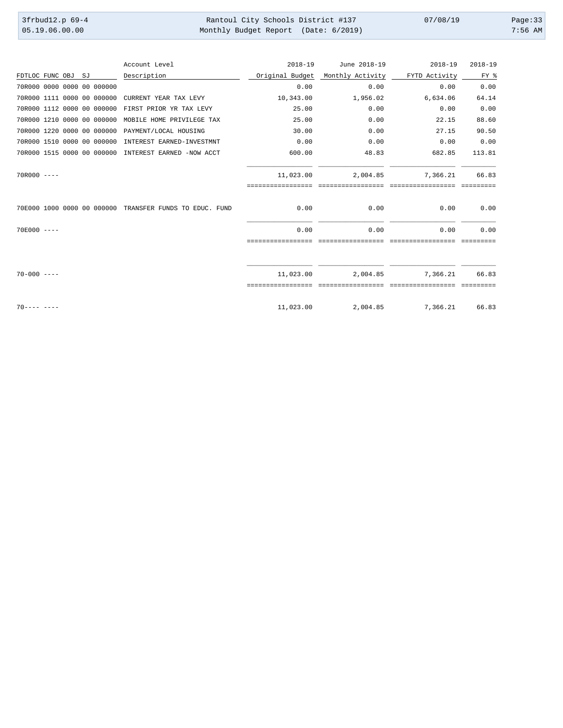| 3frbud12.p 69-4 | Rantoul City Schools District #137   | 07/08/19 | Page:33   |
|-----------------|--------------------------------------|----------|-----------|
| 05.19.06.00.00  | Monthly Budget Report (Date: 6/2019) |          | $7:56$ AM |

|                            |  |    |                            | Account Level                                           | $2018 - 19$                    | June 2018-19                   | $2018 - 19$                   | $2018 - 19$        |
|----------------------------|--|----|----------------------------|---------------------------------------------------------|--------------------------------|--------------------------------|-------------------------------|--------------------|
| FDTLOC FUNC OBJ            |  | SJ |                            | Description                                             | Original Budget                | Monthly Activity               | FYTD Activity                 | FY %               |
| 70R000 0000 0000 00 000000 |  |    |                            |                                                         | 0.00                           | 0.00                           | 0.00                          | 0.00               |
|                            |  |    | 70R000 1111 0000 00 000000 | CURRENT YEAR TAX LEVY                                   | 10,343.00                      | 1,956.02                       | 6,634.06                      | 64.14              |
|                            |  |    | 70R000 1112 0000 00 000000 | FIRST PRIOR YR TAX LEVY                                 | 25.00                          | 0.00                           | 0.00                          | 0.00               |
|                            |  |    | 70R000 1210 0000 00 000000 | MOBILE HOME PRIVILEGE TAX                               | 25.00                          | 0.00                           | 22.15                         | 88.60              |
|                            |  |    | 70R000 1220 0000 00 000000 | PAYMENT/LOCAL HOUSING                                   | 30.00                          | 0.00                           | 27.15                         | 90.50              |
|                            |  |    | 70R000 1510 0000 00 000000 | INTEREST EARNED-INVESTMNT                               | 0.00                           | 0.00                           | 0.00                          | 0.00               |
|                            |  |    | 70R000 1515 0000 00 000000 | INTEREST EARNED -NOW ACCT                               | 600.00                         | 48.83                          | 682.85                        | 113.81             |
| $70R000$ ----              |  |    |                            |                                                         | 11,023.00<br>================= | 2,004.85<br>================== | 7,366.21<br>seesseesseesseess | 66.83<br>eeeeeeee  |
|                            |  |    |                            | 70E000 1000 0000 00 000000 TRANSFER FUNDS TO EDUC. FUND | 0.00                           | 0.00                           | 0.00                          | 0.00               |
| $70E000 - - -$             |  |    |                            |                                                         | 0.00                           | 0.00                           | 0.00                          | 0.00               |
|                            |  |    |                            |                                                         |                                |                                |                               |                    |
| $70 - 000 = - -$           |  |    |                            |                                                         | 11,023.00                      | 2,004.85                       | 7,366.21                      | 66.83<br>========= |
| $70--- - -$                |  |    |                            |                                                         | 11,023.00                      | 2,004.85                       | 7,366.21                      | 66.83              |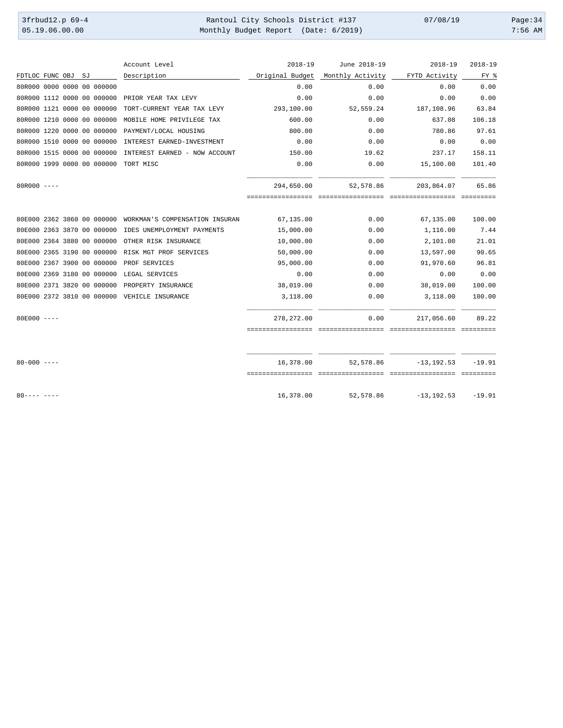| $3$ frbud $12.p 69-4$ | Rantoul City Schools District #137   | 07/08/19 | Page: $34$ |
|-----------------------|--------------------------------------|----------|------------|
| 05.19.06.00.00        | Monthly Budget Report (Date: 6/2019) |          | $7:56$ AM  |

|                    |  |                            | Account Level                                | $2018 - 19$     | June 2018-19     | $2018 - 19$   | $2018 - 19$ |
|--------------------|--|----------------------------|----------------------------------------------|-----------------|------------------|---------------|-------------|
| FDTLOC FUNC OBJ SJ |  |                            | Description                                  | Original Budget | Monthly Activity | FYTD Activity | FY %        |
|                    |  | 80R000 0000 0000 00 000000 |                                              | 0.00            | 0.00             | 0.00          | 0.00        |
|                    |  | 80R000 1112 0000 00 000000 | PRIOR YEAR TAX LEVY                          | 0.00            | 0.00             | 0.00          | 0.00        |
|                    |  | 80R000 1121 0000 00 000000 | TORT-CURRENT YEAR TAX LEVY                   | 293,100.00      | 52,559.24        | 187,108.96    | 63.84       |
|                    |  | 80R000 1210 0000 00 000000 | MOBILE HOME PRIVILEGE TAX                    | 600.00          | 0.00             | 637.08        | 106.18      |
|                    |  | 80R000 1220 0000 00 000000 | PAYMENT/LOCAL HOUSING                        | 800.00          | 0.00             | 780.86        | 97.61       |
|                    |  | 80R000 1510 0000 00 000000 | INTEREST EARNED-INVESTMENT                   | 0.00            | 0.00             | 0.00          | 0.00        |
|                    |  | 80R000 1515 0000 00 000000 | INTEREST EARNED - NOW ACCOUNT                | 150.00          | 19.62            | 237.17        | 158.11      |
|                    |  | 80R000 1999 0000 00 000000 | TORT MISC                                    | 0.00            | 0.00             | 15,100.00     | 101.40      |
| $80R000$ ----      |  |                            |                                              | 294,650.00      | 52,578.86        | 203,864.07    | 65.86       |
|                    |  |                            |                                              |                 |                  |               | ----------  |
|                    |  | 80E000 2362 3860 00 000000 | WORKMAN'S COMPENSATION INSURAN               | 67,135.00       | 0.00             | 67,135.00     | 100.00      |
|                    |  | 80E000 2363 3870 00 000000 | IDES UNEMPLOYMENT PAYMENTS                   | 15,000.00       | 0.00             | 1,116.00      | 7.44        |
|                    |  | 80E000 2364 3880 00 000000 | OTHER RISK INSURANCE                         | 10,000.00       | 0.00             | 2,101.00      | 21.01       |
|                    |  | 80E000 2365 3190 00 000000 | RISK MGT PROF SERVICES                       | 50,000.00       | 0.00             | 13,597.00     | 90.65       |
|                    |  | 80E000 2367 3900 00 000000 | PROF SERVICES                                | 95,000.00       | 0.00             | 91,970.60     | 96.81       |
|                    |  | 80E000 2369 3180 00 000000 | LEGAL SERVICES                               | 0.00            | 0.00             | 0.00          | 0.00        |
|                    |  | 80E000 2371 3820 00 000000 | PROPERTY INSURANCE                           | 38,019.00       | 0.00             | 38,019.00     | 100.00      |
|                    |  |                            | 80E000 2372 3810 00 000000 VEHICLE INSURANCE | 3,118.00        | 0.00             | 3,118.00      | 100.00      |
| $80E000$ ----      |  |                            |                                              | 278, 272.00     | 0.00             | 217,056.60    | 89.22       |
|                    |  |                            |                                              |                 |                  |               |             |
| $80 - 000$ ----    |  |                            |                                              | 16,378.00       | 52,578.86        | $-13, 192.53$ | $-19.91$    |
| $80--- - - - - -$  |  |                            |                                              | 16,378.00       | 52,578.86        | $-13, 192.53$ | $-19.91$    |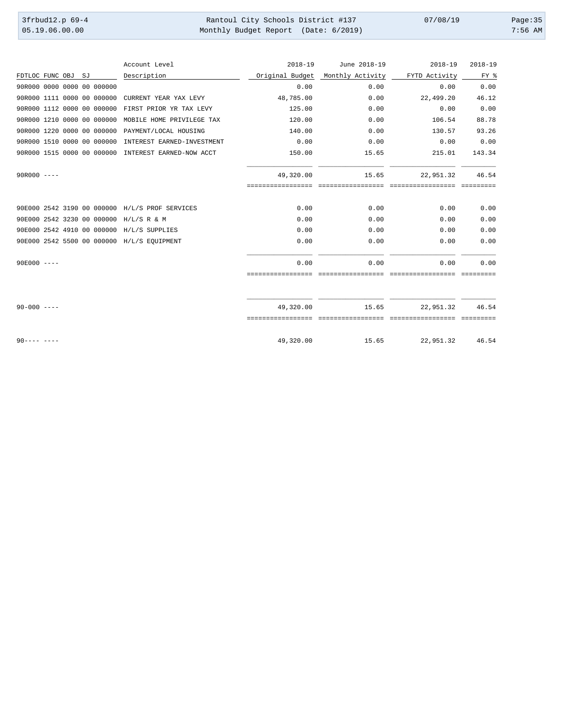| 3frbud12.p 69-4 | Rantoul City Schools District #137   | 07/08/19 | Page: $35$ |
|-----------------|--------------------------------------|----------|------------|
| 05.19.06.00.00  | Monthly Budget Report (Date: 6/2019) |          | $7:56$ AM  |

|                            |  |    |                            | Account Level                                       | $2018 - 19$       | June 2018-19     | $2018 - 19$   | $2018 - 19$ |
|----------------------------|--|----|----------------------------|-----------------------------------------------------|-------------------|------------------|---------------|-------------|
| FDTLOC FUNC OBJ            |  | SJ |                            | Description                                         | Original Budget   | Monthly Activity | FYTD Activity | FY %        |
| 90R000 0000 0000 00 000000 |  |    |                            |                                                     | 0.00              | 0.00             | 0.00          | 0.00        |
|                            |  |    | 90R000 1111 0000 00 000000 | CURRENT YEAR YAX LEVY                               | 48,785.00         | 0.00             | 22,499.20     | 46.12       |
|                            |  |    | 90R000 1112 0000 00 000000 | FIRST PRIOR YR TAX LEVY                             | 125.00            | 0.00             | 0.00          | 0.00        |
|                            |  |    | 90R000 1210 0000 00 000000 | MOBILE HOME PRIVILEGE TAX                           | 120.00            | 0.00             | 106.54        | 88.78       |
|                            |  |    | 90R000 1220 0000 00 000000 | PAYMENT/LOCAL HOUSING                               | 140.00            | 0.00             | 130.57        | 93.26       |
|                            |  |    | 90R000 1510 0000 00 000000 | INTEREST EARNED-INVESTMENT                          | 0.00              | 0.00             | 0.00          | 0.00        |
|                            |  |    |                            | 90R000 1515 0000 00 000000 INTEREST EARNED-NOW ACCT | 150.00            | 15.65            | 215.01        | 143.34      |
| $90R000$ ----              |  |    |                            |                                                     | 49,320.00         | 15.65            | 22,951.32     | 46.54       |
|                            |  |    |                            |                                                     | ================= |                  |               |             |
|                            |  |    |                            | 90E000 2542 3190 00 000000 H/L/S PROF SERVICES      | 0.00              | 0.00             | 0.00          | 0.00        |
|                            |  |    |                            | 90E000 2542 3230 00 000000 H/L/S R & M              | 0.00              | 0.00             | 0.00          | 0.00        |
|                            |  |    |                            | 90E000 2542 4910 00 000000 H/L/S SUPPLIES           | 0.00              | 0.00             | 0.00          | 0.00        |
|                            |  |    |                            | 90E000 2542 5500 00 000000 H/L/S EQUIPMENT          | 0.00              | 0.00             | 0.00          | 0.00        |
| $90E000 - - -$             |  |    |                            |                                                     | 0.00              | 0.00             | 0.00          | 0.00        |
|                            |  |    |                            |                                                     |                   |                  |               |             |
| $90 - 000$ ----            |  |    |                            |                                                     | 49,320.00         | 15.65            | 22,951.32     | 46.54       |
|                            |  |    |                            |                                                     |                   |                  |               |             |
| $90--- - -$                |  |    |                            |                                                     | 49,320.00         | 15.65            | 22,951.32     | 46.54       |